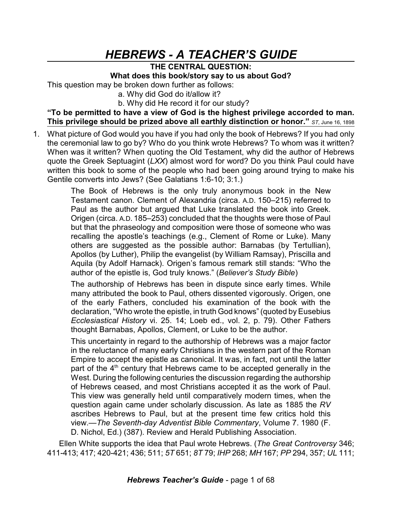# *HEBREWS - A TEACHER'S GUIDE*

## **THE CENTRAL QUESTION:**

**What does this book/story say to us about God?**

This question may be broken down further as follows:

a. Why did God do it/allow it?

b. Why did He record it for our study?

**"To be permitted to have a view of God is the highest privilege accorded to man. This privilege should be prized above all earthly distinction or honor."** *ST*, June 16, <sup>1898</sup>

1. What picture of God would you have if you had only the book of Hebrews? If you had only the ceremonial law to go by? Who do you think wrote Hebrews? To whom was it written? When was it written? When quoting the Old Testament, why did the author of Hebrews quote the Greek Septuagint (*LXX*) almost word for word? Do you think Paul could have written this book to some of the people who had been going around trying to make his Gentile converts into Jews? (See Galatians 1:6-10; 3:1.)

> The Book of Hebrews is the only truly anonymous book in the New Testament canon. Clement of Alexandria (circa. A.D. 150–215) referred to Paul as the author but argued that Luke translated the book into Greek. Origen (circa. A.D. 185–253) concluded that the thoughts were those of Paul but that the phraseology and composition were those of someone who was recalling the apostle's teachings (e.g., Clement of Rome or Luke). Many others are suggested as the possible author: Barnabas (by Tertullian), Apollos (by Luther), Philip the evangelist (by William Ramsay), Priscilla and Aquila (by Adolf Harnack). Origen's famous remark still stands: "Who the author of the epistle is, God truly knows." (*Believer's Study Bible*)

> The authorship of Hebrews has been in dispute since early times. While many attributed the book to Paul, others dissented vigorously. Origen, one of the early Fathers, concluded his examination of the book with the declaration, "Who wrote the epistle, in truth God knows" (quoted by Eusebius *Ecclesiastical History* vi. 25. 14; Loeb ed., vol. 2, p. 79). Other Fathers thought Barnabas, Apollos, Clement, or Luke to be the author.

> This uncertainty in regard to the authorship of Hebrews was a major factor in the reluctance of many early Christians in the western part of the Roman Empire to accept the epistle as canonical. It was, in fact, not until the latter part of the 4<sup>th</sup> century that Hebrews came to be accepted generally in the West. During the following centuries the discussion regarding the authorship of Hebrews ceased, and most Christians accepted it as the work of Paul. This view was generally held until comparatively modern times, when the question again came under scholarly discussion. As late as 1885 the *RV* ascribes Hebrews to Paul, but at the present time few critics hold this view.—*The Seventh-day Adventist Bible Commentary*, Volume 7. 1980 (F. D. Nichol, Ed.) (387). Review and Herald Publishing Association.

Ellen White supports the idea that Paul wrote Hebrews. (*The Great Controversy* 346; 411-413; 417; 420-421; 436; 511; *5T* 651; *8T* 79; *IHP* 268; *MH* 167; *PP* 294, 357; *UL* 111;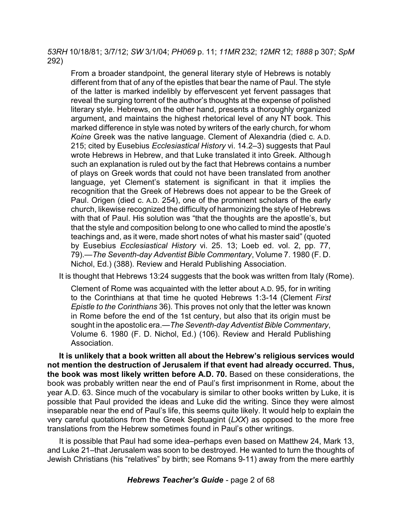*53RH* 10/18/81; 3/7/12; *SW* 3/1/04; *PH069* p. 11; *11MR* 232; *12MR* 12; *1888* p 307; *SpM* 292)

From a broader standpoint, the general literary style of Hebrews is notably different from that of any of the epistles that bear the name of Paul. The style of the latter is marked indelibly by effervescent yet fervent passages that reveal the surging torrent of the author's thoughts at the expense of polished literary style. Hebrews, on the other hand, presents a thoroughly organized argument, and maintains the highest rhetorical level of any NT book. This marked difference in style was noted by writers of the early church, for whom *Koine* Greek was the native language. Clement of Alexandria (died c. A.D. 215; cited by Eusebius *Ecclesiastical History* vi. 14.2–3) suggests that Paul wrote Hebrews in Hebrew, and that Luke translated it into Greek. Although such an explanation is ruled out by the fact that Hebrews contains a number of plays on Greek words that could not have been translated from another language, yet Clement's statement is significant in that it implies the recognition that the Greek of Hebrews does not appear to be the Greek of Paul. Origen (died c. A.D. 254), one of the prominent scholars of the early church, likewise recognized the difficulty of harmonizing the style of Hebrews with that of Paul. His solution was "that the thoughts are the apostle's, but that the style and composition belong to one who called to mind the apostle's teachings and, as it were, made short notes of what his master said" (quoted by Eusebius *Ecclesiastical History* vi. 25. 13; Loeb ed. vol. 2, pp. 77, 79).—*The Seventh-day Adventist Bible Commentary*, Volume 7. 1980 (F. D. Nichol, Ed.) (388). Review and Herald Publishing Association.

It is thought that Hebrews 13:24 suggests that the book was written from Italy (Rome).

Clement of Rome was acquainted with the letter about A.D. 95, for in writing to the Corinthians at that time he quoted Hebrews 1:3-14 (Clement *First Epistle to the Corinthians* 36). This proves not only that the letter was known in Rome before the end of the 1st century, but also that its origin must be sought in the apostolic era.—*The Seventh-day Adventist Bible Commentary*, Volume 6. 1980 (F. D. Nichol, Ed.) (106). Review and Herald Publishing Association.

**It is unlikely that a book written all about the Hebrew's religious services would not mention the destruction of Jerusalem if that event had already occurred. Thus, the book was most likely written before A.D. 70.** Based on these considerations, the book was probably written near the end of Paul's first imprisonment in Rome, about the year A.D. 63. Since much of the vocabulary is similar to other books written by Luke, it is possible that Paul provided the ideas and Luke did the writing. Since they were almost inseparable near the end of Paul's life, this seems quite likely. It would help to explain the very careful quotations from the Greek Septuagint (*LXX*) as opposed to the more free translations from the Hebrew sometimes found in Paul's other writings.

It is possible that Paul had some idea–perhaps even based on Matthew 24, Mark 13, and Luke 21–that Jerusalem was soon to be destroyed. He wanted to turn the thoughts of Jewish Christians (his "relatives" by birth; see Romans 9-11) away from the mere earthly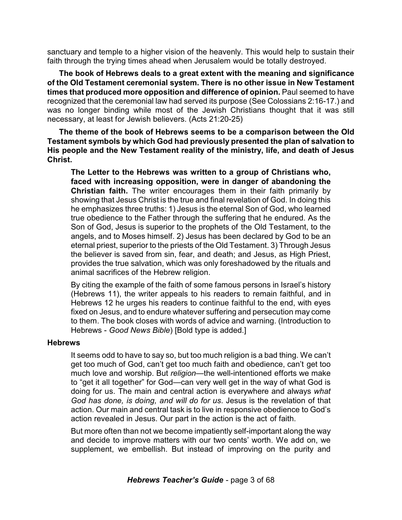sanctuary and temple to a higher vision of the heavenly. This would help to sustain their faith through the trying times ahead when Jerusalem would be totally destroyed.

**The book of Hebrews deals to a great extent with the meaning and significance of the Old Testament ceremonial system. There is no other issue in New Testament times that produced more opposition and difference of opinion.** Paul seemed to have recognized that the ceremonial law had served its purpose (See Colossians 2:16-17.) and was no longer binding while most of the Jewish Christians thought that it was still necessary, at least for Jewish believers. (Acts 21:20-25)

**The theme of the book of Hebrews seems to be a comparison between the Old Testament symbols by which God had previously presented the plan of salvation to His people and the New Testament reality of the ministry, life, and death of Jesus Christ.**

**The Letter to the Hebrews was written to a group of Christians who, faced with increasing opposition, were in danger of abandoning the Christian faith.** The writer encourages them in their faith primarily by showing that Jesus Christ is the true and final revelation of God. In doing this he emphasizes three truths: 1) Jesus is the eternal Son of God, who learned true obedience to the Father through the suffering that he endured. As the Son of God, Jesus is superior to the prophets of the Old Testament, to the angels, and to Moses himself. 2) Jesus has been declared by God to be an eternal priest, superior to the priests of the Old Testament. 3) Through Jesus the believer is saved from sin, fear, and death; and Jesus, as High Priest, provides the true salvation, which was only foreshadowed by the rituals and animal sacrifices of the Hebrew religion.

By citing the example of the faith of some famous persons in Israel's history (Hebrews 11), the writer appeals to his readers to remain faithful, and in Hebrews 12 he urges his readers to continue faithful to the end, with eyes fixed on Jesus, and to endure whatever suffering and persecution may come to them. The book closes with words of advice and warning. (Introduction to Hebrews - *Good News Bible*) [Bold type is added.]

#### **Hebrews**

It seems odd to have to say so, but too much religion is a bad thing. We can't get too much of God, can't get too much faith and obedience, can't get too much love and worship. But *religion*—the well-intentioned efforts we make to "get it all together" for God—can very well get in the way of what God is doing for us. The main and central action is everywhere and always *what God has done, is doing, and will do for us*. Jesus is the revelation of that action. Our main and central task is to live in responsive obedience to God's action revealed in Jesus. Our part in the action is the act of faith.

But more often than not we become impatiently self-important along the way and decide to improve matters with our two cents' worth. We add on, we supplement, we embellish. But instead of improving on the purity and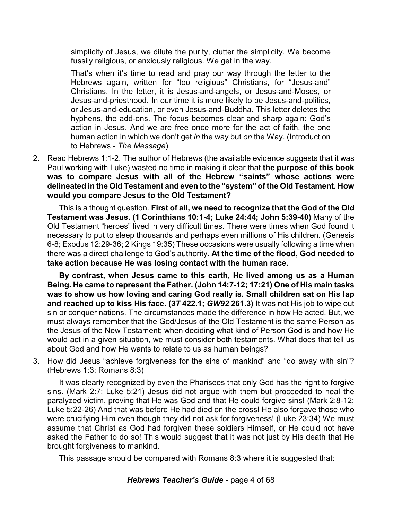simplicity of Jesus, we dilute the purity, clutter the simplicity. We become fussily religious, or anxiously religious. We get in the way.

That's when it's time to read and pray our way through the letter to the Hebrews again, written for "too religious" Christians, for "Jesus-and" Christians. In the letter, it is Jesus-and-angels, or Jesus-and-Moses, or Jesus-and-priesthood. In our time it is more likely to be Jesus-and-politics, or Jesus-and-education, or even Jesus-and-Buddha. This letter deletes the hyphens, the add-ons. The focus becomes clear and sharp again: God's action in Jesus. And we are free once more for the act of faith, the one human action in which we don't get *in* the way but *on* the Way. (Introduction to Hebrews - *The Message*)

2. Read Hebrews 1:1-2. The author of Hebrews (the available evidence suggests that it was Paul working with Luke) wasted no time in making it clear that **the purpose of this book was to compare Jesus with all of the Hebrew "saints" whose actions were delineated in the Old Testament and even to the "system" of the Old Testament. How would you compare Jesus to the Old Testament?**

This is a thought question. **First of all, we need to recognize that the God of the Old Testament was Jesus. (1 Corinthians 10:1-4; Luke 24:44; John 5:39-40)** Many of the Old Testament "heroes" lived in very difficult times. There were times when God found it necessary to put to sleep thousands and perhaps even millions of His children. (Genesis 6-8; Exodus 12:29-36; 2 Kings 19:35) These occasions were usually following a time when there was a direct challenge to God's authority. **At the time of the flood, God needed to take action because He was losing contact with the human race.**

**By contrast, when Jesus came to this earth, He lived among us as a Human Being. He came to represent the Father. (John 14:7-12; 17:21) One of His main tasks was to show us how loving and caring God really is. Small children sat on His lap and reached up to kiss His face. (***3T* **422.1;** *GW92* **261.3)** It was not His job to wipe out sin or conquer nations. The circumstances made the difference in how He acted. But, we must always remember that the God/Jesus of the Old Testament is the same Person as the Jesus of the New Testament; when deciding what kind of Person God is and how He would act in a given situation, we must consider both testaments. What does that tell us about God and how He wants to relate to us as human beings?

3. How did Jesus "achieve forgiveness for the sins of mankind" and "do away with sin"? (Hebrews 1:3; Romans 8:3)

It was clearly recognized by even the Pharisees that only God has the right to forgive sins. (Mark 2:7; Luke 5:21) Jesus did not argue with them but proceeded to heal the paralyzed victim, proving that He was God and that He could forgive sins! (Mark 2:8-12; Luke 5:22-26) And that was before He had died on the cross! He also forgave those who were crucifying Him even though they did not ask for forgiveness! (Luke 23:34) We must assume that Christ as God had forgiven these soldiers Himself, or He could not have asked the Father to do so! This would suggest that it was not just by His death that He brought forgiveness to mankind.

This passage should be compared with Romans 8:3 where it is suggested that:

## *Hebrews Teacher's Guide* - page 4 of 68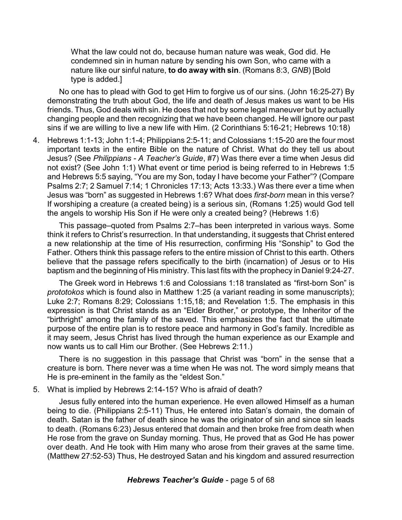What the law could not do, because human nature was weak, God did. He condemned sin in human nature by sending his own Son, who came with a nature like our sinful nature, **to do away with sin**. (Romans 8:3, *GNB*) [Bold type is added.]

No one has to plead with God to get Him to forgive us of our sins. (John 16:25-27) By demonstrating the truth about God, the life and death of Jesus makes us want to be His friends. Thus, God deals with sin. He does that not by some legal maneuver but by actually changing people and then recognizing that we have been changed. He will ignore our past sins if we are willing to live a new life with Him. (2 Corinthians 5:16-21; Hebrews 10:18)

4. Hebrews 1:1-13; John 1:1-4; Philippians 2:5-11; and Colossians 1:15-20 are the four most important texts in the entire Bible on the nature of Christ. What do they tell us about Jesus? (See *Philippians - A Teacher's Guide*, #7) Was there ever a time when Jesus did not exist? (See John 1:1) What event or time period is being referred to in Hebrews 1:5 and Hebrews 5:5 saying, "You are my Son, today I have become your Father"? (Compare Psalms 2:7; 2 Samuel 7:14; 1 Chronicles 17:13; Acts 13:33.) Was there ever a time when Jesus was "born" as suggested in Hebrews 1:6? What does *first-born* mean in this verse? If worshiping a creature (a created being) is a serious sin, (Romans 1:25) would God tell the angels to worship His Son if He were only a created being? (Hebrews 1:6)

This passage–quoted from Psalms 2:7–has been interpreted in various ways. Some think it refers to Christ's resurrection. In that understanding, it suggests that Christ entered a new relationship at the time of His resurrection, confirming His "Sonship" to God the Father. Others think this passage refers to the entire mission of Christ to this earth. Others believe that the passage refers specifically to the birth (incarnation) of Jesus or to His baptism and the beginning of His ministry. This last fits with the prophecy in Daniel 9:24-27.

The Greek word in Hebrews 1:6 and Colossians 1:18 translated as "first-born Son" is *prototokos* which is found also in Matthew 1:25 (a variant reading in some manuscripts); Luke 2:7; Romans 8:29; Colossians 1:15,18; and Revelation 1:5. The emphasis in this expression is that Christ stands as an "Elder Brother," or prototype, the Inheritor of the "birthright" among the family of the saved. This emphasizes the fact that the ultimate purpose of the entire plan is to restore peace and harmony in God's family. Incredible as it may seem, Jesus Christ has lived through the human experience as our Example and now wants us to call Him our Brother. (See Hebrews 2:11.)

There is no suggestion in this passage that Christ was "born" in the sense that a creature is born. There never was a time when He was not. The word simply means that He is pre-eminent in the family as the "eldest Son."

5. What is implied by Hebrews 2:14-15? Who is afraid of death?

Jesus fully entered into the human experience. He even allowed Himself as a human being to die. (Philippians 2:5-11) Thus, He entered into Satan's domain, the domain of death. Satan is the father of death since he was the originator of sin and since sin leads to death. (Romans 6:23) Jesus entered that domain and then broke free from death when He rose from the grave on Sunday morning. Thus, He proved that as God He has power over death. And He took with Him many who arose from their graves at the same time. (Matthew 27:52-53) Thus, He destroyed Satan and his kingdom and assured resurrection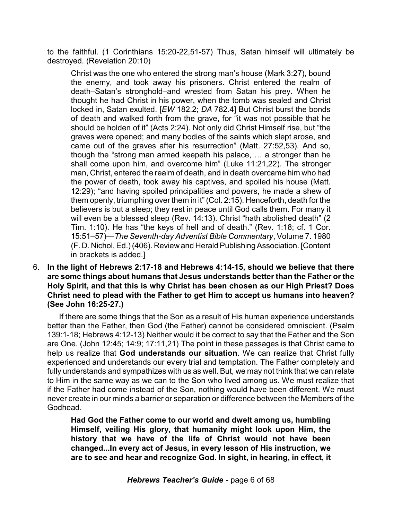to the faithful. (1 Corinthians 15:20-22,51-57) Thus, Satan himself will ultimately be destroyed. (Revelation 20:10)

Christ was the one who entered the strong man's house (Mark 3:27), bound the enemy, and took away his prisoners. Christ entered the realm of death–Satan's stronghold–and wrested from Satan his prey. When he thought he had Christ in his power, when the tomb was sealed and Christ locked in, Satan exulted. [*EW* 182.2; *DA* 782.4] But Christ burst the bonds of death and walked forth from the grave, for "it was not possible that he should be holden of it" (Acts 2:24). Not only did Christ Himself rise, but "the graves were opened; and many bodies of the saints which slept arose, and came out of the graves after his resurrection" (Matt. 27:52,53). And so, though the "strong man armed keepeth his palace, … a stronger than he shall come upon him, and overcome him" (Luke 11:21,22). The stronger man, Christ, entered the realm of death, and in death overcame him who had the power of death, took away his captives, and spoiled his house (Matt. 12:29); "and having spoiled principalities and powers, he made a shew of them openly, triumphing over them in it" (Col. 2:15). Henceforth, death for the believers is but a sleep; they rest in peace until God calls them. For many it will even be a blessed sleep (Rev. 14:13). Christ "hath abolished death" (2 Tim. 1:10). He has "the keys of hell and of death." (Rev. 1:18; cf. 1 Cor. 15:51–57)—*The Seventh-day Adventist Bible Commentary*, Volume 7. 1980 (F. D. Nichol, Ed.) (406). Review and Herald PublishingAssociation. [Content in brackets is added.]

6. **In the light of Hebrews 2:17-18 and Hebrews 4:14-15, should we believe that there are some things about humans that Jesus understands better than the Father or the Holy Spirit, and that this is why Christ has been chosen as our High Priest? Does Christ need to plead with the Father to get Him to accept us humans into heaven? (See John 16:25-27.)**

If there are some things that the Son as a result of His human experience understands better than the Father, then God (the Father) cannot be considered omniscient. (Psalm 139:1-18; Hebrews 4:12-13) Neither would it be correct to say that the Father and the Son are One. (John 12:45; 14:9; 17:11,21) The point in these passages is that Christ came to help us realize that **God understands our situation**. We can realize that Christ fully experienced and understands our every trial and temptation. The Father completely and fully understands and sympathizes with us as well. But, we may not think that we can relate to Him in the same way as we can to the Son who lived among us. We must realize that if the Father had come instead of the Son, nothing would have been different. We must never create in our minds a barrier or separation or difference between the Members of the Godhead.

**Had God the Father come to our world and dwelt among us, humbling Himself, veiling His glory, that humanity might look upon Him, the history that we have of the life of Christ would not have been changed...In every act of Jesus, in every lesson of His instruction, we are to see and hear and recognize God. In sight, in hearing, in effect, it**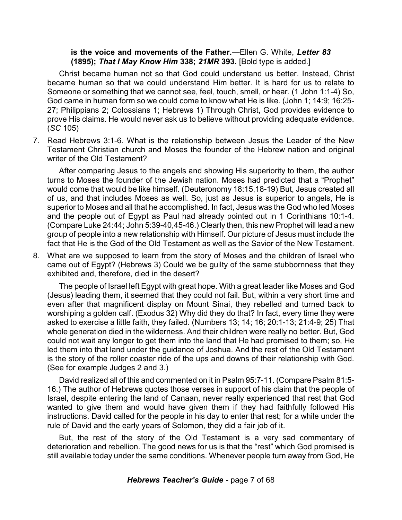#### **is the voice and movements of the Father.**—Ellen G. White, *Letter 83* **(1895);** *That I May Know Him* **338;** *21MR* **393.** [Bold type is added.]

Christ became human not so that God could understand us better. Instead, Christ became human so that we could understand Him better. It is hard for us to relate to Someone or something that we cannot see, feel, touch, smell, or hear. (1 John 1:1-4) So, God came in human form so we could come to know what He is like. (John 1; 14:9; 16:25- 27; Philippians 2; Colossians 1; Hebrews 1) Through Christ, God provides evidence to prove His claims. He would never ask us to believe without providing adequate evidence. (*SC* 105)

7. Read Hebrews 3:1-6. What is the relationship between Jesus the Leader of the New Testament Christian church and Moses the founder of the Hebrew nation and original writer of the Old Testament?

After comparing Jesus to the angels and showing His superiority to them, the author turns to Moses the founder of the Jewish nation. Moses had predicted that a "Prophet" would come that would be like himself. (Deuteronomy 18:15,18-19) But, Jesus created all of us, and that includes Moses as well. So, just as Jesus is superior to angels, He is superior to Moses and all that he accomplished. In fact, Jesus was the God who led Moses and the people out of Egypt as Paul had already pointed out in 1 Corinthians 10:1-4. (Compare Luke 24:44; John 5:39-40,45-46.) Clearly then, this new Prophet will lead a new group of people into a new relationship with Himself. Our picture of Jesus must include the fact that He is the God of the Old Testament as well as the Savior of the New Testament.

8. What are we supposed to learn from the story of Moses and the children of Israel who came out of Egypt? (Hebrews 3) Could we be guilty of the same stubbornness that they exhibited and, therefore, died in the desert?

The people of Israel left Egypt with great hope. With a great leader like Moses and God (Jesus) leading them, it seemed that they could not fail. But, within a very short time and even after that magnificent display on Mount Sinai, they rebelled and turned back to worshiping a golden calf. (Exodus 32) Why did they do that? In fact, every time they were asked to exercise a little faith, they failed. (Numbers 13; 14; 16; 20:1-13; 21:4-9; 25) That whole generation died in the wilderness. And their children were really no better. But, God could not wait any longer to get them into the land that He had promised to them; so, He led them into that land under the guidance of Joshua. And the rest of the Old Testament is the story of the roller coaster ride of the ups and downs of their relationship with God. (See for example Judges 2 and 3.)

David realized all of this and commented on it in Psalm 95:7-11. (Compare Psalm 81:5- 16.) The author of Hebrews quotes those verses in support of his claim that the people of Israel, despite entering the land of Canaan, never really experienced that rest that God wanted to give them and would have given them if they had faithfully followed His instructions. David called for the people in his day to enter that rest; for a while under the rule of David and the early years of Solomon, they did a fair job of it.

But, the rest of the story of the Old Testament is a very sad commentary of deterioration and rebellion. The good news for us is that the "rest" which God promised is still available today under the same conditions. Whenever people turn away from God, He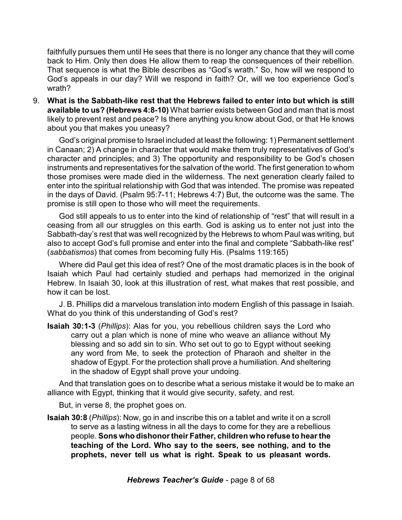faithfully pursues them until He sees that there is no longer any chance that they will come back to Him. Only then does He allow them to reap the consequences of their rebellion. That sequence is what the Bible describes as "God's wrath." So, how will we respond to God's appeals in our day? Will we respond in faith? Or, will we too experience God's wrath?

9. **What is the Sabbath-like rest that the Hebrews failed to enter into but which is still available to us? (Hebrews 4:8-10)** What barrier exists between God and man that is most likely to prevent rest and peace? Is there anything you know about God, or that He knows about you that makes you uneasy?

God's original promise to Israel included at least the following: 1) Permanent settlement in Canaan; 2) A change in character that would make them truly representatives of God's character and principles; and 3) The opportunity and responsibility to be God's chosen instruments and representatives for the salvation of the world. The first generation to whom those promises were made died in the wilderness. The next generation clearly failed to enter into the spiritual relationship with God that was intended. The promise was repeated in the days of David. (Psalm 95:7-11; Hebrews 4:7) But, the outcome was the same. The promise is still open to those who will meet the requirements.

God still appeals to us to enter into the kind of relationship of "rest" that will result in a ceasing from all our struggles on this earth. God is asking us to enter not just into the Sabbath-day's rest that was well recognized by the Hebrews to whom Paul was writing, but also to accept God's full promise and enter into the final and complete "Sabbath-like rest" (*sabbatismos*) that comes from becoming fully His. (Psalms 119:165)

Where did Paul get this idea of rest? One of the most dramatic places is in the book of Isaiah which Paul had certainly studied and perhaps had memorized in the original Hebrew. In Isaiah 30, look at this illustration of rest, what makes that rest possible, and how it can be lost.

J. B. Phillips did a marvelous translation into modern English of this passage in Isaiah. What do you think of this understanding of God's rest?

**Isaiah 30:1-3** (*Phillips*): Alas for you, you rebellious children says the Lord who carry out a plan which is none of mine who weave an alliance without My blessing and so add sin to sin. Who set out to go to Egypt without seeking any word from Me, to seek the protection of Pharaoh and shelter in the shadow of Egypt. For the protection shall prove a humiliation. And sheltering in the shadow of Egypt shall prove your undoing.

And that translation goes on to describe what a serious mistake it would be to make an alliance with Egypt, thinking that it would give security, safety, and rest.

But, in verse 8, the prophet goes on.

**Isaiah 30:8** (*Phillips*): Now, go in and inscribe this on a tablet and write it on a scroll to serve as a lasting witness in all the days to come for they are a rebellious people. **Sons who dishonor their Father, children who refuse to hear the teaching of the Lord. Who say to the seers, see nothing, and to the prophets, never tell us what is right. Speak to us pleasant words.**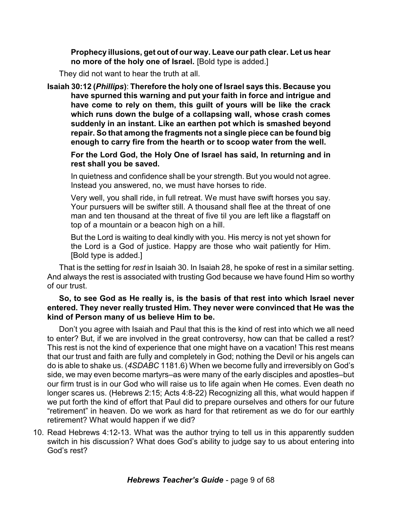**Prophecy illusions, get out of our way. Leave our path clear. Let us hear no more of the holy one of Israel.** [Bold type is added.]

They did not want to hear the truth at all.

**Isaiah 30:12 (***Phillips***)**: **Therefore the holy one of Israel says this. Because you have spurned this warning and put your faith in force and intrigue and have come to rely on them, this guilt of yours will be like the crack which runs down the bulge of a collapsing wall, whose crash comes suddenly in an instant. Like an earthen pot which is smashed beyond repair. So that among the fragments not a single piece can be found big enough to carry fire from the hearth or to scoop water from the well.**

**For the Lord God, the Holy One of Israel has said, In returning and in rest shall you be saved.**

In quietness and confidence shall be your strength. But you would not agree. Instead you answered, no, we must have horses to ride.

Very well, you shall ride, in full retreat. We must have swift horses you say. Your pursuers will be swifter still. A thousand shall flee at the threat of one man and ten thousand at the threat of five til you are left like a flagstaff on top of a mountain or a beacon high on a hill.

But the Lord is waiting to deal kindly with you. His mercy is not yet shown for the Lord is a God of justice. Happy are those who wait patiently for Him. [Bold type is added.]

That is the setting for *rest* in Isaiah 30. In Isaiah 28, he spoke of rest in a similar setting. And always the rest is associated with trusting God because we have found Him so worthy of our trust.

## **So, to see God as He really is, is the basis of that rest into which Israel never entered. They never really trusted Him. They never were convinced that He was the kind of Person many of us believe Him to be.**

Don't you agree with Isaiah and Paul that this is the kind of rest into which we all need to enter? But, if we are involved in the great controversy, how can that be called a rest? This rest is not the kind of experience that one might have on a vacation! This rest means that our trust and faith are fully and completely in God; nothing the Devil or his angels can do is able to shake us. (*4SDABC* 1181.6) When we become fully and irreversibly on God's side, we may even become martyrs–as were many of the early disciples and apostles–but our firm trust is in our God who will raise us to life again when He comes. Even death no longer scares us. (Hebrews 2:15; Acts 4:8-22) Recognizing all this, what would happen if we put forth the kind of effort that Paul did to prepare ourselves and others for our future "retirement" in heaven. Do we work as hard for that retirement as we do for our earthly retirement? What would happen if we did?

10. Read Hebrews 4:12-13. What was the author trying to tell us in this apparently sudden switch in his discussion? What does God's ability to judge say to us about entering into God's rest?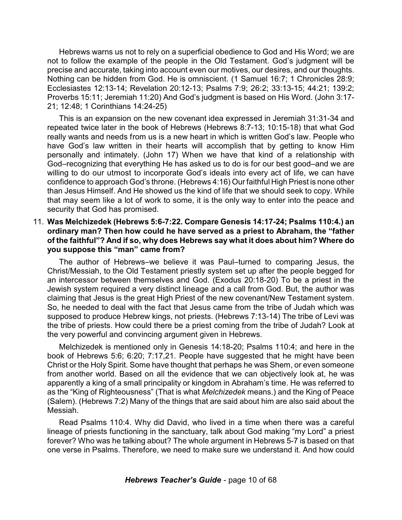Hebrews warns us not to rely on a superficial obedience to God and His Word; we are not to follow the example of the people in the Old Testament. God's judgment will be precise and accurate, taking into account even our motives, our desires, and our thoughts. Nothing can be hidden from God. He is omniscient. (1 Samuel 16:7; 1 Chronicles 28:9; Ecclesiastes 12:13-14; Revelation 20:12-13; Psalms 7:9; 26:2; 33:13-15; 44:21; 139:2; Proverbs 15:11; Jeremiah 11:20) And God's judgment is based on His Word. (John 3:17- 21; 12:48; 1 Corinthians 14:24-25)

This is an expansion on the new covenant idea expressed in Jeremiah 31:31-34 and repeated twice later in the book of Hebrews (Hebrews 8:7-13; 10:15-18) that what God really wants and needs from us is a new heart in which is written God's law. People who have God's law written in their hearts will accomplish that by getting to know Him personally and intimately. (John 17) When we have that kind of a relationship with God–recognizing that everything He has asked us to do is for our best good–and we are willing to do our utmost to incorporate God's ideals into every act of life, we can have confidence to approach God's throne. (Hebrews 4:16) Our faithful High Priest is none other than Jesus Himself. And He showed us the kind of life that we should seek to copy. While that may seem like a lot of work to some, it is the only way to enter into the peace and security that God has promised.

#### 11. **Was Melchizedek (Hebrews 5:6-7:22. Compare Genesis 14:17-24; Psalms 110:4.) an ordinary man? Then how could he have served as a priest to Abraham, the "father of the faithful"? And if so, why does Hebrews say what it does about him? Where do you suppose this "man" came from?**

The author of Hebrews–we believe it was Paul–turned to comparing Jesus, the Christ/Messiah, to the Old Testament priestly system set up after the people begged for an intercessor between themselves and God. (Exodus 20:18-20) To be a priest in the Jewish system required a very distinct lineage and a call from God. But, the author was claiming that Jesus is the great High Priest of the new covenant/New Testament system. So, he needed to deal with the fact that Jesus came from the tribe of Judah which was supposed to produce Hebrew kings, not priests. (Hebrews 7:13-14) The tribe of Levi was the tribe of priests. How could there be a priest coming from the tribe of Judah? Look at the very powerful and convincing argument given in Hebrews.

Melchizedek is mentioned only in Genesis 14:18-20; Psalms 110:4; and here in the book of Hebrews 5:6; 6:20; 7:17,21. People have suggested that he might have been Christ or the Holy Spirit. Some have thought that perhaps he was Shem, or even someone from another world. Based on all the evidence that we can objectively look at, he was apparently a king of a small principality or kingdom in Abraham's time. He was referred to as the "King of Righteousness" (That is what *Melchizedek* means.) and the King of Peace (Salem). (Hebrews 7:2) Many of the things that are said about him are also said about the Messiah.

Read Psalms 110:4. Why did David, who lived in a time when there was a careful lineage of priests functioning in the sanctuary, talk about God making "my Lord" a priest forever? Who was he talking about? The whole argument in Hebrews 5-7 is based on that one verse in Psalms. Therefore, we need to make sure we understand it. And how could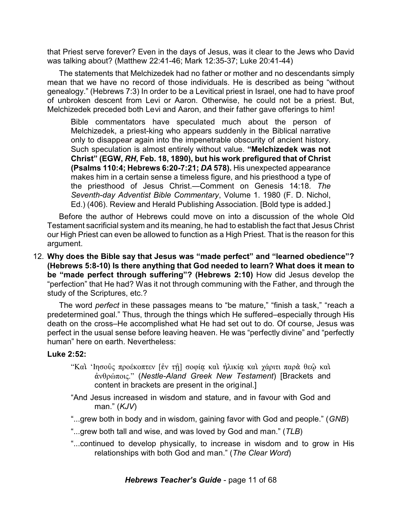that Priest serve forever? Even in the days of Jesus, was it clear to the Jews who David was talking about? (Matthew 22:41-46; Mark 12:35-37; Luke 20:41-44)

The statements that Melchizedek had no father or mother and no descendants simply mean that we have no record of those individuals. He is described as being "without genealogy." (Hebrews 7:3) In order to be a Levitical priest in Israel, one had to have proof of unbroken descent from Levi or Aaron. Otherwise, he could not be a priest. But, Melchizedek preceded both Levi and Aaron, and their father gave offerings to him!

Bible commentators have speculated much about the person of Melchizedek, a priest-king who appears suddenly in the Biblical narrative only to disappear again into the impenetrable obscurity of ancient history. Such speculation is almost entirely without value. **"Melchizedek was not Christ" (EGW,** *RH***, Feb. 18, 1890), but his work prefigured that of Christ (Psalms 110:4; Hebrews 6:20-7:21;** *DA* **578).** His unexpected appearance makes him in a certain sense a timeless figure, and his priesthood a type of the priesthood of Jesus Christ.—Comment on Genesis 14:18*. The Seventh-day Adventist Bible Commentary*, Volume 1. 1980 (F. D. Nichol, Ed.) (406). Review and Herald Publishing Association. [Bold type is added.]

Before the author of Hebrews could move on into a discussion of the whole Old Testament sacrificial system and its meaning, he had to establish the fact that Jesus Christ our High Priest can even be allowed to function as a High Priest. That is the reason for this argument.

12. **Why does the Bible say that Jesus was "made perfect" and "learned obedience"? (Hebrews 5:8-10) Is there anything that God needed to learn? What does it mean to be "made perfect through suffering"? (Hebrews 2:10)** How did Jesus develop the "perfection" that He had? Was it not through communing with the Father, and through the study of the Scriptures, etc.?

The word *perfect* in these passages means to "be mature," "finish a task," "reach a predetermined goal." Thus, through the things which He suffered–especially through His death on the cross–He accomplished what He had set out to do. Of course, Jesus was perfect in the usual sense before leaving heaven. He was "perfectly divine" and "perfectly human" here on earth. Nevertheless:

## **Luke 2:52:**

- "Καὶ 'Ιησοῦς προέκοπτεν [ἐν τῆ] σοφία καὶ ἡλικία καὶ χάριτι παρὰ θεῷ καὶ íèñþðïéò." (*Nestle-Aland Greek New Testament*) [Brackets and content in brackets are present in the original.]
- "And Jesus increased in wisdom and stature, and in favour with God and man." (*KJV*)
- "...grew both in body and in wisdom, gaining favor with God and people." (*GNB*)
- "...grew both tall and wise, and was loved by God and man." (*TLB*)
- "...continued to develop physically, to increase in wisdom and to grow in His relationships with both God and man." (*The Clear Word*)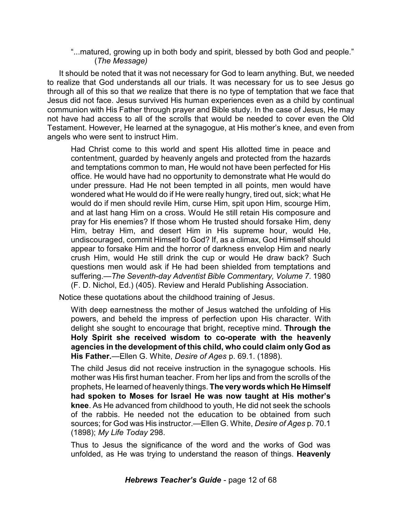"...matured, growing up in both body and spirit, blessed by both God and people." (*The Message)*

It should be noted that it was not necessary for God to learn anything. But, we needed to realize that God understands all our trials. It was necessary for us to see Jesus go through all of this so that *we* realize that there is no type of temptation that we face that Jesus did not face. Jesus survived His human experiences even as a child by continual communion with His Father through prayer and Bible study. In the case of Jesus, He may not have had access to all of the scrolls that would be needed to cover even the Old Testament. However, He learned at the synagogue, at His mother's knee, and even from angels who were sent to instruct Him.

Had Christ come to this world and spent His allotted time in peace and contentment, guarded by heavenly angels and protected from the hazards and temptations common to man, He would not have been perfected for His office. He would have had no opportunity to demonstrate what He would do under pressure. Had He not been tempted in all points, men would have wondered what He would do if He were really hungry, tired out, sick; what He would do if men should revile Him, curse Him, spit upon Him, scourge Him, and at last hang Him on a cross. Would He still retain His composure and pray for His enemies? If those whom He trusted should forsake Him, deny Him, betray Him, and desert Him in His supreme hour, would He, undiscouraged, commit Himself to God? If, as a climax, God Himself should appear to forsake Him and the horror of darkness envelop Him and nearly crush Him, would He still drink the cup or would He draw back? Such questions men would ask if He had been shielded from temptations and suffering.—*The Seventh-day Adventist Bible Commentary, Volume 7*. 1980 (F. D. Nichol, Ed.) (405). Review and Herald Publishing Association.

Notice these quotations about the childhood training of Jesus.

With deep earnestness the mother of Jesus watched the unfolding of His powers, and beheld the impress of perfection upon His character. With delight she sought to encourage that bright, receptive mind. **Through the Holy Spirit she received wisdom to co-operate with the heavenly agencies in the development of this child, who could claim only God as His Father.**—Ellen G. White, *Desire of Ages* p. 69.1. (1898).

The child Jesus did not receive instruction in the synagogue schools. His mother was His first human teacher. From her lips and from the scrolls of the prophets, He learned of heavenly things. **The verywords which He Himself had spoken to Moses for Israel He was now taught at His mother's knee**. As He advanced from childhood to youth, He did not seek the schools of the rabbis. He needed not the education to be obtained from such sources; for God was His instructor.—Ellen G. White, *Desire of Ages* p. 70.1 (1898); *My Life Today* 298.

Thus to Jesus the significance of the word and the works of God was unfolded, as He was trying to understand the reason of things. **Heavenly**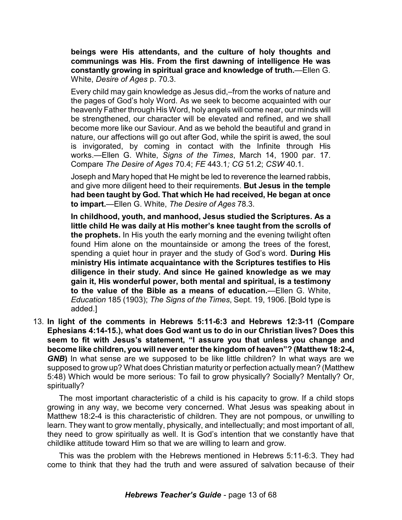**beings were His attendants, and the culture of holy thoughts and communings was His. From the first dawning of intelligence He was constantly growing in spiritual grace and knowledge of truth.**—Ellen G. White, *Desire of Ages* p. 70.3.

Every child may gain knowledge as Jesus did,–from the works of nature and the pages of God's holy Word. As we seek to become acquainted with our heavenly Father through His Word, holy angels will come near, our minds will be strengthened, our character will be elevated and refined, and we shall become more like our Saviour. And as we behold the beautiful and grand in nature, our affections will go out after God, while the spirit is awed, the soul is invigorated, by coming in contact with the Infinite through His works.—Ellen G. White, *Signs of the Times*, March 14, 1900 par. 17. Compare *The Desire of Ages* 70.4; *FE* 443.1*; CG* 51.2; *CSW* 40.1.

Joseph and Mary hoped that He might be led to reverence the learned rabbis, and give more diligent heed to their requirements. **But Jesus in the temple had been taught by God. That which He had received, He began at once to impart.**—Ellen G. White, *The Desire of Ages* 78.3.

**In childhood, youth, and manhood, Jesus studied the Scriptures. As a little child He was daily at His mother's knee taught from the scrolls of the prophets.** In His youth the early morning and the evening twilight often found Him alone on the mountainside or among the trees of the forest, spending a quiet hour in prayer and the study of God's word. **During His ministry His intimate acquaintance with the Scriptures testifies to His diligence in their study. And since He gained knowledge as we may gain it, His wonderful power, both mental and spiritual, is a testimony to the value of the Bible as a means of education.**—Ellen G. White, *Education* 185 (1903); *The Signs of the Times*, Sept. 19, 1906. [Bold type is added.]

13. **In light of the comments in Hebrews 5:11-6:3 and Hebrews 12:3-11 (Compare Ephesians 4:14-15.), what does God want us to do in our Christian lives? Does this seem to fit with Jesus's statement, "I assure you that unless you change and become like children, you will never enter the kingdom of heaven"? (Matthew 18:2-4,** *GNB***)** In what sense are we supposed to be like little children? In what ways are we supposed to grow up? What does Christian maturity or perfection actually mean? (Matthew 5:48) Which would be more serious: To fail to grow physically? Socially? Mentally? Or, spiritually?

The most important characteristic of a child is his capacity to grow. If a child stops growing in any way, we become very concerned. What Jesus was speaking about in Matthew 18:2-4 is this characteristic of children. They are not pompous, or unwilling to learn. They want to grow mentally, physically, and intellectually; and most important of all, they need to grow spiritually as well. It is God's intention that we constantly have that childlike attitude toward Him so that we are willing to learn and grow.

This was the problem with the Hebrews mentioned in Hebrews 5:11-6:3. They had come to think that they had the truth and were assured of salvation because of their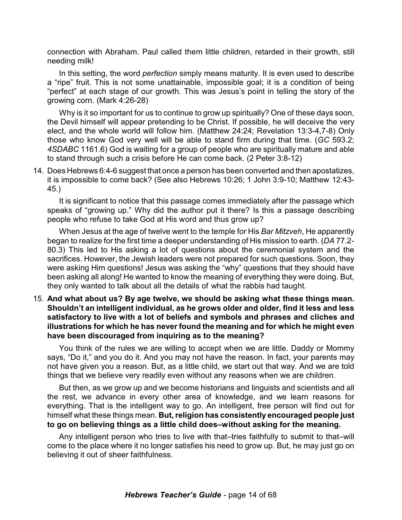connection with Abraham. Paul called them little children, retarded in their growth, still needing milk!

In this setting, the word *perfection* simply means maturity. It is even used to describe a "ripe" fruit. This is not some unattainable, impossible goal; it is a condition of being "perfect" at each stage of our growth. This was Jesus's point in telling the story of the growing corn. (Mark 4:26-28)

Why is it so important for us to continue to grow up spiritually? One of these days soon, the Devil himself will appear pretending to be Christ. If possible, he will deceive the very elect, and the whole world will follow him. (Matthew 24:24; Revelation 13:3-4,7-8) Only those who know God very well will be able to stand firm during that time. (*GC* 593.2; *4SDABC* 1161.6) God is waiting for a group of people who are spiritually mature and able to stand through such a crisis before He can come back. (2 Peter 3:8-12)

14. Does Hebrews 6:4-6 suggest that once a person has been converted and then apostatizes, it is impossible to come back? (See also Hebrews 10:26; 1 John 3:9-10; Matthew 12:43- 45.)

It is significant to notice that this passage comes immediately after the passage which speaks of "growing up." Why did the author put it there? Is this a passage describing people who refuse to take God at His word and thus grow up?

When Jesus at the age of twelve went to the temple for His *Bar Mitzveh*, He apparently began to realize for the first time a deeper understanding of His mission to earth. (*DA* 77.2- 80.3) This led to His asking a lot of questions about the ceremonial system and the sacrifices. However, the Jewish leaders were not prepared for such questions. Soon, they were asking Him questions! Jesus was asking the "why" questions that they should have been asking all along! He wanted to know the meaning of everything they were doing. But, they only wanted to talk about all the details of what the rabbis had taught.

15. **And what about us? By age twelve, we should be asking what these things mean. Shouldn't an intelligent individual, as he grows older and older, find it less and less satisfactory to live with a lot of beliefs and symbols and phrases and cliches and illustrations for which he has never found the meaning and for which he might even have been discouraged from inquiring as to the meaning?**

You think of the rules we are willing to accept when we are little. Daddy or Mommy says, "Do it," and you do it. And you may not have the reason. In fact, your parents may not have given you a reason. But, as a little child, we start out that way. And we are told things that we believe very readily even without any reasons when we are children.

But then, as we grow up and we become historians and linguists and scientists and all the rest, we advance in every other area of knowledge, and we learn reasons for everything. That is the intelligent way to go. An intelligent, free person will find out for himself what these things mean. **But, religion has consistently encouraged people just to go on believing things as a little child does–without asking for the meaning.**

Any intelligent person who tries to live with that–tries faithfully to submit to that–will come to the place where it no longer satisfies his need to grow up. But, he may just go on believing it out of sheer faithfulness.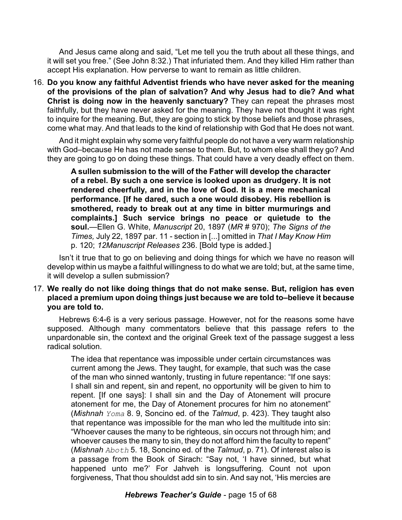And Jesus came along and said, "Let me tell you the truth about all these things, and it will set you free." (See John 8:32.) That infuriated them. And they killed Him rather than accept His explanation. How perverse to want to remain as little children.

16. **Do you know any faithful Adventist friends who have never asked for the meaning of the provisions of the plan of salvation? And why Jesus had to die? And what Christ is doing now in the heavenly sanctuary?** They can repeat the phrases most faithfully, but they have never asked for the meaning. They have not thought it was right to inquire for the meaning. But, they are going to stick by those beliefs and those phrases, come what may. And that leads to the kind of relationship with God that He does not want.

And it might explain why some very faithful people do not have a very warm relationship with God–because He has not made sense to them. But, to whom else shall they go? And they are going to go on doing these things. That could have a very deadly effect on them.

**A sullen submission to the will of the Father will develop the character of a rebel. By such a one service is looked upon as drudgery. It is not rendered cheerfully, and in the love of God. It is a mere mechanical performance. [If he dared, such a one would disobey. His rebellion is smothered, ready to break out at any time in bitter murmurings and complaints.] Such service brings no peace or quietude to the soul.**—Ellen G. White, *Manuscript* 20, 1897 (*MR* # 970); *The Signs of the Times,* July 22, 1897 par. 11 - section in [...] omitted in *That I May Know Him* p. 120; *12Manuscript Releases* 236. [Bold type is added.]

Isn't it true that to go on believing and doing things for which we have no reason will develop within us maybe a faithful willingness to do what we are told; but, at the same time, it will develop a sullen submission?

17. **We really do not like doing things that do not make sense. But, religion has even placed a premium upon doing things just because we are told to–believe it because you are told to.**

Hebrews 6:4-6 is a very serious passage. However, not for the reasons some have supposed. Although many commentators believe that this passage refers to the unpardonable sin, the context and the original Greek text of the passage suggest a less radical solution.

The idea that repentance was impossible under certain circumstances was current among the Jews. They taught, for example, that such was the case of the man who sinned wantonly, trusting in future repentance: "If one says: I shall sin and repent, sin and repent, no opportunity will be given to him to repent. [If one says]: I shall sin and the Day of Atonement will procure atonement for me, the Day of Atonement procures for him no atonement" (*Mishnah Yoma* 8. 9, Soncino ed. of the *Talmud*, p. 423). They taught also that repentance was impossible for the man who led the multitude into sin: "Whoever causes the many to be righteous, sin occurs not through him; and whoever causes the many to sin, they do not afford him the faculty to repent" (*Mishnah Aboth* 5. 18, Soncino ed. of the *Talmud*, p. 71). Of interest also is a passage from the Book of Sirach: "Say not, 'I have sinned, but what happened unto me?' For Jahveh is longsuffering. Count not upon forgiveness, That thou shouldst add sin to sin. And say not, 'His mercies are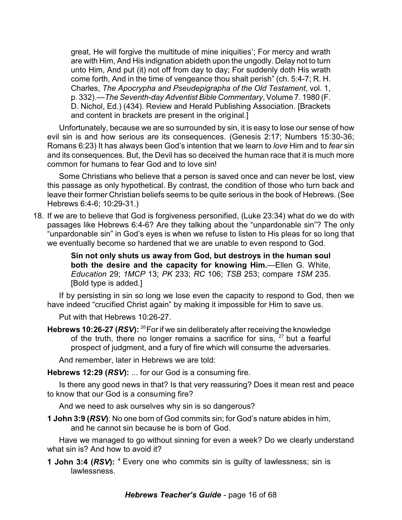great, He will forgive the multitude of mine iniquities'; For mercy and wrath are with Him, And His indignation abideth upon the ungodly. Delay not to turn unto Him, And put (it) not off from day to day; For suddenly doth His wrath come forth, And in the time of vengeance thou shalt perish" (ch. 5:4-7; R. H. Charles, *The Apocrypha and Pseudepigrapha of the Old Testament*, vol. 1, p. 332).—*The Seventh-day Adventist Bible Commentary*, Volume 7. 1980 (F. D. Nichol, Ed.) (434). Review and Herald Publishing Association. [Brackets and content in brackets are present in the original.]

Unfortunately, because we are so surrounded by sin, it is easy to lose our sense of how evil sin is and how serious are its consequences. (Genesis 2:17; Numbers 15:30-36; Romans 6:23) It has always been God's intention that we learn to *love* Him and to *fear* sin and its consequences. But, the Devil has so deceived the human race that it is much more common for humans to fear God and to love sin!

Some Christians who believe that a person is saved once and can never be lost, view this passage as only hypothetical. By contrast, the condition of those who turn back and leave their former Christian beliefs seems to be quite serious in the book of Hebrews. (See Hebrews 6:4-6; 10:29-31.)

18. If we are to believe that God is forgiveness personified, (Luke 23:34) what do we do with passages like Hebrews 6:4-6? Are they talking about the "unpardonable sin"? The only "unpardonable sin" in God's eyes is when we refuse to listen to His pleas for so long that we eventually become so hardened that we are unable to even respond to God.

> **Sin not only shuts us away from God, but destroys in the human soul both the desire and the capacity for knowing Him.**—Ellen G. White, *Education* 29; *1MCP* 13; *PK* 233; *RC* 106; *TSB* 253; compare *1SM* 235. [Bold type is added.]

If by persisting in sin so long we lose even the capacity to respond to God, then we have indeed "crucified Christ again" by making it impossible for Him to save us.

Put with that Hebrews 10:26-27.

Hebrews 10:26-27 (*RSV*): <sup>26</sup> For if we sin deliberately after receiving the knowledge of the truth, there no longer remains a sacrifice for sins,  $27$  but a fearful prospect of judgment, and a fury of fire which will consume the adversaries.

And remember, later in Hebrews we are told:

**Hebrews 12:29 (***RSV***):** ... for our God is a consuming fire.

Is there any good news in that? Is that very reassuring? Does it mean rest and peace to know that our God is a consuming fire?

And we need to ask ourselves why sin is so dangerous?

**1 John 3:9 (***RSV***)**: No one born of God commits sin; for God's nature abides in him, and he cannot sin because he is born of God.

Have we managed to go without sinning for even a week? Do we clearly understand what sin is? And how to avoid it?

**1 John 3:4 (***RSV***):** <sup>4</sup> Every one who commits sin is guilty of lawlessness; sin is lawlessness.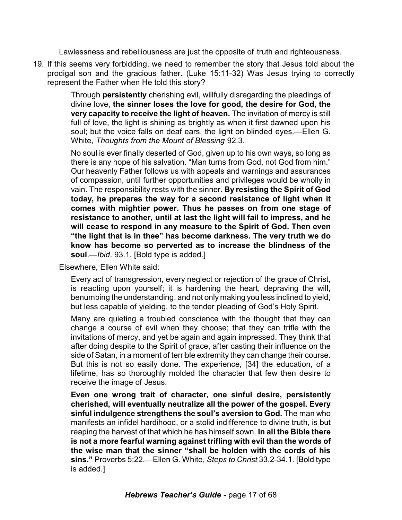Lawlessness and rebelliousness are just the opposite of truth and righteousness.

19. If this seems very forbidding, we need to remember the story that Jesus told about the prodigal son and the gracious father. (Luke 15:11-32) Was Jesus trying to correctly represent the Father when He told this story?

> Through **persistently** cherishing evil, willfully disregarding the pleadings of divine love, **the sinner loses the love for good, the desire for God, the very capacity to receive the light of heaven.** The invitation of mercy is still full of love, the light is shining as brightly as when it first dawned upon his soul; but the voice falls on deaf ears, the light on blinded eyes.—Ellen G. White, *Thoughts from the Mount of Blessing* 92.3.

> No soul is ever finally deserted of God, given up to his own ways, so long as there is any hope of his salvation. "Man turns from God, not God from him." Our heavenly Father follows us with appeals and warnings and assurances of compassion, until further opportunities and privileges would be wholly in vain. The responsibility rests with the sinner. **By resisting the Spirit of God today, he prepares the way for a second resistance of light when it comes with mightier power. Thus he passes on from one stage of resistance to another, until at last the light will fail to impress, and he will cease to respond in any measure to the Spirit of God. Then even "the light that is in thee" has become darkness. The very truth we do know has become so perverted as to increase the blindness of the soul**.—*Ibid*. 93.1. [Bold type is added.]

Elsewhere, Ellen White said:

Every act of transgression, every neglect or rejection of the grace of Christ, is reacting upon yourself; it is hardening the heart, depraving the will, benumbing the understanding, and not only making you less inclined to yield, but less capable of yielding, to the tender pleading of God's Holy Spirit.

Many are quieting a troubled conscience with the thought that they can change a course of evil when they choose; that they can trifle with the invitations of mercy, and yet be again and again impressed. They think that after doing despite to the Spirit of grace, after casting their influence on the side of Satan, in a moment of terrible extremity they can change their course. But this is not so easily done. The experience, [34] the education, of a lifetime, has so thoroughly molded the character that few then desire to receive the image of Jesus.

**Even one wrong trait of character, one sinful desire, persistently cherished, will eventually neutralize all the power of the gospel. Every sinful indulgence strengthens the soul's aversion to God.** The man who manifests an infidel hardihood, or a stolid indifference to divine truth, is but reaping the harvest of that which he has himself sown. **In all the Bible there is not a more fearful warning against trifling with evil than the words of the wise man that the sinner "shall be holden with the cords of his sins."** Proverbs 5:22.—Ellen G. White, *Steps to Christ* 33.2-34.1. [Bold type is added.]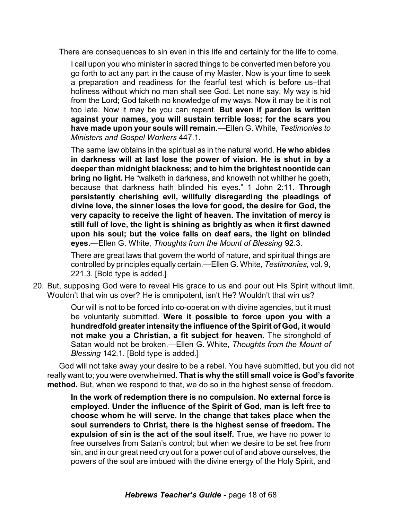There are consequences to sin even in this life and certainly for the life to come.

I call upon you who minister in sacred things to be converted men before you go forth to act any part in the cause of my Master. Now is your time to seek a preparation and readiness for the fearful test which is before us–that holiness without which no man shall see God. Let none say, My way is hid from the Lord; God taketh no knowledge of my ways. Now it may be it is not too late. Now it may be you can repent. **But even if pardon is written against your names, you will sustain terrible loss; for the scars you have made upon your souls will remain.**—Ellen G. White, *Testimonies to Ministers and Gospel Workers* 447.1.

The same law obtains in the spiritual as in the natural world. **He who abides in darkness will at last lose the power of vision. He is shut in by a deeper than midnight blackness; and to him the brightest noontide can bring no light.** He "walketh in darkness, and knoweth not whither he goeth, because that darkness hath blinded his eyes." 1 John 2:11. **Through persistently cherishing evil, willfully disregarding the pleadings of divine love, the sinner loses the love for good, the desire for God, the very capacity to receive the light of heaven. The invitation of mercy is still full of love, the light is shining as brightly as when it first dawned upon his soul; but the voice falls on deaf ears, the light on blinded eyes.**—Ellen G. White, *Thoughts from the Mount of Blessing* 92.3.

There are great laws that govern the world of nature, and spiritual things are controlled by principles equally certain.—Ellen G. White, *Testimonies,* vol. 9, 221.3. [Bold type is added.]

20. But, supposing God were to reveal His grace to us and pour out His Spirit without limit. Wouldn't that win us over? He is omnipotent, isn't He? Wouldn't that win us?

> Our will is not to be forced into co-operation with divine agencies, but it must be voluntarily submitted. **Were it possible to force upon you with a hundredfold greater intensity the influence of the Spirit of God, it would not make you a Christian, a fit subject for heaven.** The stronghold of Satan would not be broken.—Ellen G. White, *Thoughts from the Mount of Blessing* 142.1. [Bold type is added.]

God will not take away your desire to be a rebel. You have submitted, but you did not really want to; you were overwhelmed. **That is why the still small voice is God's favorite method.** But, when we respond to that, we do so in the highest sense of freedom.

**In the work of redemption there is no compulsion. No external force is employed. Under the influence of the Spirit of God, man is left free to choose whom he will serve. In the change that takes place when the soul surrenders to Christ, there is the highest sense of freedom. The expulsion of sin is the act of the soul itself.** True, we have no power to free ourselves from Satan's control; but when we desire to be set free from sin, and in our great need cry out for a power out of and above ourselves, the powers of the soul are imbued with the divine energy of the Holy Spirit, and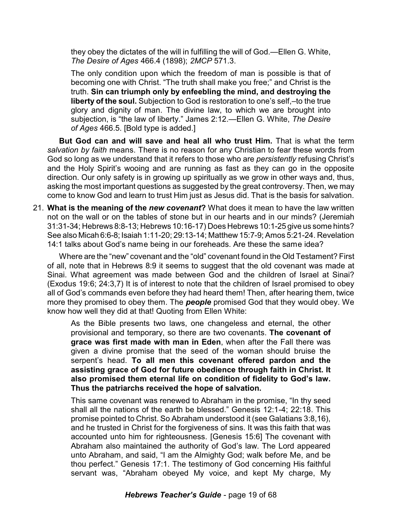they obey the dictates of the will in fulfilling the will of God.—Ellen G. White, *The Desire of Ages* 466.4 (1898); *2MCP* 571.3.

The only condition upon which the freedom of man is possible is that of becoming one with Christ. "The truth shall make you free;" and Christ is the truth. **Sin can triumph only by enfeebling the mind, and destroying the liberty of the soul.** Subjection to God is restoration to one's self,–to the true glory and dignity of man. The divine law, to which we are brought into subjection, is "the law of liberty." James 2:12.—Ellen G. White, *The Desire of Ages* 466.5. [Bold type is added.]

**But God can and will save and heal all who trust Him.** That is what the term *salvation by faith* means. There is no reason for any Christian to fear these words from God so long as we understand that it refers to those who are *persistently* refusing Christ's and the Holy Spirit's wooing and are running as fast as they can go in the opposite direction. Our only safety is in growing up spiritually as we grow in other ways and, thus, asking the most important questions as suggested by the great controversy. Then, we may come to know God and learn to trust Him just as Jesus did. That is the basis for salvation.

21. **What is the meaning of the** *new covenant***?** What does it mean to have the law written not on the wall or on the tables of stone but in our hearts and in our minds? (Jeremiah 31:31-34; Hebrews 8:8-13; Hebrews 10:16-17) Does Hebrews 10:1-25 give us some hints? See also Micah 6:6-8; Isaiah 1:11-20; 29:13-14; Matthew 15:7-9; Amos 5:21-24. Revelation 14:1 talks about God's name being in our foreheads. Are these the same idea?

Where are the "new" covenant and the "old" covenant found in the Old Testament? First of all, note that in Hebrews 8:9 it seems to suggest that the old covenant was made at Sinai. What agreement was made between God and the children of Israel at Sinai? (Exodus 19:6; 24:3,7) It is of interest to note that the children of Israel promised to obey all of God's commands even before they had heard them! Then, after hearing them, twice more they promised to obey them. The *people* promised God that they would obey. We know how well they did at that! Quoting from Ellen White:

As the Bible presents two laws, one changeless and eternal, the other provisional and temporary, so there are two covenants. **The covenant of grace was first made with man in Eden**, when after the Fall there was given a divine promise that the seed of the woman should bruise the serpent's head. **To all men this covenant offered pardon and the assisting grace of God for future obedience through faith in Christ. It also promised them eternal life on condition of fidelity to God's law. Thus the patriarchs received the hope of salvation.**

This same covenant was renewed to Abraham in the promise, "In thy seed shall all the nations of the earth be blessed." Genesis 12:1-4; 22:18. This promise pointed to Christ. So Abraham understood it (see Galatians 3:8,16), and he trusted in Christ for the forgiveness of sins. It was this faith that was accounted unto him for righteousness. [Genesis 15:6] The covenant with Abraham also maintained the authority of God's law. The Lord appeared unto Abraham, and said, "I am the Almighty God; walk before Me, and be thou perfect." Genesis 17:1. The testimony of God concerning His faithful servant was, "Abraham obeyed My voice, and kept My charge, My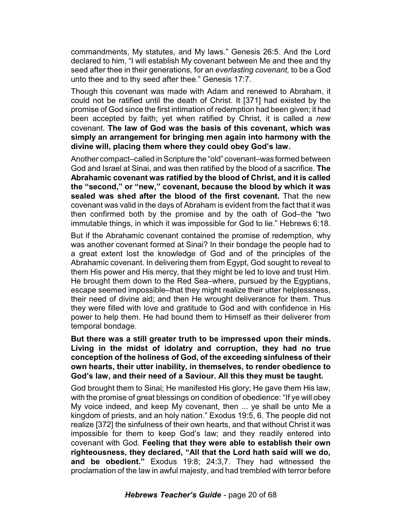commandments, My statutes, and My laws." Genesis 26:5. And the Lord declared to him, "I will establish My covenant between Me and thee and thy seed after thee in their generations, for an *everlasting covenant,* to be a God unto thee and to thy seed after thee." Genesis 17:7.

Though this covenant was made with Adam and renewed to Abraham, it could not be ratified until the death of Christ. It [371] had existed by the promise of God since the first intimation of redemption had been given; it had been accepted by faith; yet when ratified by Christ, it is called a *new* covenant. **The law of God was the basis of this covenant, which was simply an arrangement for bringing men again into harmony with the divine will, placing them where they could obey God's law.**

Another compact–called in Scripture the "old" covenant–was formed between God and Israel at Sinai, and was then ratified by the blood of a sacrifice. **The Abrahamic covenant was ratified by the blood of Christ, and it is called the "second," or "new," covenant, because the blood by which it was sealed was shed after the blood of the first covenant.** That the new covenant was valid in the days of Abraham is evident from the fact that it was then confirmed both by the promise and by the oath of God–the "two immutable things, in which it was impossible for God to lie." Hebrews 6:18.

But if the Abrahamic covenant contained the promise of redemption, why was another covenant formed at Sinai? In their bondage the people had to a great extent lost the knowledge of God and of the principles of the Abrahamic covenant. In delivering them from Egypt, God sought to reveal to them His power and His mercy, that they might be led to love and trust Him. He brought them down to the Red Sea–where, pursued by the Egyptians, escape seemed impossible–that they might realize their utter helplessness, their need of divine aid; and then He wrought deliverance for them. Thus they were filled with love and gratitude to God and with confidence in His power to help them. He had bound them to Himself as their deliverer from temporal bondage.

**But there was a still greater truth to be impressed upon their minds. Living in the midst of idolatry and corruption, they had no true conception of the holiness of God, of the exceeding sinfulness of their own hearts, their utter inability, in themselves, to render obedience to God's law, and their need of a Saviour. All this they must be taught.**

God brought them to Sinai; He manifested His glory; He gave them His law, with the promise of great blessings on condition of obedience: "If ye will obey My voice indeed, and keep My covenant, then ... ye shall be unto Me a kingdom of priests, and an holy nation." Exodus 19:5, 6. The people did not realize [372] the sinfulness of their own hearts, and that without Christ it was impossible for them to keep God's law; and they readily entered into covenant with God. **Feeling that they were able to establish their own righteousness, they declared, "All that the Lord hath said will we do, and be obedient."** Exodus 19:8; 24:3,7. They had witnessed the proclamation of the law in awful majesty, and had trembled with terror before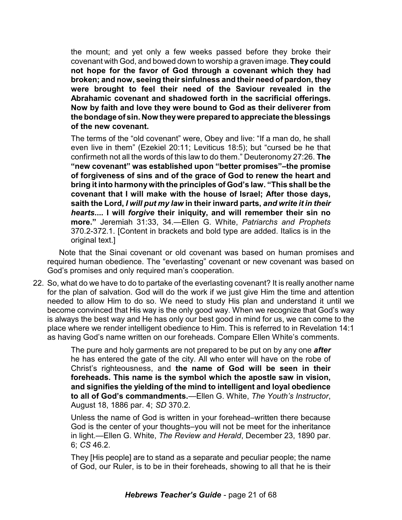the mount; and yet only a few weeks passed before they broke their covenant with God, and bowed down to worship a graven image. **They could not hope for the favor of God through a covenant which they had broken; and now, seeing their sinfulness and their need of pardon, they were brought to feel their need of the Saviour revealed in the Abrahamic covenant and shadowed forth in the sacrificial offerings. Now by faith and love they were bound to God as their deliverer from the bondage of sin. Now theywere prepared to appreciate the blessings of the new covenant.**

The terms of the "old covenant" were, Obey and live: "If a man do, he shall even live in them" (Ezekiel 20:11; Leviticus 18:5); but "cursed be he that confirmeth not all the words of this law to do them." Deuteronomy 27:26. **The "new covenant" was established upon "better promises"–the promise of forgiveness of sins and of the grace of God to renew the heart and bring it into harmony with the principles of God's law. "This shall be the covenant that I will make with the house of Israel; After those days, saith the Lord,** *I will put my law* **in their inward parts,** *and write it in their hearts***.... I will** *forgive* **their iniquity, and will remember their sin no more."** Jeremiah 31:33, 34.—Ellen G. White, *Patriarchs and Prophets* 370.2-372.1. [Content in brackets and bold type are added. Italics is in the original text.]

Note that the Sinai covenant or old covenant was based on human promises and required human obedience. The "everlasting" covenant or new covenant was based on God's promises and only required man's cooperation.

22. So, what do we have to do to partake of the everlasting covenant? It is really another name for the plan of salvation. God will do the work if we just give Him the time and attention needed to allow Him to do so. We need to study His plan and understand it until we become convinced that His way is the only good way. When we recognize that God's way is always the best way and He has only our best good in mind for us, we can come to the place where we render intelligent obedience to Him. This is referred to in Revelation 14:1 as having God's name written on our foreheads. Compare Ellen White's comments.

> The pure and holy garments are not prepared to be put on by any one *after* he has entered the gate of the city. All who enter will have on the robe of Christ's righteousness, and **the name of God will be seen in their foreheads. This name is the symbol which the apostle saw in vision, and signifies the yielding of the mind to intelligent and loyal obedience to all of God's commandments.**—Ellen G. White, *The Youth's Instructor*, August 18, 1886 par. 4; *SD* 370.2.

> Unless the name of God is written in your forehead–written there because God is the center of your thoughts–you will not be meet for the inheritance in light.—Ellen G. White, *The Review and Herald*, December 23, 1890 par. 6; *CS* 46.2.

> They [His people] are to stand as a separate and peculiar people; the name of God, our Ruler, is to be in their foreheads, showing to all that he is their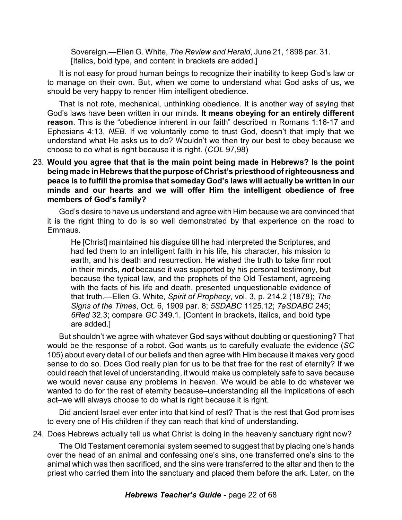Sovereign.—Ellen G. White, *The Review and Herald*, June 21, 1898 par. 31. [Italics, bold type, and content in brackets are added.]

It is not easy for proud human beings to recognize their inability to keep God's law or to manage on their own. But, when we come to understand what God asks of us, we should be very happy to render Him intelligent obedience.

That is not rote, mechanical, unthinking obedience. It is another way of saying that God's laws have been written in our minds. **It means obeying for an entirely different reason**. This is the "obedience inherent in our faith" described in Romans 1:16-17 and Ephesians 4:13, *NEB*. If we voluntarily come to trust God, doesn't that imply that we understand what He asks us to do? Wouldn't we then try our best to obey because we choose to do what is right because it is right. (*COL* 97,98)

23. **Would you agree that that is the main point being made in Hebrews? Is the point being made in Hebrews that the purpose of Christ's priesthood of righteousness and peace is to fulfill the promise that someday God's laws will actually be written in our minds and our hearts and we will offer Him the intelligent obedience of free members of God's family?**

God's desire to have us understand and agree with Him because we are convinced that it is the right thing to do is so well demonstrated by that experience on the road to Emmaus.

He [Christ] maintained his disguise till he had interpreted the Scriptures, and had led them to an intelligent faith in his life, his character, his mission to earth, and his death and resurrection. He wished the truth to take firm root in their minds, *not* because it was supported by his personal testimony, but because the typical law, and the prophets of the Old Testament, agreeing with the facts of his life and death, presented unquestionable evidence of that truth.—Ellen G. White, *Spirit of Prophecy*, vol. 3, p. 214.2 (1878); *The Signs of the Times*, Oct. 6, 1909 par. 8; *5SDABC* 1125.12; *7aSDABC* 245; *6Red* 32.3; compare *GC* 349.1. [Content in brackets, italics, and bold type are added.]

But shouldn't we agree with whatever God says without doubting or questioning? That would be the response of a robot. God wants us to carefully evaluate the evidence (*SC* 105) about every detail of our beliefs and then agree with Him because it makes very good sense to do so. Does God really plan for us to be that free for the rest of eternity? If we could reach that level of understanding, it would make us completely safe to save because we would never cause any problems in heaven. We would be able to do whatever we wanted to do for the rest of eternity because–understanding all the implications of each act–we will always choose to do what is right because it is right.

Did ancient Israel ever enter into that kind of rest? That is the rest that God promises to every one of His children if they can reach that kind of understanding.

24. Does Hebrews actually tell us what Christ is doing in the heavenly sanctuary right now?

The Old Testament ceremonial system seemed to suggest that by placing one's hands over the head of an animal and confessing one's sins, one transferred one's sins to the animal which was then sacrificed, and the sins were transferred to the altar and then to the priest who carried them into the sanctuary and placed them before the ark. Later, on the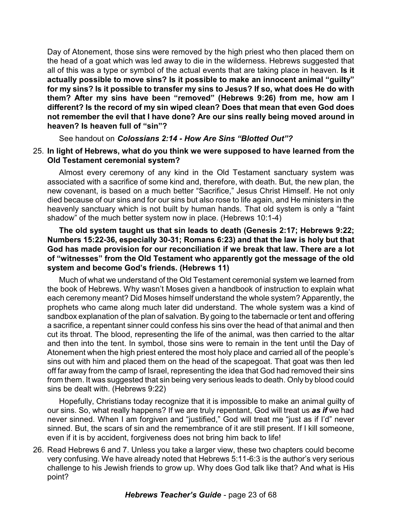Day of Atonement, those sins were removed by the high priest who then placed them on the head of a goat which was led away to die in the wilderness. Hebrews suggested that all of this was a type or symbol of the actual events that are taking place in heaven. **Is it actually possible to move sins? Is it possible to make an innocent animal "guilty" for my sins? Is it possible to transfer my sins to Jesus? If so, what does He do with them? After my sins have been "removed" (Hebrews 9:26) from me, how am I different? Is the record of my sin wiped clean? Does that mean that even God does not remember the evil that I have done? Are our sins really being moved around in heaven? Is heaven full of "sin"?**

See handout on *Colossians 2:14 - How Are Sins "Blotted Out"?*

## 25. **In light of Hebrews, what do you think we were supposed to have learned from the Old Testament ceremonial system?**

Almost every ceremony of any kind in the Old Testament sanctuary system was associated with a sacrifice of some kind and, therefore, with death. But, the new plan, the new covenant, is based on a much better "Sacrifice," Jesus Christ Himself. He not only died because of our sins and for our sins but also rose to life again, and He ministers in the heavenly sanctuary which is not built by human hands. That old system is only a "faint shadow" of the much better system now in place. (Hebrews 10:1-4)

## **The old system taught us that sin leads to death (Genesis 2:17; Hebrews 9:22; Numbers 15:22-36, especially 30-31; Romans 6:23) and that the law is holy but that God has made provision for our reconciliation if we break that law. There are a lot of "witnesses" from the Old Testament who apparently got the message of the old system and become God's friends. (Hebrews 11)**

Much of what we understand of the Old Testament ceremonial system we learned from the book of Hebrews. Why wasn't Moses given a handbook of instruction to explain what each ceremony meant? Did Moses himself understand the whole system? Apparently, the prophets who came along much later did understand. The whole system was a kind of sandbox explanation of the plan of salvation. By going to the tabernacle or tent and offering a sacrifice, a repentant sinner could confess his sins over the head of that animal and then cut its throat. The blood, representing the life of the animal, was then carried to the altar and then into the tent. In symbol, those sins were to remain in the tent until the Day of Atonement when the high priest entered the most holy place and carried all of the people's sins out with him and placed them on the head of the scapegoat. That goat was then led off far away from the camp of Israel, representing the idea that God had removed their sins from them. It was suggested that sin being very serious leads to death. Only by blood could sins be dealt with. (Hebrews 9:22)

Hopefully, Christians today recognize that it is impossible to make an animal guilty of our sins. So, what really happens? If we are truly repentant, God will treat us *as if* we had never sinned. When I am forgiven and "justified," God will treat me "just as if I'd" never sinned. But, the scars of sin and the remembrance of it are still present. If I kill someone, even if it is by accident, forgiveness does not bring him back to life!

26. Read Hebrews 6 and 7. Unless you take a larger view, these two chapters could become very confusing. We have already noted that Hebrews 5:11-6:3 is the author's very serious challenge to his Jewish friends to grow up. Why does God talk like that? And what is His point?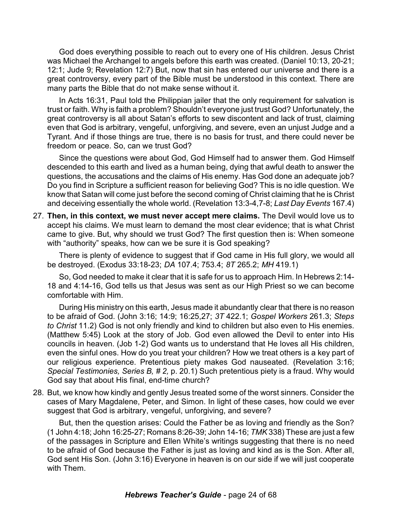God does everything possible to reach out to every one of His children. Jesus Christ was Michael the Archangel to angels before this earth was created. (Daniel 10:13, 20-21; 12:1; Jude 9; Revelation 12:7) But, now that sin has entered our universe and there is a great controversy, every part of the Bible must be understood in this context. There are many parts the Bible that do not make sense without it.

In Acts 16:31, Paul told the Philippian jailer that the only requirement for salvation is trust or faith. Why is faith a problem? Shouldn't everyone just trust God? Unfortunately, the great controversy is all about Satan's efforts to sew discontent and lack of trust, claiming even that God is arbitrary, vengeful, unforgiving, and severe, even an unjust Judge and a Tyrant. And if those things are true, there is no basis for trust, and there could never be freedom or peace. So, can we trust God?

Since the questions were about God, God Himself had to answer them. God Himself descended to this earth and lived as a human being, dying that awful death to answer the questions, the accusations and the claims of His enemy. Has God done an adequate job? Do you find in Scripture a sufficient reason for believing God? This is no idle question. We know that Satan will come just before the second coming of Christ claiming that he is Christ and deceiving essentially the whole world. (Revelation 13:3-4,7-8; *Last Day Events* 167.4)

27. **Then, in this context, we must never accept mere claims.** The Devil would love us to accept his claims. We must learn to demand the most clear evidence; that is what Christ came to give. But, why should we trust God? The first question then is: When someone with "authority" speaks, how can we be sure it is God speaking?

There is plenty of evidence to suggest that if God came in His full glory, we would all be destroyed. (Exodus 33:18-23; *DA* 107.4; 753.4; *8T* 265.2; *MH* 419.1)

So, God needed to make it clear that it is safe for us to approach Him. In Hebrews 2:14- 18 and 4:14-16, God tells us that Jesus was sent as our High Priest so we can become comfortable with Him.

During His ministry on this earth, Jesus made it abundantly clear that there is no reason to be afraid of God. (John 3:16; 14:9; 16:25,27; *3T* 422.1; *Gospel Workers* 261.3; *Steps to Christ* 11.2) God is not only friendly and kind to children but also even to His enemies. (Matthew 5:45) Look at the story of Job. God even allowed the Devil to enter into His councils in heaven. (Job 1-2) God wants us to understand that He loves all His children, even the sinful ones. How do you treat your children? How we treat others is a key part of our religious experience. Pretentious piety makes God nauseated. (Revelation 3:16; *Special Testimonies, Series B, # 2,* p. 20.1) Such pretentious piety is a fraud. Why would God say that about His final, end-time church?

28. But, we know how kindly and gently Jesus treated some of the worst sinners. Consider the cases of Mary Magdalene, Peter, and Simon. In light of these cases, how could we ever suggest that God is arbitrary, vengeful, unforgiving, and severe?

But, then the question arises: Could the Father be as loving and friendly as the Son? (1 John 4:18; John 16:25-27; Romans 8:26-39; John 14-16; *TMK* 338) These are just a few of the passages in Scripture and Ellen White's writings suggesting that there is no need to be afraid of God because the Father is just as loving and kind as is the Son. After all, God sent His Son. (John 3:16) Everyone in heaven is on our side if we will just cooperate with Them.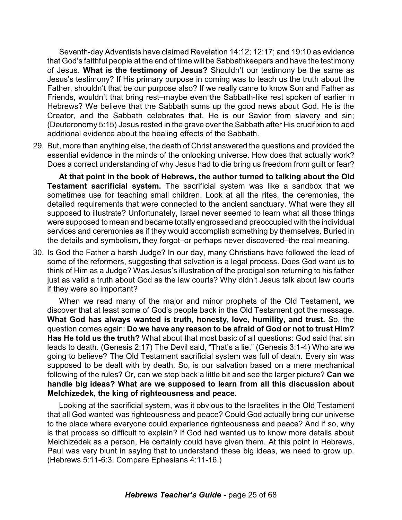Seventh-day Adventists have claimed Revelation 14:12; 12:17; and 19:10 as evidence that God's faithful people at the end of time will be Sabbathkeepers and have the testimony of Jesus. **What is the testimony of Jesus?** Shouldn't our testimony be the same as Jesus's testimony? If His primary purpose in coming was to teach us the truth about the Father, shouldn't that be our purpose also? If we really came to know Son and Father as Friends, wouldn't that bring rest–maybe even the Sabbath-like rest spoken of earlier in Hebrews? We believe that the Sabbath sums up the good news about God. He is the Creator, and the Sabbath celebrates that. He is our Savior from slavery and sin; (Deuteronomy 5:15) Jesus rested in the grave over the Sabbath after His crucifixion to add additional evidence about the healing effects of the Sabbath.

29. But, more than anything else, the death of Christ answered the questions and provided the essential evidence in the minds of the onlooking universe. How does that actually work? Does a correct understanding of why Jesus had to die bring us freedom from guilt or fear?

**At that point in the book of Hebrews, the author turned to talking about the Old Testament sacrificial system.** The sacrificial system was like a sandbox that we sometimes use for teaching small children. Look at all the rites, the ceremonies, the detailed requirements that were connected to the ancient sanctuary. What were they all supposed to illustrate? Unfortunately, Israel never seemed to learn what all those things were supposed to mean and became totally engrossed and preoccupied with the individual services and ceremonies as if they would accomplish something by themselves. Buried in the details and symbolism, they forgot–or perhaps never discovered–the real meaning.

30. Is God the Father a harsh Judge? In our day, many Christians have followed the lead of some of the reformers, suggesting that salvation is a legal process. Does God want us to think of Him as a Judge? Was Jesus's illustration of the prodigal son returning to his father just as valid a truth about God as the law courts? Why didn't Jesus talk about law courts if they were so important?

When we read many of the major and minor prophets of the Old Testament, we discover that at least some of God's people back in the Old Testament got the message. **What God has always wanted is truth, honesty, love, humility, and trust.** So, the question comes again: **Do we have any reason to be afraid of God or not to trust Him? Has He told us the truth?** What about that most basic of all questions: God said that sin leads to death. (Genesis 2:17) The Devil said, "That's a lie." (Genesis 3:1-4) Who are we going to believe? The Old Testament sacrificial system was full of death. Every sin was supposed to be dealt with by death. So, is our salvation based on a mere mechanical following of the rules? Or, can we step back a little bit and see the larger picture? **Can we handle big ideas? What are we supposed to learn from all this discussion about Melchizedek, the king of righteousness and peace.** 

Looking at the sacrificial system, was it obvious to the Israelites in the Old Testament that all God wanted was righteousness and peace? Could God actually bring our universe to the place where everyone could experience righteousness and peace? And if so, why is that process so difficult to explain? If God had wanted us to know more details about Melchizedek as a person, He certainly could have given them. At this point in Hebrews, Paul was very blunt in saying that to understand these big ideas, we need to grow up. (Hebrews 5:11-6:3. Compare Ephesians 4:11-16.)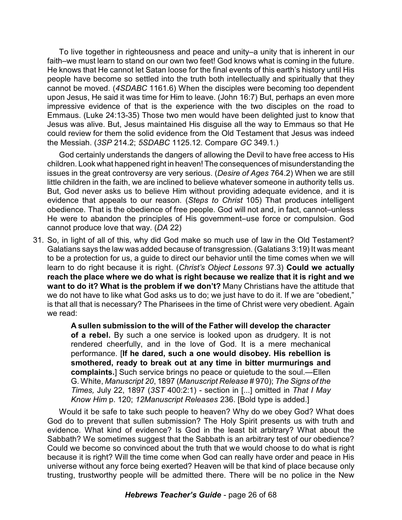To live together in righteousness and peace and unity–a unity that is inherent in our faith–we must learn to stand on our own two feet! God knows what is coming in the future. He knows that He cannot let Satan loose for the final events of this earth's history until His people have become so settled into the truth both intellectually and spiritually that they cannot be moved. (*4SDABC* 1161.6) When the disciples were becoming too dependent upon Jesus, He said it was time for Him to leave. (John 16:7) But, perhaps an even more impressive evidence of that is the experience with the two disciples on the road to Emmaus. (Luke 24:13-35) Those two men would have been delighted just to know that Jesus was alive. But, Jesus maintained His disguise all the way to Emmaus so that He could review for them the solid evidence from the Old Testament that Jesus was indeed the Messiah. (*3SP* 214.2; *5SDABC* 1125.12. Compare *GC* 349.1.)

God certainly understands the dangers of allowing the Devil to have free access to His children. Look what happened right in heaven! The consequences of misunderstanding the issues in the great controversy are very serious. (*Desire of Ages* 764.2) When we are still little children in the faith, we are inclined to believe whatever someone in authority tells us. But, God never asks us to believe Him without providing adequate evidence, and it is evidence that appeals to our reason. (*Steps to Christ* 105) That produces intelligent obedience. That is the obedience of free people. God will not and, in fact, cannot–unless He were to abandon the principles of His government–use force or compulsion. God cannot produce love that way. (*DA* 22)

31. So, in light of all of this, why did God make so much use of law in the Old Testament? Galatians says the law was added because of transgression. (Galatians 3:19) It was meant to be a protection for us, a guide to direct our behavior until the time comes when we will learn to do right because it is right. (*Christ's Object Lessons* 97.3) **Could we actually reach the place where we do what is right because we realize that it is right and we want to do it? What is the problem if we don't?** Many Christians have the attitude that we do not have to like what God asks us to do; we just have to do it. If we are "obedient," is that all that is necessary? The Pharisees in the time of Christ were very obedient. Again we read:

> **A sullen submission to the will of the Father will develop the character of a rebel.** By such a one service is looked upon as drudgery. It is not rendered cheerfully, and in the love of God. It is a mere mechanical performance. [**If he dared, such a one would disobey. His rebellion is smothered, ready to break out at any time in bitter murmurings and complaints.**] Such service brings no peace or quietude to the soul.—Ellen G. White, *Manuscript 20*, 1897 (*Manuscript Release* # 970); *The Signs of the Times,* July 22, 1897 (*3ST* 400:2:1) - section in [...] omitted in *That I May Know Him* p. 120; *12Manuscript Releases* 236. [Bold type is added.]

Would it be safe to take such people to heaven? Why do we obey God? What does God do to prevent that sullen submission? The Holy Spirit presents us with truth and evidence. What kind of evidence? Is God in the least bit arbitrary? What about the Sabbath? We sometimes suggest that the Sabbath is an arbitrary test of our obedience? Could we become so convinced about the truth that we would choose to do what is right because it is right? Will the time come when God can really have order and peace in His universe without any force being exerted? Heaven will be that kind of place because only trusting, trustworthy people will be admitted there. There will be no police in the New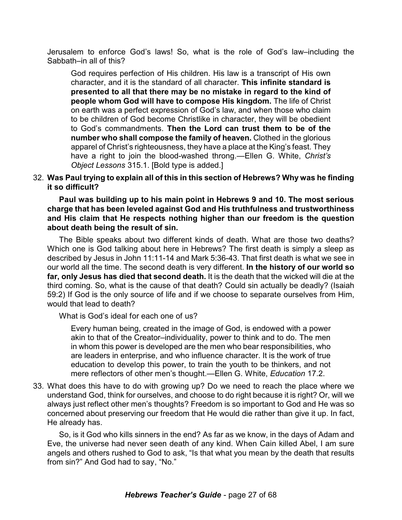Jerusalem to enforce God's laws! So, what is the role of God's law–including the Sabbath–in all of this?

God requires perfection of His children. His law is a transcript of His own character, and it is the standard of all character. **This infinite standard is presented to all that there may be no mistake in regard to the kind of people whom God will have to compose His kingdom.** The life of Christ on earth was a perfect expression of God's law, and when those who claim to be children of God become Christlike in character, they will be obedient to God's commandments. **Then the Lord can trust them to be of the number who shall compose the family of heaven.** Clothed in the glorious apparel of Christ's righteousness, they have a place at the King's feast. They have a right to join the blood-washed throng.—Ellen G. White, *Christ's Object Lessons* 315.1. [Bold type is added.]

32. **Was Paul trying to explain all of this in this section of Hebrews? Why was he finding it so difficult?**

**Paul was building up to his main point in Hebrews 9 and 10. The most serious charge that has been leveled against God and His truthfulness and trustworthiness and His claim that He respects nothing higher than our freedom is the question about death being the result of sin.**

The Bible speaks about two different kinds of death. What are those two deaths? Which one is God talking about here in Hebrews? The first death is simply a sleep as described by Jesus in John 11:11-14 and Mark 5:36-43. That first death is what we see in our world all the time. The second death is very different. **In the history of our world so far, only Jesus has died that second death.** It is the death that the wicked will die at the third coming. So, what is the cause of that death? Could sin actually be deadly? (Isaiah 59:2) If God is the only source of life and if we choose to separate ourselves from Him, would that lead to death?

What is God's ideal for each one of us?

Every human being, created in the image of God, is endowed with a power akin to that of the Creator–individuality, power to think and to do. The men in whom this power is developed are the men who bear responsibilities, who are leaders in enterprise, and who influence character. It is the work of true education to develop this power, to train the youth to be thinkers, and not mere reflectors of other men's thought.—Ellen G. White, *Education* 17.2.

33. What does this have to do with growing up? Do we need to reach the place where we understand God, think for ourselves, and choose to do right because it is right? Or, will we always just reflect other men's thoughts? Freedom is so important to God and He was so concerned about preserving our freedom that He would die rather than give it up. In fact, He already has.

So, is it God who kills sinners in the end? As far as we know, in the days of Adam and Eve, the universe had never seen death of any kind. When Cain killed Abel, I am sure angels and others rushed to God to ask, "Is that what you mean by the death that results from sin?" And God had to say, "No."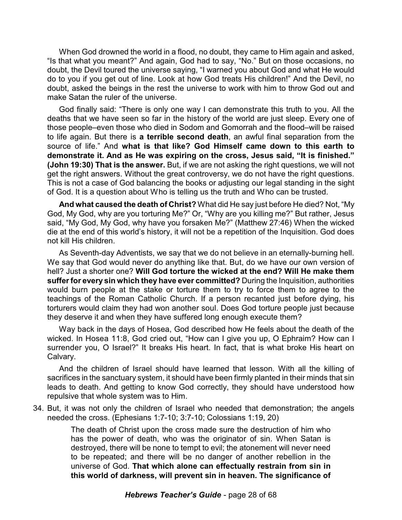When God drowned the world in a flood, no doubt, they came to Him again and asked, "Is that what you meant?" And again, God had to say, "No." But on those occasions, no doubt, the Devil toured the universe saying, "I warned you about God and what He would do to you if you get out of line. Look at how God treats His children!" And the Devil, no doubt, asked the beings in the rest the universe to work with him to throw God out and make Satan the ruler of the universe.

God finally said: "There is only one way I can demonstrate this truth to you. All the deaths that we have seen so far in the history of the world are just sleep. Every one of those people–even those who died in Sodom and Gomorrah and the flood–will be raised to life again. But there is **a terrible second death**, an awful final separation from the source of life." And **what is that like? God Himself came down to this earth to demonstrate it. And as He was expiring on the cross, Jesus said, "It is finished." (John 19:30) That is the answer.** But, if we are not asking the right questions, we will not get the right answers. Without the great controversy, we do not have the right questions. This is not a case of God balancing the books or adjusting our legal standing in the sight of God. It is a question about Who is telling us the truth and Who can be trusted.

**And what caused the death of Christ?** What did He say just before He died? Not, "My God, My God, why are you torturing Me?" Or, "Why are you killing me?" But rather, Jesus said, "My God, My God, why have you forsaken Me?" (Matthew 27:46) When the wicked die at the end of this world's history, it will not be a repetition of the Inquisition. God does not kill His children.

As Seventh-day Adventists, we say that we do not believe in an eternally-burning hell. We say that God would never do anything like that. But, do we have our own version of hell? Just a shorter one? **Will God torture the wicked at the end? Will He make them suffer for every sin which they have ever committed?** During the Inquisition, authorities would burn people at the stake or torture them to try to force them to agree to the teachings of the Roman Catholic Church. If a person recanted just before dying, his torturers would claim they had won another soul. Does God torture people just because they deserve it and when they have suffered long enough execute them?

Way back in the days of Hosea, God described how He feels about the death of the wicked. In Hosea 11:8, God cried out, "How can I give you up, O Ephraim? How can I surrender you, O Israel?" It breaks His heart. In fact, that is what broke His heart on Calvary.

And the children of Israel should have learned that lesson. With all the killing of sacrifices in the sanctuary system, it should have been firmly planted in their minds that sin leads to death. And getting to know God correctly, they should have understood how repulsive that whole system was to Him.

34. But, it was not only the children of Israel who needed that demonstration; the angels needed the cross. (Ephesians 1:7-10; 3:7-10; Colossians 1:19, 20)

> The death of Christ upon the cross made sure the destruction of him who has the power of death, who was the originator of sin. When Satan is destroyed, there will be none to tempt to evil; the atonement will never need to be repeated; and there will be no danger of another rebellion in the universe of God. **That which alone can effectually restrain from sin in this world of darkness, will prevent sin in heaven. The significance of**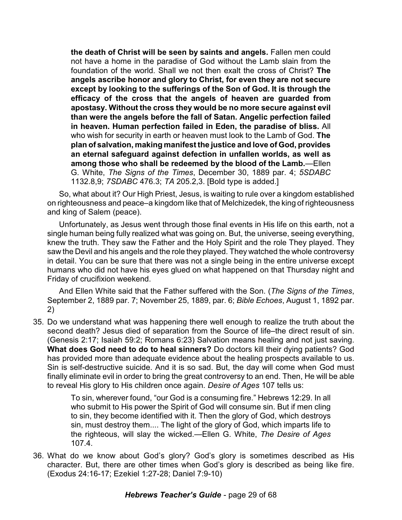**the death of Christ will be seen by saints and angels.** Fallen men could not have a home in the paradise of God without the Lamb slain from the foundation of the world. Shall we not then exalt the cross of Christ? **The angels ascribe honor and glory to Christ, for even they are not secure except by looking to the sufferings of the Son of God. It is through the efficacy of the cross that the angels of heaven are guarded from apostasy. Without the cross they would be no more secure against evil than were the angels before the fall of Satan. Angelic perfection failed in heaven. Human perfection failed in Eden, the paradise of bliss.** All who wish for security in earth or heaven must look to the Lamb of God. **The plan of salvation, making manifest the justice and love of God, provides an eternal safeguard against defection in unfallen worlds, as well as among those who shall be redeemed by the blood of the Lamb.**—Ellen G. White, *The Signs of the Times*, December 30, 1889 par. 4; *5SDABC* 1132.8,9; *7SDABC* 476.3; *TA* 205.2,3. [Bold type is added.]

So, what about it? Our High Priest, Jesus, is waiting to rule over a kingdom established on righteousness and peace–a kingdom like that of Melchizedek, the king of righteousness and king of Salem (peace).

Unfortunately, as Jesus went through those final events in His life on this earth, not a single human being fully realized what was going on. But, the universe, seeing everything, knew the truth. They saw the Father and the Holy Spirit and the role They played. They saw the Devil and his angels and the role they played. They watched the whole controversy in detail. You can be sure that there was not a single being in the entire universe except humans who did not have his eyes glued on what happened on that Thursday night and Friday of crucifixion weekend.

And Ellen White said that the Father suffered with the Son. (*The Signs of the Times*, September 2, 1889 par. 7; November 25, 1889, par. 6; *Bible Echoes*, August 1, 1892 par. 2)

35. Do we understand what was happening there well enough to realize the truth about the second death? Jesus died of separation from the Source of life–the direct result of sin. (Genesis 2:17; Isaiah 59:2; Romans 6:23) Salvation means healing and not just saving. **What does God need to do to heal sinners?** Do doctors kill their dying patients? God has provided more than adequate evidence about the healing prospects available to us. Sin is self-destructive suicide. And it is so sad. But, the day will come when God must finally eliminate evil in order to bring the great controversy to an end. Then, He will be able to reveal His glory to His children once again. *Desire of Ages* 107 tells us:

> To sin, wherever found, "our God is a consuming fire." Hebrews 12:29. In all who submit to His power the Spirit of God will consume sin. But if men cling to sin, they become identified with it. Then the glory of God, which destroys sin, must destroy them.... The light of the glory of God, which imparts life to the righteous, will slay the wicked.—Ellen G. White, *The Desire of Ages* 107.4.

36. What do we know about God's glory? God's glory is sometimes described as His character. But, there are other times when God's glory is described as being like fire. (Exodus 24:16-17; Ezekiel 1:27-28; Daniel 7:9-10)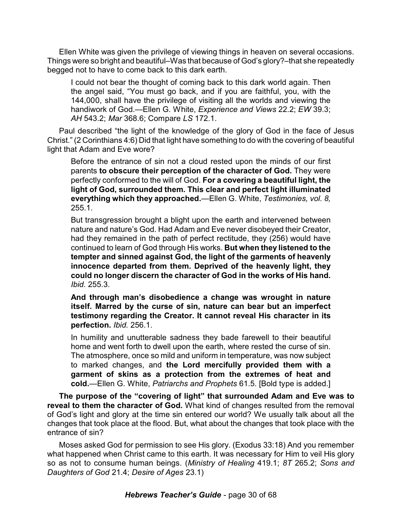Ellen White was given the privilege of viewing things in heaven on several occasions. Things were so bright and beautiful–Was that because of God's glory?–that she repeatedly begged not to have to come back to this dark earth.

I could not bear the thought of coming back to this dark world again. Then the angel said, "You must go back, and if you are faithful, you, with the 144,000, shall have the privilege of visiting all the worlds and viewing the handiwork of God.—Ellen G. White, *Experience and Views* 22.2; *EW* 39.3; *AH* 543.2; *Mar* 368.6; Compare *LS* 172.1.

Paul described "the light of the knowledge of the glory of God in the face of Jesus Christ." (2 Corinthians 4:6) Did that light have something to do with the covering of beautiful light that Adam and Eve wore?

Before the entrance of sin not a cloud rested upon the minds of our first parents **to obscure their perception of the character of God.** They were perfectly conformed to the will of God. **For a covering a beautiful light, the light of God, surrounded them. This clear and perfect light illuminated everything which they approached.**—Ellen G. White, *Testimonies, vol. 8,* 255.1.

But transgression brought a blight upon the earth and intervened between nature and nature's God. Had Adam and Eve never disobeyed their Creator, had they remained in the path of perfect rectitude, they (256) would have continued to learn of God through His works. **But when they listened to the tempter and sinned against God, the light of the garments of heavenly innocence departed from them. Deprived of the heavenly light, they could no longer discern the character of God in the works of His hand.** *Ibid.* 255.3.

**And through man's disobedience a change was wrought in nature itself. Marred by the curse of sin, nature can bear but an imperfect testimony regarding the Creator. It cannot reveal His character in its perfection.** *Ibid.* 256.1.

In humility and unutterable sadness they bade farewell to their beautiful home and went forth to dwell upon the earth, where rested the curse of sin. The atmosphere, once so mild and uniform in temperature, was now subject to marked changes, and **the Lord mercifully provided them with a garment of skins as a protection from the extremes of heat and cold.**—Ellen G. White, *Patriarchs and Prophets* 61.5. [Bold type is added.]

**The purpose of the "covering of light" that surrounded Adam and Eve was to reveal to them the character of God.** What kind of changes resulted from the removal of God's light and glory at the time sin entered our world? We usually talk about all the changes that took place at the flood. But, what about the changes that took place with the entrance of sin?

Moses asked God for permission to see His glory. (Exodus 33:18) And you remember what happened when Christ came to this earth. It was necessary for Him to veil His glory so as not to consume human beings. (*Ministry of Healing* 419.1; *8T* 265.2; *Sons and Daughters of God* 21.4; *Desire of Ages* 23.1)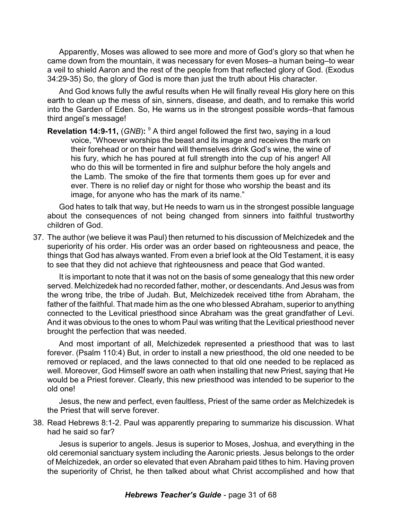Apparently, Moses was allowed to see more and more of God's glory so that when he came down from the mountain, it was necessary for even Moses–a human being–to wear a veil to shield Aaron and the rest of the people from that reflected glory of God. (Exodus 34:29-35) So, the glory of God is more than just the truth about His character.

And God knows fully the awful results when He will finally reveal His glory here on this earth to clean up the mess of sin, sinners, disease, and death, and to remake this world into the Garden of Eden. So, He warns us in the strongest possible words–that famous third angel's message!

**Revelation 14:9-11,** (GNB): <sup>9</sup> A third angel followed the first two, saying in a loud voice, "Whoever worships the beast and its image and receives the mark on their forehead or on their hand will themselves drink God's wine, the wine of his fury, which he has poured at full strength into the cup of his anger! All who do this will be tormented in fire and sulphur before the holy angels and the Lamb. The smoke of the fire that torments them goes up for ever and ever. There is no relief day or night for those who worship the beast and its image, for anyone who has the mark of its name."

God hates to talk that way, but He needs to warn us in the strongest possible language about the consequences of not being changed from sinners into faithful trustworthy children of God.

37. The author (we believe it was Paul) then returned to his discussion of Melchizedek and the superiority of his order. His order was an order based on righteousness and peace, the things that God has always wanted. From even a brief look at the Old Testament, it is easy to see that they did not achieve that righteousness and peace that God wanted.

It is important to note that it was not on the basis of some genealogy that this new order served. Melchizedek had no recorded father, mother, or descendants. And Jesus was from the wrong tribe, the tribe of Judah. But, Melchizedek received tithe from Abraham, the father of the faithful. That made him as the one who blessed Abraham, superior to anything connected to the Levitical priesthood since Abraham was the great grandfather of Levi. And it was obvious to the ones to whom Paul was writing that the Levitical priesthood never brought the perfection that was needed.

And most important of all, Melchizedek represented a priesthood that was to last forever. (Psalm 110:4) But, in order to install a new priesthood, the old one needed to be removed or replaced, and the laws connected to that old one needed to be replaced as well. Moreover, God Himself swore an oath when installing that new Priest, saying that He would be a Priest forever. Clearly, this new priesthood was intended to be superior to the old one!

Jesus, the new and perfect, even faultless, Priest of the same order as Melchizedek is the Priest that will serve forever.

38. Read Hebrews 8:1-2. Paul was apparently preparing to summarize his discussion. What had he said so far?

Jesus is superior to angels. Jesus is superior to Moses, Joshua, and everything in the old ceremonial sanctuary system including the Aaronic priests. Jesus belongs to the order of Melchizedek, an order so elevated that even Abraham paid tithes to him. Having proven the superiority of Christ, he then talked about what Christ accomplished and how that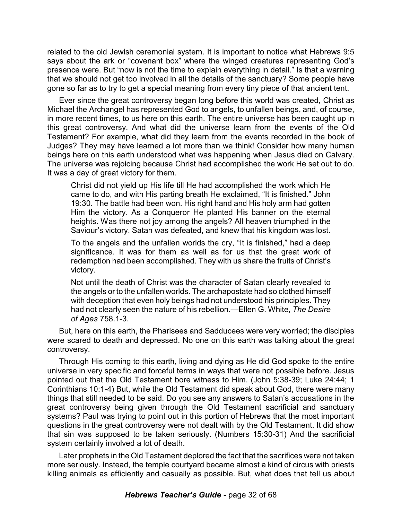related to the old Jewish ceremonial system. It is important to notice what Hebrews 9:5 says about the ark or "covenant box" where the winged creatures representing God's presence were. But "now is not the time to explain everything in detail." Is that a warning that we should not get too involved in all the details of the sanctuary? Some people have gone so far as to try to get a special meaning from every tiny piece of that ancient tent.

Ever since the great controversy began long before this world was created, Christ as Michael the Archangel has represented God to angels, to unfallen beings, and, of course, in more recent times, to us here on this earth. The entire universe has been caught up in this great controversy. And what did the universe learn from the events of the Old Testament? For example, what did they learn from the events recorded in the book of Judges? They may have learned a lot more than we think! Consider how many human beings here on this earth understood what was happening when Jesus died on Calvary. The universe was rejoicing because Christ had accomplished the work He set out to do. It was a day of great victory for them.

Christ did not yield up His life till He had accomplished the work which He came to do, and with His parting breath He exclaimed, "It is finished." John 19:30. The battle had been won. His right hand and His holy arm had gotten Him the victory. As a Conqueror He planted His banner on the eternal heights. Was there not joy among the angels? All heaven triumphed in the Saviour's victory. Satan was defeated, and knew that his kingdom was lost.

To the angels and the unfallen worlds the cry, "It is finished," had a deep significance. It was for them as well as for us that the great work of redemption had been accomplished. They with us share the fruits of Christ's victory.

Not until the death of Christ was the character of Satan clearly revealed to the angels or to the unfallen worlds. The archapostate had so clothed himself with deception that even holy beings had not understood his principles. They had not clearly seen the nature of his rebellion.—Ellen G. White, *The Desire of Ages* 758.1-3.

But, here on this earth, the Pharisees and Sadducees were very worried; the disciples were scared to death and depressed. No one on this earth was talking about the great controversy.

Through His coming to this earth, living and dying as He did God spoke to the entire universe in very specific and forceful terms in ways that were not possible before. Jesus pointed out that the Old Testament bore witness to Him. (John 5:38-39; Luke 24:44; 1 Corinthians 10:1-4) But, while the Old Testament did speak about God, there were many things that still needed to be said. Do you see any answers to Satan's accusations in the great controversy being given through the Old Testament sacrificial and sanctuary systems? Paul was trying to point out in this portion of Hebrews that the most important questions in the great controversy were not dealt with by the Old Testament. It did show that sin was supposed to be taken seriously. (Numbers 15:30-31) And the sacrificial system certainly involved a lot of death.

Later prophets in the Old Testament deplored the fact that the sacrifices were not taken more seriously. Instead, the temple courtyard became almost a kind of circus with priests killing animals as efficiently and casually as possible. But, what does that tell us about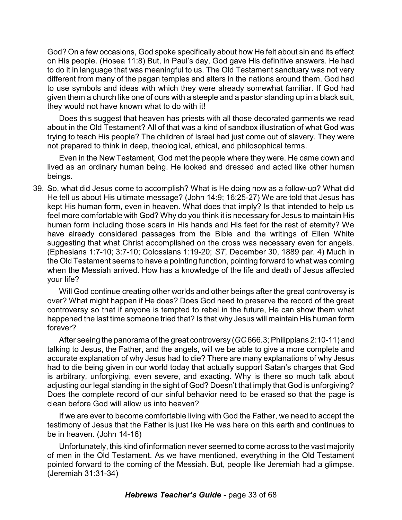God? On a few occasions, God spoke specifically about how He felt about sin and its effect on His people. (Hosea 11:8) But, in Paul's day, God gave His definitive answers. He had to do it in language that was meaningful to us. The Old Testament sanctuary was not very different from many of the pagan temples and alters in the nations around them. God had to use symbols and ideas with which they were already somewhat familiar. If God had given them a church like one of ours with a steeple and a pastor standing up in a black suit, they would not have known what to do with it!

Does this suggest that heaven has priests with all those decorated garments we read about in the Old Testament? All of that was a kind of sandbox illustration of what God was trying to teach His people? The children of Israel had just come out of slavery. They were not prepared to think in deep, theological, ethical, and philosophical terms.

Even in the New Testament, God met the people where they were. He came down and lived as an ordinary human being. He looked and dressed and acted like other human beings.

39. So, what did Jesus come to accomplish? What is He doing now as a follow-up? What did He tell us about His ultimate message? (John 14:9; 16:25-27) We are told that Jesus has kept His human form, even in heaven. What does that imply? Is that intended to help us feel more comfortable with God? Why do you think it is necessary for Jesus to maintain His human form including those scars in His hands and His feet for the rest of eternity? We have already considered passages from the Bible and the writings of Ellen White suggesting that what Christ accomplished on the cross was necessary even for angels. (Ephesians 1:7-10; 3:7-10; Colossians 1:19-20; *ST*, December 30, 1889 par. 4) Much in the Old Testament seems to have a pointing function, pointing forward to what was coming when the Messiah arrived. How has a knowledge of the life and death of Jesus affected your life?

Will God continue creating other worlds and other beings after the great controversy is over? What might happen if He does? Does God need to preserve the record of the great controversy so that if anyone is tempted to rebel in the future, He can show them what happened the last time someone tried that? Is that why Jesus will maintain His human form forever?

After seeing the panorama of the great controversy (*GC* 666.3; Philippians 2:10-11) and talking to Jesus, the Father, and the angels, will we be able to give a more complete and accurate explanation of why Jesus had to die? There are many explanations of why Jesus had to die being given in our world today that actually support Satan's charges that God is arbitrary, unforgiving, even severe, and exacting. Why is there so much talk about adjusting our legal standing in the sight of God? Doesn't that imply that God is unforgiving? Does the complete record of our sinful behavior need to be erased so that the page is clean before God will allow us into heaven?

If we are ever to become comfortable living with God the Father, we need to accept the testimony of Jesus that the Father is just like He was here on this earth and continues to be in heaven. (John 14-16)

Unfortunately, this kind of information never seemed to come across to the vast majority of men in the Old Testament. As we have mentioned, everything in the Old Testament pointed forward to the coming of the Messiah. But, people like Jeremiah had a glimpse. (Jeremiah 31:31-34)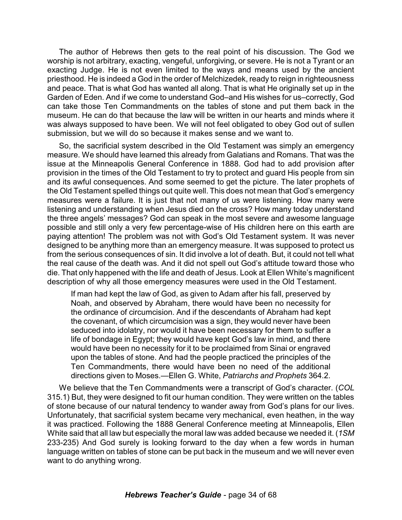The author of Hebrews then gets to the real point of his discussion. The God we worship is not arbitrary, exacting, vengeful, unforgiving, or severe. He is not a Tyrant or an exacting Judge. He is not even limited to the ways and means used by the ancient priesthood. He is indeed a God in the order of Melchizedek, ready to reign in righteousness and peace. That is what God has wanted all along. That is what He originally set up in the Garden of Eden. And if we come to understand God–and His wishes for us–correctly, God can take those Ten Commandments on the tables of stone and put them back in the museum. He can do that because the law will be written in our hearts and minds where it was always supposed to have been. We will not feel obligated to obey God out of sullen submission, but we will do so because it makes sense and we want to.

So, the sacrificial system described in the Old Testament was simply an emergency measure. We should have learned this already from Galatians and Romans. That was the issue at the Minneapolis General Conference in 1888. God had to add provision after provision in the times of the Old Testament to try to protect and guard His people from sin and its awful consequences. And some seemed to get the picture. The later prophets of the Old Testament spelled things out quite well. This does not mean that God's emergency measures were a failure. It is just that not many of us were listening. How many were listening and understanding when Jesus died on the cross? How many today understand the three angels' messages? God can speak in the most severe and awesome language possible and still only a very few percentage-wise of His children here on this earth are paying attention! The problem was not with God's Old Testament system. It was never designed to be anything more than an emergency measure. It was supposed to protect us from the serious consequences of sin. It did involve a lot of death. But, it could not tell what the real cause of the death was. And it did not spell out God's attitude toward those who die. That only happened with the life and death of Jesus. Look at Ellen White's magnificent description of why all those emergency measures were used in the Old Testament.

If man had kept the law of God, as given to Adam after his fall, preserved by Noah, and observed by Abraham, there would have been no necessity for the ordinance of circumcision. And if the descendants of Abraham had kept the covenant, of which circumcision was a sign, they would never have been seduced into idolatry, nor would it have been necessary for them to suffer a life of bondage in Egypt; they would have kept God's law in mind, and there would have been no necessity for it to be proclaimed from Sinai or engraved upon the tables of stone. And had the people practiced the principles of the Ten Commandments, there would have been no need of the additional directions given to Moses.—Ellen G. White, *Patriarchs and Prophets* 364.2.

We believe that the Ten Commandments were a transcript of God's character. (*COL* 315.1) But, they were designed to fit our human condition. They were written on the tables of stone because of our natural tendency to wander away from God's plans for our lives. Unfortunately, that sacrificial system became very mechanical, even heathen, in the way it was practiced. Following the 1888 General Conference meeting at Minneapolis, Ellen White said that all law but especially the moral law was added because we needed it. (*1SM* 233-235) And God surely is looking forward to the day when a few words in human language written on tables of stone can be put back in the museum and we will never even want to do anything wrong.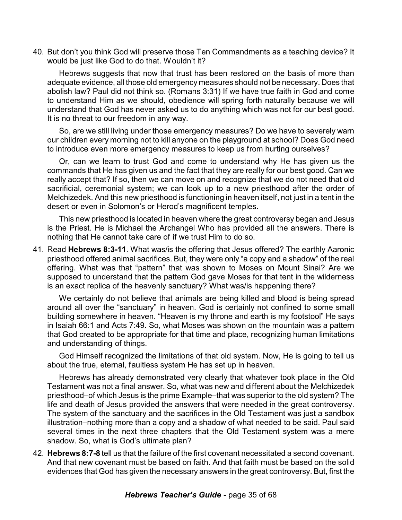40. But don't you think God will preserve those Ten Commandments as a teaching device? It would be just like God to do that. Wouldn't it?

Hebrews suggests that now that trust has been restored on the basis of more than adequate evidence, all those old emergency measures should not be necessary. Does that abolish law? Paul did not think so. (Romans 3:31) If we have true faith in God and come to understand Him as we should, obedience will spring forth naturally because we will understand that God has never asked us to do anything which was not for our best good. It is no threat to our freedom in any way.

So, are we still living under those emergency measures? Do we have to severely warn our children every morning not to kill anyone on the playground at school? Does God need to introduce even more emergency measures to keep us from hurting ourselves?

Or, can we learn to trust God and come to understand why He has given us the commands that He has given us and the fact that they are really for our best good. Can we really accept that? If so, then we can move on and recognize that we do not need that old sacrificial, ceremonial system; we can look up to a new priesthood after the order of Melchizedek. And this new priesthood is functioning in heaven itself, not just in a tent in the desert or even in Solomon's or Herod's magnificent temples.

This new priesthood is located in heaven where the great controversy began and Jesus is the Priest. He is Michael the Archangel Who has provided all the answers. There is nothing that He cannot take care of if we trust Him to do so.

41. Read **Hebrews 8:3-11**. What was/is the offering that Jesus offered? The earthly Aaronic priesthood offered animal sacrifices. But, they were only "a copy and a shadow" of the real offering. What was that "pattern" that was shown to Moses on Mount Sinai? Are we supposed to understand that the pattern God gave Moses for that tent in the wilderness is an exact replica of the heavenly sanctuary? What was/is happening there?

We certainly do not believe that animals are being killed and blood is being spread around all over the "sanctuary" in heaven. God is certainly not confined to some small building somewhere in heaven. "Heaven is my throne and earth is my footstool" He says in Isaiah 66:1 and Acts 7:49. So, what Moses was shown on the mountain was a pattern that God created to be appropriate for that time and place, recognizing human limitations and understanding of things.

God Himself recognized the limitations of that old system. Now, He is going to tell us about the true, eternal, faultless system He has set up in heaven.

Hebrews has already demonstrated very clearly that whatever took place in the Old Testament was not a final answer. So, what was new and different about the Melchizedek priesthood–of which Jesus is the prime Example–that was superior to the old system? The life and death of Jesus provided the answers that were needed in the great controversy. The system of the sanctuary and the sacrifices in the Old Testament was just a sandbox illustration–nothing more than a copy and a shadow of what needed to be said. Paul said several times in the next three chapters that the Old Testament system was a mere shadow. So, what is God's ultimate plan?

42. **Hebrews 8:7-8** tell us that the failure of the first covenant necessitated a second covenant. And that new covenant must be based on faith. And that faith must be based on the solid evidences that God has given the necessary answers in the great controversy. But, first the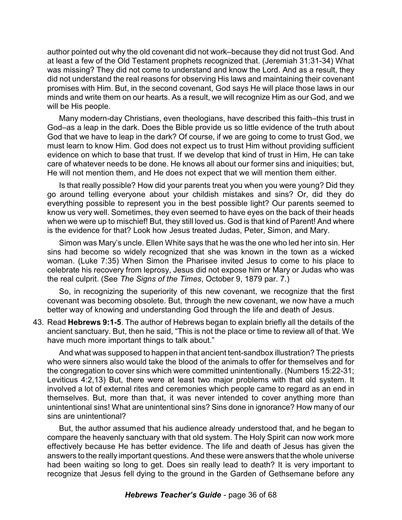author pointed out why the old covenant did not work–because they did not trust God. And at least a few of the Old Testament prophets recognized that. (Jeremiah 31:31-34) What was missing? They did not come to understand and know the Lord. And as a result, they did not understand the real reasons for observing His laws and maintaining their covenant promises with Him. But, in the second covenant, God says He will place those laws in our minds and write them on our hearts. As a result, we will recognize Him as our God, and we will be His people.

Many modern-day Christians, even theologians, have described this faith–this trust in God–as a leap in the dark. Does the Bible provide us so little evidence of the truth about God that we have to leap in the dark? Of course, if we are going to come to trust God, we must learn to know Him. God does not expect us to trust Him without providing sufficient evidence on which to base that trust. If we develop that kind of trust in Him, He can take care of whatever needs to be done. He knows all about our former sins and iniquities; but, He will not mention them, and He does not expect that we will mention them either.

Is that really possible? How did your parents treat you when you were young? Did they go around telling everyone about your childish mistakes and sins? Or, did they do everything possible to represent you in the best possible light? Our parents seemed to know us very well. Sometimes, they even seemed to have eyes on the back of their heads when we were up to mischief! But, they still loved us. God is that kind of Parent! And where is the evidence for that? Look how Jesus treated Judas, Peter, Simon, and Mary.

Simon was Mary's uncle. Ellen White says that he was the one who led her into sin. Her sins had become so widely recognized that she was known in the town as a wicked woman. (Luke 7:35) When Simon the Pharisee invited Jesus to come to his place to celebrate his recovery from leprosy, Jesus did not expose him or Mary or Judas who was the real culprit. (See *The Signs of the Times*, October 9, 1879 par. 7.)

So, in recognizing the superiority of this new covenant, we recognize that the first covenant was becoming obsolete. But, through the new covenant, we now have a much better way of knowing and understanding God through the life and death of Jesus.

43. Read **Hebrews 9:1-5**. The author of Hebrews began to explain briefly all the details of the ancient sanctuary. But, then he said, "This is not the place or time to review all of that. We have much more important things to talk about."

And what was supposed to happen in that ancient tent-sandbox illustration? The priests who were sinners also would take the blood of the animals to offer for themselves and for the congregation to cover sins which were committed unintentionally. (Numbers 15:22-31; Leviticus 4:2,13) But, there were at least two major problems with that old system. It involved a lot of external rites and ceremonies which people came to regard as an end in themselves. But, more than that, it was never intended to cover anything more than unintentional sins! What are unintentional sins? Sins done in ignorance? How many of our sins are unintentional?

But, the author assumed that his audience already understood that, and he began to compare the heavenly sanctuary with that old system. The Holy Spirit can now work more effectively because He has better evidence. The life and death of Jesus has given the answers to the really important questions. And these were answers that the whole universe had been waiting so long to get. Does sin really lead to death? It is very important to recognize that Jesus fell dying to the ground in the Garden of Gethsemane before any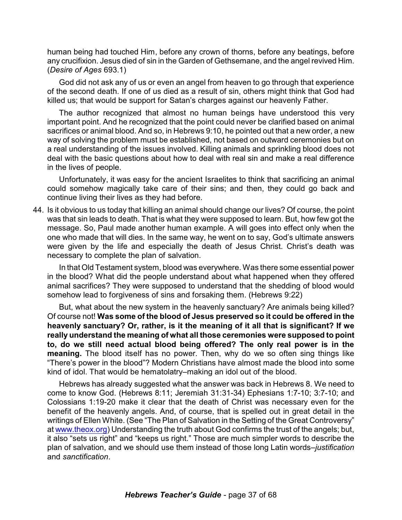human being had touched Him, before any crown of thorns, before any beatings, before any crucifixion. Jesus died of sin in the Garden of Gethsemane, and the angel revived Him. (*Desire of Ages* 693.1)

God did not ask any of us or even an angel from heaven to go through that experience of the second death. If one of us died as a result of sin, others might think that God had killed us; that would be support for Satan's charges against our heavenly Father.

The author recognized that almost no human beings have understood this very important point. And he recognized that the point could never be clarified based on animal sacrifices or animal blood. And so, in Hebrews 9:10, he pointed out that a new order, a new way of solving the problem must be established, not based on outward ceremonies but on a real understanding of the issues involved. Killing animals and sprinkling blood does not deal with the basic questions about how to deal with real sin and make a real difference in the lives of people.

Unfortunately, it was easy for the ancient Israelites to think that sacrificing an animal could somehow magically take care of their sins; and then, they could go back and continue living their lives as they had before.

44. Is it obvious to us today that killing an animal should change our lives? Of course, the point was that sin leads to death. That is what they were supposed to learn. But, how few got the message. So, Paul made another human example. A will goes into effect only when the one who made that will dies. In the same way, he went on to say, God's ultimate answers were given by the life and especially the death of Jesus Christ. Christ's death was necessary to complete the plan of salvation.

In that Old Testament system, blood was everywhere. Was there some essential power in the blood? What did the people understand about what happened when they offered animal sacrifices? They were supposed to understand that the shedding of blood would somehow lead to forgiveness of sins and forsaking them. (Hebrews 9:22)

But, what about the new system in the heavenly sanctuary? Are animals being killed? Of course not! **Was some of the blood of Jesus preserved so it could be offered in the heavenly sanctuary? Or, rather, is it the meaning of it all that is significant? If we really understand the meaning of what all those ceremonies were supposed to point to, do we still need actual blood being offered? The only real power is in the meaning.** The blood itself has no power. Then, why do we so often sing things like "There's power in the blood"? Modern Christians have almost made the blood into some kind of idol. That would be hematolatry–making an idol out of the blood.

Hebrews has already suggested what the answer was back in Hebrews 8. We need to come to know God. (Hebrews 8:11; Jeremiah 31:31-34) Ephesians 1:7-10; 3:7-10; and Colossians 1:19-20 make it clear that the death of Christ was necessary even for the benefit of the heavenly angels. And, of course, that is spelled out in great detail in the writings of Ellen White. (See "The Plan of Salvation in the Setting of the Great Controversy" at [www.theox.org](http://www.theox.org)) Understanding the truth about God confirms the trust of the angels; but, it also "sets us right" and "keeps us right." Those are much simpler words to describe the plan of salvation, and we should use them instead of those long Latin words–*justification* and *sanctification*.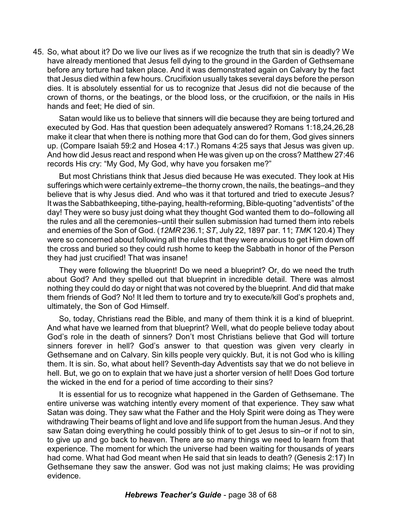45. So, what about it? Do we live our lives as if we recognize the truth that sin is deadly? We have already mentioned that Jesus fell dying to the ground in the Garden of Gethsemane before any torture had taken place. And it was demonstrated again on Calvary by the fact that Jesus died within a few hours. Crucifixion usually takes several days before the person dies. It is absolutely essential for us to recognize that Jesus did not die because of the crown of thorns, or the beatings, or the blood loss, or the crucifixion, or the nails in His hands and feet; He died of sin.

Satan would like us to believe that sinners will die because they are being tortured and executed by God. Has that question been adequately answered? Romans 1:18,24,26,28 make it clear that when there is nothing more that God can do for them, God gives sinners up. (Compare Isaiah 59:2 and Hosea 4:17.) Romans 4:25 says that Jesus was given up. And how did Jesus react and respond when He was given up on the cross? Matthew 27:46 records His cry: "My God, My God, why have you forsaken me?"

But most Christians think that Jesus died because He was executed. They look at His sufferings which were certainly extreme–the thorny crown, the nails, the beatings–and they believe that is why Jesus died. And who was it that tortured and tried to execute Jesus? It was the Sabbathkeeping, tithe-paying, health-reforming, Bible-quoting "adventists" of the day! They were so busy just doing what they thought God wanted them to do–following all the rules and all the ceremonies–until their sullen submission had turned them into rebels and enemies of the Son of God. (*12MR* 236.1; *ST*, July 22, 1897 par. 11; *TMK* 120.4) They were so concerned about following all the rules that they were anxious to get Him down off the cross and buried so they could rush home to keep the Sabbath in honor of the Person they had just crucified! That was insane!

They were following the blueprint! Do we need a blueprint? Or, do we need the truth about God? And they spelled out that blueprint in incredible detail. There was almost nothing they could do day or night that was not covered by the blueprint. And did that make them friends of God? No! It led them to torture and try to execute/kill God's prophets and, ultimately, the Son of God Himself.

So, today, Christians read the Bible, and many of them think it is a kind of blueprint. And what have we learned from that blueprint? Well, what do people believe today about God's role in the death of sinners? Don't most Christians believe that God will torture sinners forever in hell? God's answer to that question was given very clearly in Gethsemane and on Calvary. Sin kills people very quickly. But, it is not God who is killing them. It is sin. So, what about hell? Seventh-day Adventists say that we do not believe in hell. But, we go on to explain that we have just a shorter version of hell! Does God torture the wicked in the end for a period of time according to their sins?

It is essential for us to recognize what happened in the Garden of Gethsemane. The entire universe was watching intently every moment of that experience. They saw what Satan was doing. They saw what the Father and the Holy Spirit were doing as They were withdrawing Their beams of light and love and life support from the human Jesus. And they saw Satan doing everything he could possibly think of to get Jesus to sin–or if not to sin, to give up and go back to heaven. There are so many things we need to learn from that experience. The moment for which the universe had been waiting for thousands of years had come. What had God meant when He said that sin leads to death? (Genesis 2:17) In Gethsemane they saw the answer. God was not just making claims; He was providing evidence.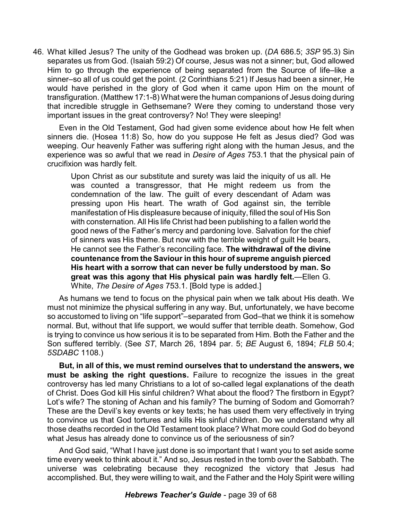46. What killed Jesus? The unity of the Godhead was broken up. (*DA* 686.5; *3SP* 95.3) Sin separates us from God. (Isaiah 59:2) Of course, Jesus was not a sinner; but, God allowed Him to go through the experience of being separated from the Source of life–like a sinner–so all of us could get the point. (2 Corinthians 5:21) If Jesus had been a sinner, He would have perished in the glory of God when it came upon Him on the mount of transfiguration. (Matthew 17:1-8) What were the human companions of Jesus doing during that incredible struggle in Gethsemane? Were they coming to understand those very important issues in the great controversy? No! They were sleeping!

Even in the Old Testament, God had given some evidence about how He felt when sinners die. (Hosea 11:8) So, how do you suppose He felt as Jesus died? God was weeping. Our heavenly Father was suffering right along with the human Jesus, and the experience was so awful that we read in *Desire of Ages* 753.1 that the physical pain of crucifixion was hardly felt.

Upon Christ as our substitute and surety was laid the iniquity of us all. He was counted a transgressor, that He might redeem us from the condemnation of the law. The guilt of every descendant of Adam was pressing upon His heart. The wrath of God against sin, the terrible manifestation of His displeasure because of iniquity, filled the soul of His Son with consternation. All His life Christ had been publishing to a fallen world the good news of the Father's mercy and pardoning love. Salvation for the chief of sinners was His theme. But now with the terrible weight of guilt He bears, He cannot see the Father's reconciling face. **The withdrawal of the divine countenance from the Saviour in this hour of supreme anguish pierced His heart with a sorrow that can never be fully understood by man. So great was this agony that His physical pain was hardly felt.**—Ellen G. White, *The Desire of Ages* 753.1. [Bold type is added.]

As humans we tend to focus on the physical pain when we talk about His death. We must not minimize the physical suffering in any way. But, unfortunately, we have become so accustomed to living on "life support"–separated from God–that we think it is somehow normal. But, without that life support, we would suffer that terrible death. Somehow, God is trying to convince us how serious it is to be separated from Him. Both the Father and the Son suffered terribly. (See *ST*, March 26, 1894 par. 5; *BE* August 6, 1894; *FLB* 50.4; *5SDABC* 1108.)

**But, in all of this, we must remind ourselves that to understand the answers, we must be asking the right questions.** Failure to recognize the issues in the great controversy has led many Christians to a lot of so-called legal explanations of the death of Christ. Does God kill His sinful children? What about the flood? The firstborn in Egypt? Lot's wife? The stoning of Achan and his family? The burning of Sodom and Gomorrah? These are the Devil's key events or key texts; he has used them very effectively in trying to convince us that God tortures and kills His sinful children. Do we understand why all those deaths recorded in the Old Testament took place? What more could God do beyond what Jesus has already done to convince us of the seriousness of sin?

And God said, "What I have just done is so important that I want you to set aside some time every week to think about it." And so, Jesus rested in the tomb over the Sabbath. The universe was celebrating because they recognized the victory that Jesus had accomplished. But, they were willing to wait, and the Father and the Holy Spirit were willing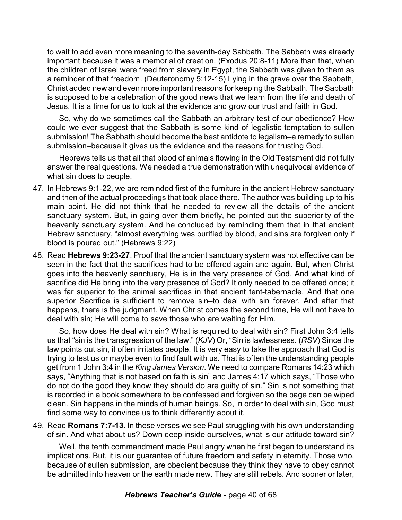to wait to add even more meaning to the seventh-day Sabbath. The Sabbath was already important because it was a memorial of creation. (Exodus 20:8-11) More than that, when the children of Israel were freed from slavery in Egypt, the Sabbath was given to them as a reminder of that freedom. (Deuteronomy 5:12-15) Lying in the grave over the Sabbath, Christ added new and even more important reasons for keeping the Sabbath. The Sabbath is supposed to be a celebration of the good news that we learn from the life and death of Jesus. It is a time for us to look at the evidence and grow our trust and faith in God.

So, why do we sometimes call the Sabbath an arbitrary test of our obedience? How could we ever suggest that the Sabbath is some kind of legalistic temptation to sullen submission! The Sabbath should become the best antidote to legalism–a remedy to sullen submission–because it gives us the evidence and the reasons for trusting God.

Hebrews tells us that all that blood of animals flowing in the Old Testament did not fully answer the real questions. We needed a true demonstration with unequivocal evidence of what sin does to people.

- 47. In Hebrews 9:1-22, we are reminded first of the furniture in the ancient Hebrew sanctuary and then of the actual proceedings that took place there. The author was building up to his main point. He did not think that he needed to review all the details of the ancient sanctuary system. But, in going over them briefly, he pointed out the superiority of the heavenly sanctuary system. And he concluded by reminding them that in that ancient Hebrew sanctuary, "almost everything was purified by blood, and sins are forgiven only if blood is poured out." (Hebrews 9:22)
- 48. Read **Hebrews 9:23-27**. Proof that the ancient sanctuary system was not effective can be seen in the fact that the sacrifices had to be offered again and again. But, when Christ goes into the heavenly sanctuary, He is in the very presence of God. And what kind of sacrifice did He bring into the very presence of God? It only needed to be offered once; it was far superior to the animal sacrifices in that ancient tent-tabernacle. And that one superior Sacrifice is sufficient to remove sin–to deal with sin forever. And after that happens, there is the judgment. When Christ comes the second time, He will not have to deal with sin; He will come to save those who are waiting for Him.

So, how does He deal with sin? What is required to deal with sin? First John 3:4 tells us that "sin is the transgression of the law." (*KJV*) Or, "Sin is lawlessness. (*RSV*) Since the law points out sin, it often irritates people. It is very easy to take the approach that God is trying to test us or maybe even to find fault with us. That is often the understanding people get from 1 John 3:4 in the *King James Version*. We need to compare Romans 14:23 which says, "Anything that is not based on faith is sin" and James 4:17 which says, "Those who do not do the good they know they should do are guilty of sin." Sin is not something that is recorded in a book somewhere to be confessed and forgiven so the page can be wiped clean. Sin happens in the minds of human beings. So, in order to deal with sin, God must find some way to convince us to think differently about it.

49. Read **Romans 7:7-13**. In these verses we see Paul struggling with his own understanding of sin. And what about us? Down deep inside ourselves, what is our attitude toward sin?

Well, the tenth commandment made Paul angry when he first began to understand its implications. But, it is our guarantee of future freedom and safety in eternity. Those who, because of sullen submission, are obedient because they think they have to obey cannot be admitted into heaven or the earth made new. They are still rebels. And sooner or later,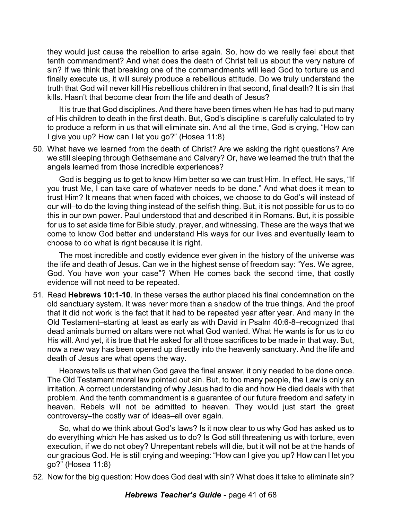they would just cause the rebellion to arise again. So, how do we really feel about that tenth commandment? And what does the death of Christ tell us about the very nature of sin? If we think that breaking one of the commandments will lead God to torture us and finally execute us, it will surely produce a rebellious attitude. Do we truly understand the truth that God will never kill His rebellious children in that second, final death? It is sin that kills. Hasn't that become clear from the life and death of Jesus?

It is true that God disciplines. And there have been times when He has had to put many of His children to death in the first death. But, God's discipline is carefully calculated to try to produce a reform in us that will eliminate sin. And all the time, God is crying, "How can I give you up? How can I let you go?" (Hosea 11:8)

50. What have we learned from the death of Christ? Are we asking the right questions? Are we still sleeping through Gethsemane and Calvary? Or, have we learned the truth that the angels learned from those incredible experiences?

God is begging us to get to know Him better so we can trust Him. In effect, He says, "If you trust Me, I can take care of whatever needs to be done." And what does it mean to trust Him? It means that when faced with choices, we choose to do God's will instead of our will–to do the loving thing instead of the selfish thing. But, it is not possible for us to do this in our own power. Paul understood that and described it in Romans. But, it is possible for us to set aside time for Bible study, prayer, and witnessing. These are the ways that we come to know God better and understand His ways for our lives and eventually learn to choose to do what is right because it is right.

The most incredible and costly evidence ever given in the history of the universe was the life and death of Jesus. Can we in the highest sense of freedom say: "Yes. We agree, God. You have won your case"? When He comes back the second time, that costly evidence will not need to be repeated.

51. Read **Hebrews 10:1-10**. In these verses the author placed his final condemnation on the old sanctuary system. It was never more than a shadow of the true things. And the proof that it did not work is the fact that it had to be repeated year after year. And many in the Old Testament–starting at least as early as with David in Psalm 40:6-8–recognized that dead animals burned on altars were not what God wanted. What He wants is for us to do His will. And yet, it is true that He asked for all those sacrifices to be made in that way. But, now a new way has been opened up directly into the heavenly sanctuary. And the life and death of Jesus are what opens the way.

Hebrews tells us that when God gave the final answer, it only needed to be done once. The Old Testament moral law pointed out sin. But, to too many people, the Law is only an irritation. A correct understanding of why Jesus had to die and how He died deals with that problem. And the tenth commandment is a guarantee of our future freedom and safety in heaven. Rebels will not be admitted to heaven. They would just start the great controversy–the costly war of ideas–all over again.

So, what do we think about God's laws? Is it now clear to us why God has asked us to do everything which He has asked us to do? Is God still threatening us with torture, even execution, if we do not obey? Unrepentant rebels will die, but it will not be at the hands of our gracious God. He is still crying and weeping: "How can I give you up? How can I let you go?" (Hosea 11:8)

52. Now for the big question: How does God deal with sin? What does it take to eliminate sin?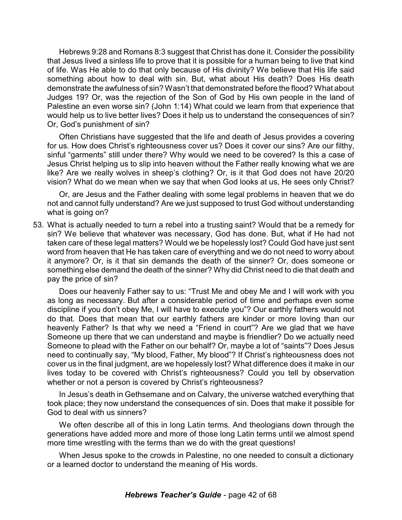Hebrews 9:28 and Romans 8:3 suggest that Christ has done it. Consider the possibility that Jesus lived a sinless life to prove that it is possible for a human being to live that kind of life. Was He able to do that only because of His divinity? We believe that His life said something about how to deal with sin. But, what about His death? Does His death demonstrate the awfulness of sin? Wasn't that demonstrated before the flood? What about Judges 19? Or, was the rejection of the Son of God by His own people in the land of Palestine an even worse sin? (John 1:14) What could we learn from that experience that would help us to live better lives? Does it help us to understand the consequences of sin? Or, God's punishment of sin?

Often Christians have suggested that the life and death of Jesus provides a covering for us. How does Christ's righteousness cover us? Does it cover our sins? Are our filthy, sinful "garments" still under there? Why would we need to be covered? Is this a case of Jesus Christ helping us to slip into heaven without the Father really knowing what we are like? Are we really wolves in sheep's clothing? Or, is it that God does not have 20/20 vision? What do we mean when we say that when God looks at us, He sees only Christ?

Or, are Jesus and the Father dealing with some legal problems in heaven that we do not and cannot fully understand? Are we just supposed to trust God without understanding what is going on?

53. What is actually needed to turn a rebel into a trusting saint? Would that be a remedy for sin? We believe that whatever was necessary, God has done. But, what if He had not taken care of these legal matters? Would we be hopelessly lost? Could God have just sent word from heaven that He has taken care of everything and we do not need to worry about it anymore? Or, is it that sin demands the death of the sinner? Or, does someone or something else demand the death of the sinner? Why did Christ need to die that death and pay the price of sin?

Does our heavenly Father say to us: "Trust Me and obey Me and I will work with you as long as necessary. But after a considerable period of time and perhaps even some discipline if you don't obey Me, I will have to execute you"? Our earthly fathers would not do that. Does that mean that our earthly fathers are kinder or more loving than our heavenly Father? Is that why we need a "Friend in court"? Are we glad that we have Someone up there that we can understand and maybe is friendlier? Do we actually need Someone to plead with the Father on our behalf? Or, maybe a lot of "saints"? Does Jesus need to continually say, "My blood, Father, My blood"? If Christ's righteousness does not cover us in the final judgment, are we hopelessly lost? What difference does it make in our lives today to be covered with Christ's righteousness? Could you tell by observation whether or not a person is covered by Christ's righteousness?

In Jesus's death in Gethsemane and on Calvary, the universe watched everything that took place; they now understand the consequences of sin. Does that make it possible for God to deal with us sinners?

We often describe all of this in long Latin terms. And theologians down through the generations have added more and more of those long Latin terms until we almost spend more time wrestling with the terms than we do with the great questions!

When Jesus spoke to the crowds in Palestine, no one needed to consult a dictionary or a learned doctor to understand the meaning of His words.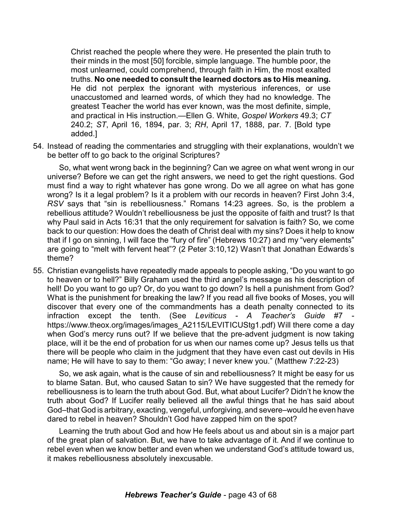Christ reached the people where they were. He presented the plain truth to their minds in the most [50] forcible, simple language. The humble poor, the most unlearned, could comprehend, through faith in Him, the most exalted truths. **No one needed to consult the learned doctors as to His meaning.** He did not perplex the ignorant with mysterious inferences, or use unaccustomed and learned words, of which they had no knowledge. The greatest Teacher the world has ever known, was the most definite, simple, and practical in His instruction.—Ellen G. White, *Gospel Workers* 49.3; *CT* 240.2; *ST*, April 16, 1894, par. 3; *RH*, April 17, 1888, par. 7. [Bold type added.]

54. Instead of reading the commentaries and struggling with their explanations, wouldn't we be better off to go back to the original Scriptures?

So, what went wrong back in the beginning? Can we agree on what went wrong in our universe? Before we can get the right answers, we need to get the right questions. God must find a way to right whatever has gone wrong. Do we all agree on what has gone wrong? Is it a legal problem? Is it a problem with our records in heaven? First John 3:4, *RSV* says that "sin is rebelliousness." Romans 14:23 agrees. So, is the problem a rebellious attitude? Wouldn't rebelliousness be just the opposite of faith and trust? Is that why Paul said in Acts 16:31 that the only requirement for salvation is faith? So, we come back to our question: How does the death of Christ deal with my sins? Does it help to know that if I go on sinning, I will face the "fury of fire" (Hebrews 10:27) and my "very elements" are going to "melt with fervent heat"? (2 Peter 3:10,12) Wasn't that Jonathan Edwards's theme?

55. Christian evangelists have repeatedly made appeals to people asking, "Do you want to go to heaven or to hell?" Billy Graham used the third angel's message as his description of hell! Do you want to go up? Or, do you want to go down? Is hell a punishment from God? What is the punishment for breaking the law? If you read all five books of Moses, you will discover that every one of the commandments has a death penalty connected to its infraction except the tenth. (See *Leviticus - A Teacher's Guide* #7 https://www.theox.org/images/images\_A2115/LEVITICUStg1.pdf) Will there come a day when God's mercy runs out? If we believe that the pre-advent judgment is now taking place, will it be the end of probation for us when our names come up? Jesus tells us that there will be people who claim in the judgment that they have even cast out devils in His name; He will have to say to them: "Go away; I never knew you." (Matthew 7:22-23)

So, we ask again, what is the cause of sin and rebelliousness? It might be easy for us to blame Satan. But, who caused Satan to sin? We have suggested that the remedy for rebelliousness is to learn the truth about God. But, what about Lucifer? Didn't he know the truth about God? If Lucifer really believed all the awful things that he has said about God–that God is arbitrary, exacting, vengeful, unforgiving, and severe–would he even have dared to rebel in heaven? Shouldn't God have zapped him on the spot?

Learning the truth about God and how He feels about us and about sin is a major part of the great plan of salvation. But, we have to take advantage of it. And if we continue to rebel even when we know better and even when we understand God's attitude toward us, it makes rebelliousness absolutely inexcusable.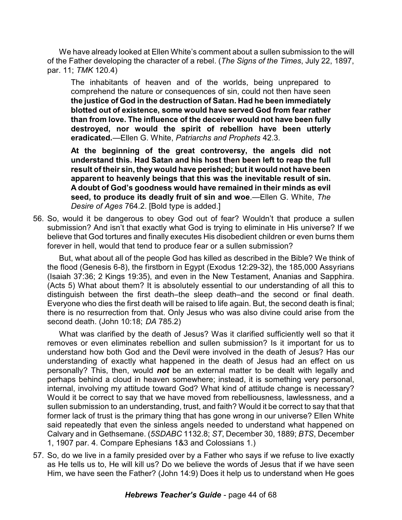We have already looked at Ellen White's comment about a sullen submission to the will of the Father developing the character of a rebel. (*The Signs of the Times*, July 22, 1897, par. 11; *TMK* 120.4)

The inhabitants of heaven and of the worlds, being unprepared to comprehend the nature or consequences of sin, could not then have seen **the justice of God in the destruction of Satan. Had he been immediately blotted out of existence, some would have served God from fear rather than from love. The influence of the deceiver would not have been fully destroyed, nor would the spirit of rebellion have been utterly eradicated.**—Ellen G. White, *Patriarchs and Prophets* 42.3.

**At the beginning of the great controversy, the angels did not understand this. Had Satan and his host then been left to reap the full result of their sin, they would have perished; but it would not have been apparent to heavenly beings that this was the inevitable result of sin. A doubt of God's goodness would have remained in their minds as evil seed, to produce its deadly fruit of sin and woe**.—Ellen G. White, *The Desire of Ages* 764.2. [Bold type is added.]

56. So, would it be dangerous to obey God out of fear? Wouldn't that produce a sullen submission? And isn't that exactly what God is trying to eliminate in His universe? If we believe that God tortures and finally executes His disobedient children or even burns them forever in hell, would that tend to produce fear or a sullen submission?

But, what about all of the people God has killed as described in the Bible? We think of the flood (Genesis 6-8), the firstborn in Egypt (Exodus 12:29-32), the 185,000 Assyrians (Isaiah 37:36; 2 Kings 19:35), and even in the New Testament, Ananias and Sapphira. (Acts 5) What about them? It is absolutely essential to our understanding of all this to distinguish between the first death–the sleep death–and the second or final death. Everyone who dies the first death will be raised to life again. But, the second death is final; there is no resurrection from that. Only Jesus who was also divine could arise from the second death. (John 10:18; *DA* 785.2)

What was clarified by the death of Jesus? Was it clarified sufficiently well so that it removes or even eliminates rebellion and sullen submission? Is it important for us to understand how both God and the Devil were involved in the death of Jesus? Has our understanding of exactly what happened in the death of Jesus had an effect on us personally? This, then, would *not* be an external matter to be dealt with legally and perhaps behind a cloud in heaven somewhere; instead, it is something very personal, internal, involving my attitude toward God? What kind of attitude change is necessary? Would it be correct to say that we have moved from rebelliousness, lawlessness, and a sullen submission to an understanding, trust, and faith? Would it be correct to say that that former lack of trust is the primary thing that has gone wrong in our universe? Ellen White said repeatedly that even the sinless angels needed to understand what happened on Calvary and in Gethsemane. (*5SDABC* 1132.8; *ST*, December 30, 1889; *BTS*, December 1, 1907 par. 4. Compare Ephesians 1&3 and Colossians 1.)

57. So, do we live in a family presided over by a Father who says if we refuse to live exactly as He tells us to, He will kill us? Do we believe the words of Jesus that if we have seen Him, we have seen the Father? (John 14:9) Does it help us to understand when He goes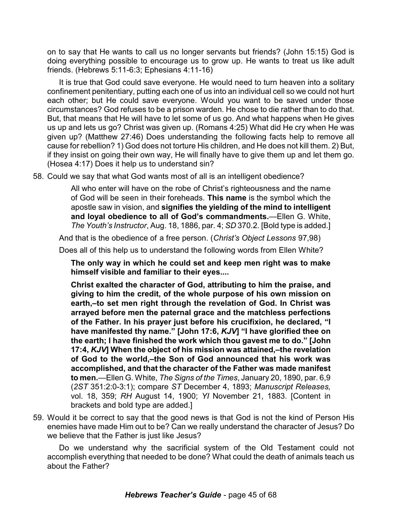on to say that He wants to call us no longer servants but friends? (John 15:15) God is doing everything possible to encourage us to grow up. He wants to treat us like adult friends. (Hebrews 5:11-6:3; Ephesians 4:11-16)

It is true that God could save everyone. He would need to turn heaven into a solitary confinement penitentiary, putting each one of us into an individual cell so we could not hurt each other; but He could save everyone. Would you want to be saved under those circumstances? God refuses to be a prison warden. He chose to die rather than to do that. But, that means that He will have to let some of us go. And what happens when He gives us up and lets us go? Christ was given up. (Romans 4:25) What did He cry when He was given up? (Matthew 27:46) Does understanding the following facts help to remove all cause for rebellion? 1) God does not torture His children, and He does not kill them. 2) But, if they insist on going their own way, He will finally have to give them up and let them go. (Hosea 4:17) Does it help us to understand sin?

58. Could we say that what God wants most of all is an intelligent obedience?

All who enter will have on the robe of Christ's righteousness and the name of God will be seen in their foreheads. **This name** is the symbol which the apostle saw in vision, and **signifies the yielding of the mind to intelligent and loyal obedience to all of God's commandments.**—Ellen G. White, *The Youth's Instructor*, Aug. 18, 1886, par. 4; *SD* 370.2. [Bold type is added.]

And that is the obedience of a free person. (*Christ's Object Lessons* 97,98)

Does all of this help us to understand the following words from Ellen White?

**The only way in which he could set and keep men right was to make himself visible and familiar to their eyes....**

**Christ exalted the character of God, attributing to him the praise, and giving to him the credit, of the whole purpose of his own mission on earth,–to set men right through the revelation of God. In Christ was arrayed before men the paternal grace and the matchless perfections of the Father. In his prayer just before his crucifixion, he declared, "I have manifested thy name." [John 17:6,** *KJV***] "I have glorified thee on the earth; I have finished the work which thou gavest me to do." [John 17:4,** *KJV***] When the object of his mission was attained,–the revelation of God to the world,–the Son of God announced that his work was accomplished, and that the character of the Father was made manifest to men.**—Ellen G. White, *The Signs of the Times*, January 20, 1890, par. 6,9 (*2ST* 351:2:0-3:1); compare *ST* December 4, 1893; *Manuscript Releases,* vol. 18, 359; *RH* August 14, 1900; *YI* November 21, 1883. [Content in brackets and bold type are added.]

59. Would it be correct to say that the good news is that God is not the kind of Person His enemies have made Him out to be? Can we really understand the character of Jesus? Do we believe that the Father is just like Jesus?

Do we understand why the sacrificial system of the Old Testament could not accomplish everything that needed to be done? What could the death of animals teach us about the Father?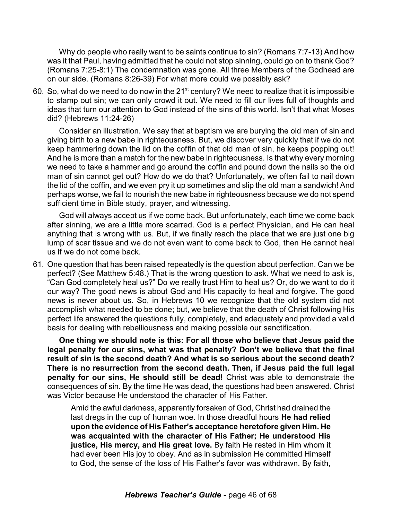Why do people who really want to be saints continue to sin? (Romans 7:7-13) And how was it that Paul, having admitted that he could not stop sinning, could go on to thank God? (Romans 7:25-8:1) The condemnation was gone. All three Members of the Godhead are on our side. (Romans 8:26-39) For what more could we possibly ask?

60. So, what do we need to do now in the 21 $\mathrm{^{st}}$  century? We need to realize that it is impossible to stamp out sin; we can only crowd it out. We need to fill our lives full of thoughts and ideas that turn our attention to God instead of the sins of this world. Isn't that what Moses did? (Hebrews 11:24-26)

Consider an illustration. We say that at baptism we are burying the old man of sin and giving birth to a new babe in righteousness. But, we discover very quickly that if we do not keep hammering down the lid on the coffin of that old man of sin, he keeps popping out! And he is more than a match for the new babe in righteousness. Is that why every morning we need to take a hammer and go around the coffin and pound down the nails so the old man of sin cannot get out? How do we do that? Unfortunately, we often fail to nail down the lid of the coffin, and we even pry it up sometimes and slip the old man a sandwich! And perhaps worse, we fail to nourish the new babe in righteousness because we do not spend sufficient time in Bible study, prayer, and witnessing.

God will always accept us if we come back. But unfortunately, each time we come back after sinning, we are a little more scarred. God is a perfect Physician, and He can heal anything that is wrong with us. But, if we finally reach the place that we are just one big lump of scar tissue and we do not even want to come back to God, then He cannot heal us if we do not come back.

61. One question that has been raised repeatedly is the question about perfection. Can we be perfect? (See Matthew 5:48.) That is the wrong question to ask. What we need to ask is, "Can God completely heal us?" Do we really trust Him to heal us? Or, do we want to do it our way? The good news is about God and His capacity to heal and forgive. The good news is never about us. So, in Hebrews 10 we recognize that the old system did not accomplish what needed to be done; but, we believe that the death of Christ following His perfect life answered the questions fully, completely, and adequately and provided a valid basis for dealing with rebelliousness and making possible our sanctification.

**One thing we should note is this: For all those who believe that Jesus paid the legal penalty for our sins, what was that penalty? Don't we believe that the final result of sin is the second death? And what is so serious about the second death? There is no resurrection from the second death. Then, if Jesus paid the full legal penalty for our sins, He should still be dead!** Christ was able to demonstrate the consequences of sin. By the time He was dead, the questions had been answered. Christ was Victor because He understood the character of His Father.

Amid the awful darkness, apparently forsaken of God, Christ had drained the last dregs in the cup of human woe. In those dreadful hours **He had relied upon the evidence of His Father's acceptance heretofore given Him. He was acquainted with the character of His Father; He understood His justice, His mercy, and His great love.** By faith He rested in Him whom it had ever been His joy to obey. And as in submission He committed Himself to God, the sense of the loss of His Father's favor was withdrawn. By faith,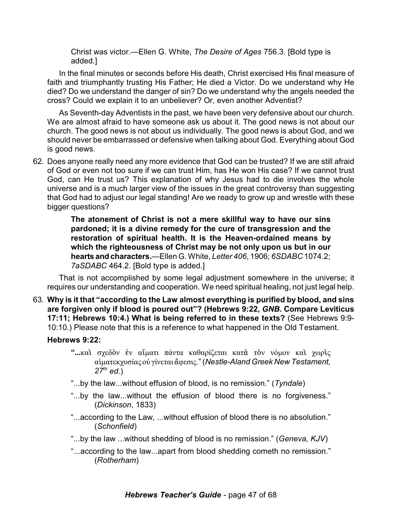Christ was victor.—Ellen G. White, *The Desire of Ages* 756.3. [Bold type is added.]

In the final minutes or seconds before His death, Christ exercised His final measure of faith and triumphantly trusting His Father; He died a Victor. Do we understand why He died? Do we understand the danger of sin? Do we understand why the angels needed the cross? Could we explain it to an unbeliever? Or, even another Adventist?

As Seventh-day Adventists in the past, we have been very defensive about our church. We are almost afraid to have someone ask us about it. The good news is not about our church. The good news is not about us individually. The good news is about God, and we should never be embarrassed or defensive when talking about God. Everything about God is good news.

62. Does anyone really need any more evidence that God can be trusted? If we are still afraid of God or even not too sure if we can trust Him, has He won His case? If we cannot trust God, can He trust us? This explanation of why Jesus had to die involves the whole universe and is a much larger view of the issues in the great controversy than suggesting that God had to adjust our legal standing! Are we ready to grow up and wrestle with these bigger questions?

> **The atonement of Christ is not a mere skillful way to have our sins pardoned; it is a divine remedy for the cure of transgression and the restoration of spiritual health. It is the Heaven-ordained means by which the righteousness of Christ may be not only upon us but in our hearts andcharacters.**—Ellen G. White, *Letter 406*, 1906; *6SDABC* 1074.2; *7aSDABC* 464.2. [Bold type is added.]

That is not accomplished by some legal adjustment somewhere in the universe; it requires our understanding and cooperation. We need spiritual healing, not just legal help.

63. **Why is it that "according to the Law almost everything is purified by blood, and sins are forgiven only if blood is poured out"? (Hebrews 9:22,** *GNB***. Compare Leviticus 17:11; Hebrews 10:4.) What is being referred to in these texts?** (See Hebrews 9:9- 10:10.) Please note that this is a reference to what happened in the Old Testament.

## **Hebrews 9:22:**

- **"...**καί σχεδὸν ἐν αἴματι πάντα καθαρίζεται κατὰ τὸν νόμον καὶ χωρὶς áÊìáôåê÷õóßáò ïÛãßíåôáéöåóéò." (*Nestle-Aland Greek New Testament, 27th ed.*)
- "...by the law...without effusion of blood, is no remission." (*Tyndale*)
- "...by the law...without the effusion of blood there is no forgiveness." (*Dickinson*, 1833)
- "...according to the Law, ...without effusion of blood there is no absolution." (*Schonfield*)
- "...by the law ...without shedding of blood is no remission." (*Geneva, KJV*)
- "...according to the law...apart from blood shedding cometh no remission." (*Rotherham*)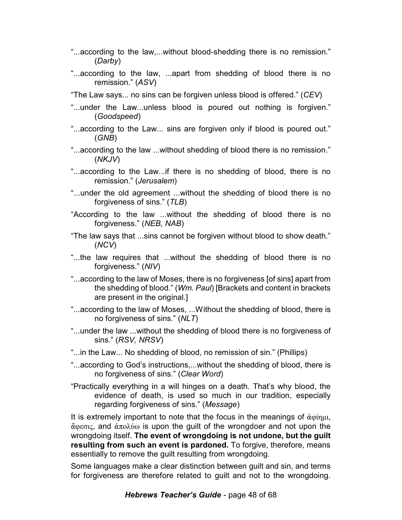- "...according to the law,...without blood-shedding there is no remission." (*Darby*)
- "...according to the law, ...apart from shedding of blood there is no remission." (*ASV*)

"The Law says... no sins can be forgiven unless blood is offered." (*CEV*)

- "...under the Law...unless blood is poured out nothing is forgiven." (*Goodspeed*)
- "...according to the Law... sins are forgiven only if blood is poured out." (*GNB*)
- "...according to the law ...without shedding of blood there is no remission." (*NKJV*)
- "...according to the Law...if there is no shedding of blood, there is no remission." (*Jerusalem*)
- "...under the old agreement ...without the shedding of blood there is no forgiveness of sins." (*TLB*)
- "According to the law ...without the shedding of blood there is no forgiveness." (*NEB, NAB*)
- "The law says that ...sins cannot be forgiven without blood to show death." (*NCV*)
- "...the law requires that ...without the shedding of blood there is no forgiveness." (*NIV*)
- "...according to the law of Moses, there is no forgiveness [of sins] apart from the shedding of blood." (*Wm. Paul*) [Brackets and content in brackets are present in the original.]
- "...according to the law of Moses, ...Without the shedding of blood, there is no forgiveness of sins." (*NLT*)
- "...under the law ...without the shedding of blood there is no forgiveness of sins." (*RSV, NRSV*)
- "...in the Law... No shedding of blood, no remission of sin." (Phillips)
- "...according to God's instructions,...without the shedding of blood, there is no forgiveness of sins." (*Clear Word*)
- "Practically everything in a will hinges on a death. That's why blood, the evidence of death, is used so much in our tradition, especially regarding forgiveness of sins." (*Message*)

It is extremely important to note that the focus in the meanings of  $\dot{\alpha}$   $\dot{\beta}$   $\dot{\beta}$ άφεσις, and άπολύω is upon the guilt of the wrongdoer and not upon the wrongdoing itself. **The event of wrongdoing is not undone, but the guilt resulting from such an event is pardoned.** To forgive, therefore, means essentially to remove the guilt resulting from wrongdoing.

Some languages make a clear distinction between guilt and sin, and terms for forgiveness are therefore related to guilt and not to the wrongdoing.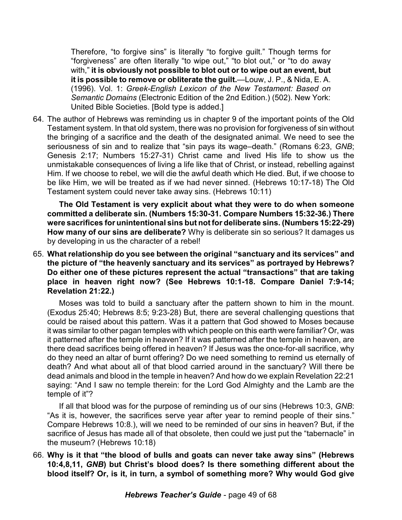Therefore, "to forgive sins" is literally "to forgive guilt." Though terms for "forgiveness" are often literally "to wipe out," "to blot out," or "to do away with," **it is obviously not possible to blot out or to wipe out an event, but it is possible to remove or obliterate the guilt.**—Louw, J. P., & Nida, E. A. (1996). Vol. 1: *Greek-English Lexicon of the New Testament: Based on Semantic Domains* (Electronic Edition of the 2nd Edition.) (502). New York: United Bible Societies. [Bold type is added.]

64. The author of Hebrews was reminding us in chapter 9 of the important points of the Old Testament system. In that old system, there was no provision for forgiveness of sin without the bringing of a sacrifice and the death of the designated animal. We need to see the seriousness of sin and to realize that "sin pays its wage–death." (Romans 6:23, *GNB*; Genesis 2:17; Numbers 15:27-31) Christ came and lived His life to show us the unmistakable consequences of living a life like that of Christ, or instead, rebelling against Him. If we choose to rebel, we will die the awful death which He died. But, if we choose to be like Him, we will be treated as if we had never sinned. (Hebrews 10:17-18) The Old Testament system could never take away sins. (Hebrews 10:11)

**The Old Testament is very explicit about what they were to do when someone committed a deliberate sin. (Numbers 15:30-31. Compare Numbers 15:32-36.) There were sacrifices for unintentional sins but not for deliberate sins. (Numbers 15:22-29) How many of our sins are deliberate?** Why is deliberate sin so serious? It damages us by developing in us the character of a rebel!

65. **What relationship do you see between the original "sanctuary and its services" and the picture of "the heavenly sanctuary and its services" as portrayed by Hebrews? Do either one of these pictures represent the actual "transactions" that are taking place in heaven right now? (See Hebrews 10:1-18. Compare Daniel 7:9-14; Revelation 21:22.)**

Moses was told to build a sanctuary after the pattern shown to him in the mount. (Exodus 25:40; Hebrews 8:5; 9:23-28) But, there are several challenging questions that could be raised about this pattern. Was it a pattern that God showed to Moses because it was similar to other pagan temples with which people on this earth were familiar? Or, was it patterned after the temple in heaven? If it was patterned after the temple in heaven, are there dead sacrifices being offered in heaven? If Jesus was the once-for-all sacrifice, why do they need an altar of burnt offering? Do we need something to remind us eternally of death? And what about all of that blood carried around in the sanctuary? Will there be dead animals and blood in the temple in heaven? And how do we explain Revelation 22:21 saying: "And I saw no temple therein: for the Lord God Almighty and the Lamb are the temple of it"?

If all that blood was for the purpose of reminding us of our sins (Hebrews 10:3, *GNB*: "As it is, however, the sacrifices serve year after year to remind people of their sins." Compare Hebrews 10:8.), will we need to be reminded of our sins in heaven? But, if the sacrifice of Jesus has made all of that obsolete, then could we just put the "tabernacle" in the museum? (Hebrews 10:18)

66. **Why is it that "the blood of bulls and goats can never take away sins" (Hebrews 10:4,8,11,** *GNB***) but Christ's blood does? Is there something different about the blood itself? Or, is it, in turn, a symbol of something more? Why would God give**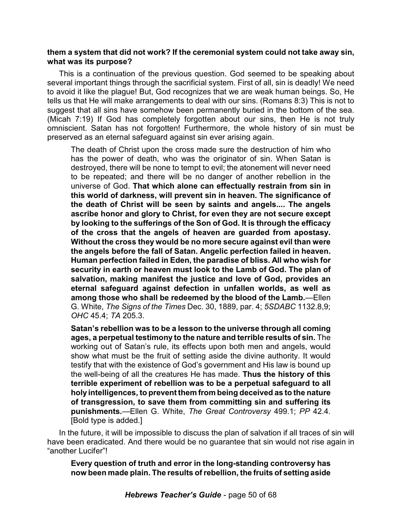#### **them a system that did not work? If the ceremonial system could not take away sin, what was its purpose?**

This is a continuation of the previous question. God seemed to be speaking about several important things through the sacrificial system. First of all, sin is deadly! We need to avoid it like the plague! But, God recognizes that we are weak human beings. So, He tells us that He will make arrangements to deal with our sins. (Romans 8:3) This is not to suggest that all sins have somehow been permanently buried in the bottom of the sea. (Micah 7:19) If God has completely forgotten about our sins, then He is not truly omniscient. Satan has not forgotten! Furthermore, the whole history of sin must be preserved as an eternal safeguard against sin ever arising again.

The death of Christ upon the cross made sure the destruction of him who has the power of death, who was the originator of sin. When Satan is destroyed, there will be none to tempt to evil; the atonement will never need to be repeated; and there will be no danger of another rebellion in the universe of God. **That which alone can effectually restrain from sin in this world of darkness, will prevent sin in heaven. The significance of the death of Christ will be seen by saints and angels.... The angels ascribe honor and glory to Christ, for even they are not secure except by looking to the sufferings of the Son of God. It is through the efficacy of the cross that the angels of heaven are guarded from apostasy. Without the cross they would be no more secure against evil than were the angels before the fall of Satan. Angelic perfection failed in heaven. Human perfection failed in Eden, the paradise of bliss. All who wish for security in earth or heaven must look to the Lamb of God. The plan of salvation, making manifest the justice and love of God, provides an eternal safeguard against defection in unfallen worlds, as well as among those who shall be redeemed by the blood of the Lamb.**—Ellen G. White, *The Signs of the Times* Dec. 30, 1889, par. 4; *5SDABC* 1132.8,9; *OHC* 45.4; *TA* 205.3.

**Satan's rebellion was to be a lesson to the universe through all coming ages, a perpetual testimony to the nature and terrible results of sin.** The working out of Satan's rule, its effects upon both men and angels, would show what must be the fruit of setting aside the divine authority. It would testify that with the existence of God's government and His law is bound up the well-being of all the creatures He has made. **Thus the history of this terrible experiment of rebellion was to be a perpetual safeguard to all holy intelligences, to prevent them from being deceived as to the nature of transgression, to save them from committing sin and suffering its punishments.**—Ellen G. White, *The Great Controversy* 499.1; *PP* 42.4. [Bold type is added.]

In the future, it will be impossible to discuss the plan of salvation if all traces of sin will have been eradicated. And there would be no guarantee that sin would not rise again in "another Lucifer"!

**Every question of truth and error in the long-standing controversy has now been made plain. The results of rebellion, the fruits of setting aside**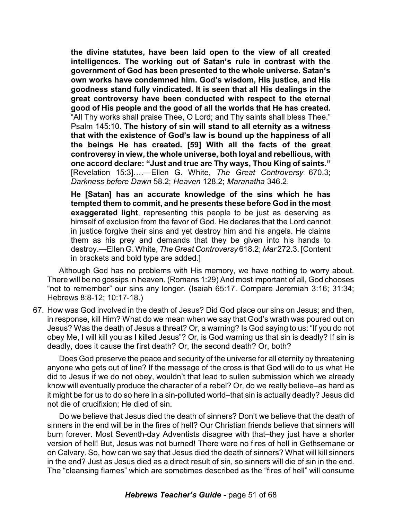**the divine statutes, have been laid open to the view of all created intelligences. The working out of Satan's rule in contrast with the government of God has been presented to the whole universe. Satan's own works have condemned him. God's wisdom, His justice, and His goodness stand fully vindicated. It is seen that all His dealings in the great controversy have been conducted with respect to the eternal good of His people and the good of all the worlds that He has created.** "All Thy works shall praise Thee, O Lord; and Thy saints shall bless Thee." Psalm 145:10. **The history of sin will stand to all eternity as a witness that with the existence of God's law is bound up the happiness of all the beings He has created. [59] With all the facts of the great controversy in view, the whole universe, both loyal and rebellious, with one accord declare: "Just and true are Thy ways, Thou King of saints."** [Revelation 15:3]….—Ellen G. White, *The Great Controversy* 670.3; *Darkness before Dawn* 58.2; *Heaven* 128.2; *Maranatha* 346.2.

**He [Satan] has an accurate knowledge of the sins which he has tempted them to commit, and he presents these before God in the most exaggerated light**, representing this people to be just as deserving as himself of exclusion from the favor of God. He declares that the Lord cannot in justice forgive their sins and yet destroy him and his angels. He claims them as his prey and demands that they be given into his hands to destroy.—Ellen G. White, *The Great Controversy* 618.2; *Mar* 272.3. [Content in brackets and bold type are added.]

Although God has no problems with His memory, we have nothing to worry about. There will be no gossips in heaven. (Romans 1:29) And most important of all, God chooses "not to remember" our sins any longer. (Isaiah 65:17. Compare Jeremiah 3:16; 31:34; Hebrews 8:8-12; 10:17-18.)

67. How was God involved in the death of Jesus? Did God place our sins on Jesus; and then, in response, kill Him? What do we mean when we say that God's wrath was poured out on Jesus? Was the death of Jesus a threat? Or, a warning? Is God saying to us: "If you do not obey Me, I will kill you as I killed Jesus"? Or, is God warning us that sin is deadly? If sin is deadly, does it cause the first death? Or, the second death? Or, both?

Does God preserve the peace and security of the universe for all eternity by threatening anyone who gets out of line? If the message of the cross is that God will do to us what He did to Jesus if we do not obey, wouldn't that lead to sullen submission which we already know will eventually produce the character of a rebel? Or, do we really believe–as hard as it might be for us to do so here in a sin-polluted world–that sin is actually deadly? Jesus did not die of crucifixion; He died of sin.

Do we believe that Jesus died the death of sinners? Don't we believe that the death of sinners in the end will be in the fires of hell? Our Christian friends believe that sinners will burn forever. Most Seventh-day Adventists disagree with that–they just have a shorter version of hell! But, Jesus was not burned! There were no fires of hell in Gethsemane or on Calvary. So, how can we say that Jesus died the death of sinners? What will kill sinners in the end? Just as Jesus died as a direct result of sin, so sinners will die of sin in the end. The "cleansing flames" which are sometimes described as the "fires of hell" will consume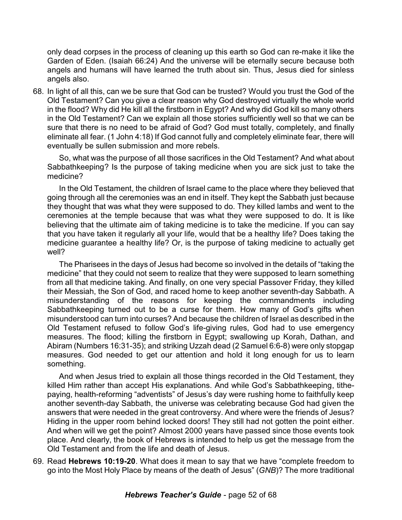only dead corpses in the process of cleaning up this earth so God can re-make it like the Garden of Eden. (Isaiah 66:24) And the universe will be eternally secure because both angels and humans will have learned the truth about sin. Thus, Jesus died for sinless angels also.

68. In light of all this, can we be sure that God can be trusted? Would you trust the God of the Old Testament? Can you give a clear reason why God destroyed virtually the whole world in the flood? Why did He kill all the firstborn in Egypt? And why did God kill so many others in the Old Testament? Can we explain all those stories sufficiently well so that we can be sure that there is no need to be afraid of God? God must totally, completely, and finally eliminate all fear. (1 John 4:18) If God cannot fully and completely eliminate fear, there will eventually be sullen submission and more rebels.

So, what was the purpose of all those sacrifices in the Old Testament? And what about Sabbathkeeping? Is the purpose of taking medicine when you are sick just to take the medicine?

In the Old Testament, the children of Israel came to the place where they believed that going through all the ceremonies was an end in itself. They kept the Sabbath just because they thought that was what they were supposed to do. They killed lambs and went to the ceremonies at the temple because that was what they were supposed to do. It is like believing that the ultimate aim of taking medicine is to take the medicine. If you can say that you have taken it regularly all your life, would that be a healthy life? Does taking the medicine guarantee a healthy life? Or, is the purpose of taking medicine to actually get well?

The Pharisees in the days of Jesus had become so involved in the details of "taking the medicine" that they could not seem to realize that they were supposed to learn something from all that medicine taking. And finally, on one very special Passover Friday, they killed their Messiah, the Son of God, and raced home to keep another seventh-day Sabbath. A misunderstanding of the reasons for keeping the commandments including Sabbathkeeping turned out to be a curse for them. How many of God's gifts when misunderstood can turn into curses? And because the children of Israel as described in the Old Testament refused to follow God's life-giving rules, God had to use emergency measures. The flood; killing the firstborn in Egypt; swallowing up Korah, Dathan, and Abiram (Numbers 16:31-35); and striking Uzzah dead (2 Samuel 6:6-8) were only stopgap measures. God needed to get our attention and hold it long enough for us to learn something.

And when Jesus tried to explain all those things recorded in the Old Testament, they killed Him rather than accept His explanations. And while God's Sabbathkeeping, tithepaying, health-reforming "adventists" of Jesus's day were rushing home to faithfully keep another seventh-day Sabbath, the universe was celebrating because God had given the answers that were needed in the great controversy. And where were the friends of Jesus? Hiding in the upper room behind locked doors! They still had not gotten the point either. And when will we get the point? Almost 2000 years have passed since those events took place. And clearly, the book of Hebrews is intended to help us get the message from the Old Testament and from the life and death of Jesus.

69. Read **Hebrews 10:19-20**. What does it mean to say that we have "complete freedom to go into the Most Holy Place by means of the death of Jesus" (*GNB*)? The more traditional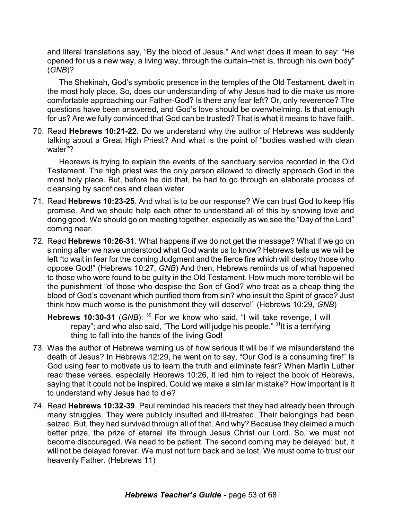and literal translations say, "By the blood of Jesus." And what does it mean to say: "He opened for us a new way, a living way, through the curtain–that is, through his own body" (*GNB*)?

The Shekinah, God's symbolic presence in the temples of the Old Testament, dwelt in the most holy place. So, does our understanding of why Jesus had to die make us more comfortable approaching our Father-God? Is there any fear left? Or, only reverence? The questions have been answered, and God's love should be overwhelming. Is that enough for us? Are we fully convinced that God can be trusted? That is what it means to have faith.

70. Read **Hebrews 10:21-22**. Do we understand why the author of Hebrews was suddenly talking about a Great High Priest? And what is the point of "bodies washed with clean water"?

Hebrews is trying to explain the events of the sanctuary service recorded in the Old Testament. The high priest was the only person allowed to directly approach God in the most holy place. But, before he did that, he had to go through an elaborate process of cleansing by sacrifices and clean water.

- 71. Read **Hebrews 10:23-25**. And what is to be our response? We can trust God to keep His promise. And we should help each other to understand all of this by showing love and doing good. We should go on meeting together, especially as we see the "Day of the Lord" coming near.
- 72. Read **Hebrews 10:26-31**. What happens if we do not get the message? What if we go on sinning after we have understood what God wants us to know? Hebrews tells us we will be left "to wait in fear for the coming Judgment and the fierce fire which will destroy those who oppose God!" (Hebrews 10:27, *GNB*) And then, Hebrews reminds us of what happened to those who were found to be guilty in the Old Testament. How much more terrible will be the punishment "of those who despise the Son of God? who treat as a cheap thing the blood of God's covenant which purified them from sin? who insult the Spirit of grace? Just think how much worse is the punishment they will deserve!" (Hebrews 10:29, *GNB*)
	- **Hebrews 10:30-31** (*GNB*): <sup>30</sup> For we know who said, "I will take revenge, I will repay"; and who also said, "The Lord will judge his people." <sup>31</sup>lt is a terrifying thing to fall into the hands of the living God!
- 73. Was the author of Hebrews warning us of how serious it will be if we misunderstand the death of Jesus? In Hebrews 12:29, he went on to say, "Our God is a consuming fire!" Is God using fear to motivate us to learn the truth and eliminate fear? When Martin Luther read these verses, especially Hebrews 10:26, it led him to reject the book of Hebrews, saying that it could not be inspired. Could we make a similar mistake? How important is it to understand why Jesus had to die?
- 74. Read **Hebrews 10:32-39**. Paul reminded his readers that they had already been through many struggles. They were publicly insulted and ill-treated. Their belongings had been seized. But, they had survived through all of that. And why? Because they claimed a much better prize, the prize of eternal life through Jesus Christ our Lord. So, we must not become discouraged. We need to be patient. The second coming may be delayed; but, it will not be delayed forever. We must not turn back and be lost. We must come to trust our heavenly Father. (Hebrews 11)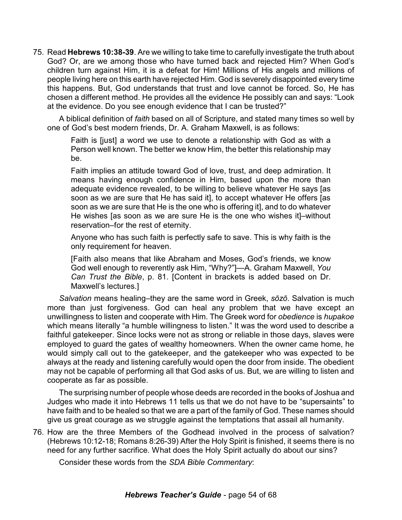75. Read **Hebrews 10:38-39**. Are we willing to take time to carefully investigate the truth about God? Or, are we among those who have turned back and rejected Him? When God's children turn against Him, it is a defeat for Him! Millions of His angels and millions of people living here on this earth have rejected Him. God is severely disappointed every time this happens. But, God understands that trust and love cannot be forced. So, He has chosen a different method. He provides all the evidence He possibly can and says: "Look at the evidence. Do you see enough evidence that I can be trusted?"

A biblical definition of *faith* based on all of Scripture, and stated many times so well by one of God's best modern friends, Dr. A. Graham Maxwell, is as follows:

Faith is [just] a word we use to denote a relationship with God as with a Person well known. The better we know Him, the better this relationship may be.

Faith implies an attitude toward God of love, trust, and deep admiration. It means having enough confidence in Him, based upon the more than adequate evidence revealed, to be willing to believe whatever He says [as soon as we are sure that He has said it], to accept whatever He offers [as soon as we are sure that He is the one who is offering it], and to do whatever He wishes [as soon as we are sure He is the one who wishes it]–without reservation–for the rest of eternity.

Anyone who has such faith is perfectly safe to save. This is why faith is the only requirement for heaven.

[Faith also means that like Abraham and Moses, God's friends, we know God well enough to reverently ask Him, "Why?"]—A. Graham Maxwell, *You Can Trust the Bible*, p. 81. [Content in brackets is added based on Dr. Maxwell's lectures.]

*Salvation* means healing–they are the same word in Greek, *sôzô*. Salvation is much more than just forgiveness. God can heal any problem that we have except an unwillingness to listen and cooperate with Him. The Greek word for *obedience* is *hupakoe* which means literally "a humble willingness to listen." It was the word used to describe a faithful gatekeeper. Since locks were not as strong or reliable in those days, slaves were employed to guard the gates of wealthy homeowners. When the owner came home, he would simply call out to the gatekeeper, and the gatekeeper who was expected to be always at the ready and listening carefully would open the door from inside. The obedient may not be capable of performing all that God asks of us. But, we are willing to listen and cooperate as far as possible.

The surprising number of people whose deeds are recorded in the books of Joshua and Judges who made it into Hebrews 11 tells us that we do not have to be "supersaints" to have faith and to be healed so that we are a part of the family of God. These names should give us great courage as we struggle against the temptations that assail all humanity.

76. How are the three Members of the Godhead involved in the process of salvation? (Hebrews 10:12-18; Romans 8:26-39) After the Holy Spirit is finished, it seems there is no need for any further sacrifice. What does the Holy Spirit actually do about our sins?

Consider these words from the *SDA Bible Commentary*: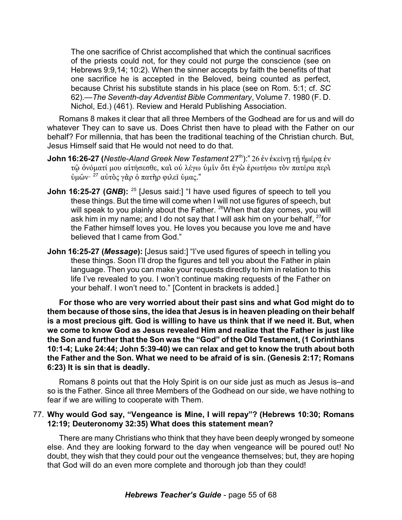The one sacrifice of Christ accomplished that which the continual sacrifices of the priests could not, for they could not purge the conscience (see on Hebrews 9:9,14; 10:2). When the sinner accepts by faith the benefits of that one sacrifice he is accepted in the Beloved, being counted as perfect, because Christ his substitute stands in his place (see on Rom. 5:1; cf. *SC* 62).—*The Seventh-day Adventist Bible Commentary*, Volume 7. 1980 (F. D. Nichol, Ed.) (461). Review and Herald Publishing Association.

Romans 8 makes it clear that all three Members of the Godhead are for us and will do whatever They can to save us. Does Christ then have to plead with the Father on our behalf? For millennia, that has been the traditional teaching of the Christian church. But, Jesus Himself said that He would not need to do that.

- J**ohn 16:26-27 (**Nestle-Aland Greek New Testament 27<sup>th</sup>):" 26 ἐν ἐκείνῃ τῇ ἡμέρα ἐν τῶ ὀνόματί μου αἰτήσεσθε, καὶ οὐ λέγω ὑμῖν ὅτι ἐγὼ ἐρωτήσω τὸν πατέρα περὶ ύμῶν<sup>. 27</sup> αὐτὸς γὰρ ὁ πατὴρ φιλεῖ ὑμας."
- **John 16:25-27 (GNB):** <sup>25</sup> [Jesus said:] "I have used figures of speech to tell you these things. But the time will come when I will not use figures of speech, but will speak to you plainly about the Father. <sup>26</sup>When that day comes, you will ask him in my name; and I do not say that I will ask him on your behalf,  $^{27}$ for the Father himself loves you. He loves you because you love me and have believed that I came from God."
- **John 16:25-27 (***Message***):** [Jesus said:] "I've used figures of speech in telling you these things. Soon I'll drop the figures and tell you about the Father in plain language. Then you can make your requests directly to him in relation to this life I've revealed to you. I won't continue making requests of the Father on your behalf. I won't need to." [Content in brackets is added.]

**For those who are very worried about their past sins and what God might do to them because of those sins, the idea that Jesus is in heaven pleading on their behalf is a most precious gift. God is willing to have us think that if we need it. But, when we come to know God as Jesus revealed Him and realize that the Father is just like the Son and further that the Son was the "God" of the Old Testament, (1 Corinthians 10:1-4; Luke 24:44; John 5:39-40) we can relax and get to know the truth about both the Father and the Son. What we need to be afraid of is sin. (Genesis 2:17; Romans 6:23) It is sin that is deadly.**

Romans 8 points out that the Holy Spirit is on our side just as much as Jesus is–and so is the Father. Since all three Members of the Godhead on our side, we have nothing to fear if we are willing to cooperate with Them.

## 77. **Why would God say, "Vengeance is Mine, I will repay"? (Hebrews 10:30; Romans 12:19; Deuteronomy 32:35) What does this statement mean?**

There are many Christians who think that they have been deeply wronged by someone else. And they are looking forward to the day when vengeance will be poured out! No doubt, they wish that they could pour out the vengeance themselves; but, they are hoping that God will do an even more complete and thorough job than they could!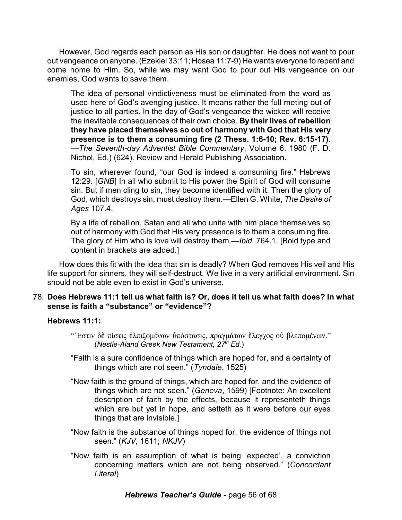However, God regards each person as His son or daughter. He does not want to pour out vengeance on anyone. (Ezekiel 33:11; Hosea 11:7-9) He wants everyone to repent and come home to Him. So, while we may want God to pour out His vengeance on our enemies, God wants to save them.

The idea of personal vindictiveness must be eliminated from the word as used here of God's avenging justice. It means rather the full meting out of justice to all parties. In the day of God's vengeance the wicked will receive the inevitable consequences of their own choice. **By their lives of rebellion they have placed themselves so out of harmony with God that His very presence is to them a consuming fire (2 Thess. 1:6-10; Rev. 6:15-17).** —*The Seventh-day Adventist Bible Commentary*, Volume 6. 1980 (F. D. Nichol, Ed.) (624). Review and Herald Publishing Association**.**

To sin, wherever found, "our God is indeed a consuming fire." Hebrews 12:29. [*GNB*] In all who submit to His power the Spirit of God will consume sin. But if men cling to sin, they become identified with it. Then the glory of God, which destroys sin, must destroy them.—Ellen G. White, *The Desire of Ages* 107.4.

By a life of rebellion, Satan and all who unite with him place themselves so out of harmony with God that His very presence is to them a consuming fire. The glory of Him who is love will destroy them.—*Ibid.* 764.1. [Bold type and content in brackets are added.]

How does this fit with the idea that sin is deadly? When God removes His veil and His life support for sinners, they will self-destruct. We live in a very artificial environment. Sin should not be able even to exist in God's universe.

## 78. **Does Hebrews 11:1 tell us what faith is? Or, does it tell us what faith does? In what sense is faith a "substance" or "evidence"?**

## **Hebrews 11:1:**

- "Έστιν δε πίστις έλπιζομένων υπόστασις, πραγμάτων έλεγχος ου βλεπομένων." (*Nestle-Aland Greek New Testament, 27th Ed.*)
- "Faith is a sure confidence of things which are hoped for, and a certainty of things which are not seen." (*Tyndale*, 1525)
- "Now faith is the ground of things, which are hoped for, and the evidence of things which are not seen." (*Geneva*, 1599) [Footnote: An excellent description of faith by the effects, because it representeth things which are but yet in hope, and setteth as it were before our eyes things that are invisible.]
- "Now faith is the substance of things hoped for, the evidence of things not seen." (*KJV,* 1611; *NKJV*)
- "Now faith is an assumption of what is being 'expected', a conviction concerning matters which are not being observed." (*Concordant Literal*)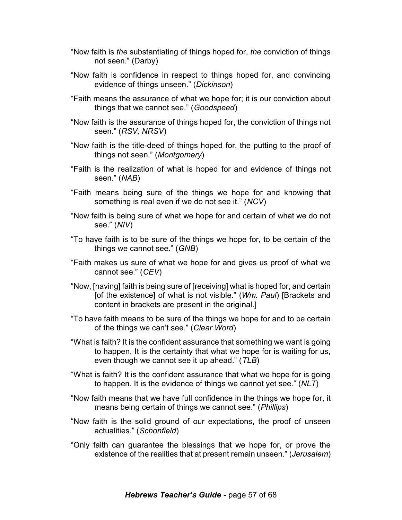- "Now faith is *the* substantiating of things hoped for, *the* conviction of things not seen." (Darby)
- "Now faith is confidence in respect to things hoped for, and convincing evidence of things unseen." (*Dickinson*)
- "Faith means the assurance of what we hope for; it is our conviction about things that we cannot see." (*Goodspeed*)
- "Now faith is the assurance of things hoped for, the conviction of things not seen." (*RSV, NRSV*)
- "Now faith is the title-deed of things hoped for, the putting to the proof of things not seen." (*Montgomery*)
- "Faith is the realization of what is hoped for and evidence of things not seen." (*NAB*)
- "Faith means being sure of the things we hope for and knowing that something is real even if we do not see it." (*NCV*)
- "Now faith is being sure of what we hope for and certain of what we do not see." (*NIV*)
- "To have faith is to be sure of the things we hope for, to be certain of the things we cannot see." (*GNB*)
- "Faith makes us sure of what we hope for and gives us proof of what we cannot see." (*CEV*)
- "Now, [having] faith is being sure of [receiving] what is hoped for, and certain [of the existence] of what is not visible." (*Wm. Paul*) [Brackets and content in brackets are present in the original.]
- "To have faith means to be sure of the things we hope for and to be certain of the things we can't see." (*Clear Word*)
- "What is faith? It is the confident assurance that something we want is going to happen. It is the certainty that what we hope for is waiting for us, even though we cannot see it up ahead." (*TLB*)
- "What is faith? It is the confident assurance that what we hope for is going to happen. It is the evidence of things we cannot yet see." (*NLT*)
- "Now faith means that we have full confidence in the things we hope for, it means being certain of things we cannot see." (*Phillips*)
- "Now faith is the solid ground of our expectations, the proof of unseen actualities." (*Schonfield*)
- "Only faith can guarantee the blessings that we hope for, or prove the existence of the realities that at present remain unseen." (*Jerusalem*)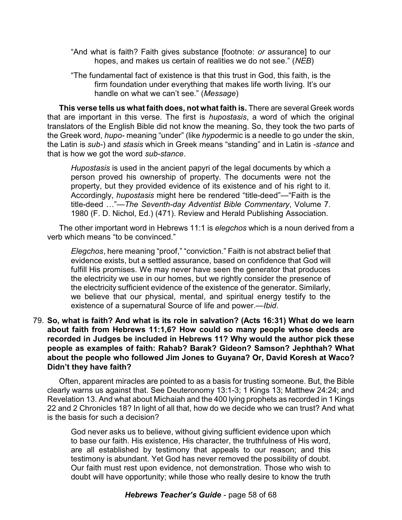- "And what is faith? Faith gives substance [footnote: *or* assurance] to our hopes, and makes us certain of realities we do not see." (*NEB*)
- "The fundamental fact of existence is that this trust in God, this faith, is the firm foundation under everything that makes life worth living. It's our handle on what we can't see." (*Message*)

**This verse tells us what faith does, not what faith is.** There are several Greek words that are important in this verse. The first is *hupostasis*, a word of which the original translators of the English Bible did not know the meaning. So, they took the two parts of the Greek word, *hupo-* meaning "under" (like *hypo*dermic is a needle to go under the skin, the Latin is *sub-*) and *stasis* which in Greek means "standing" and in Latin is *-stance* and that is how we got the word *sub-stance*.

*Hupostasis* is used in the ancient papyri of the legal documents by which a person proved his ownership of property. The documents were not the property, but they provided evidence of its existence and of his right to it. Accordingly, *hupostasis* might here be rendered "title-deed"—"Faith is the title-deed …"—*The Seventh-day Adventist Bible Commentary*, Volume 7. 1980 (F. D. Nichol, Ed.) (471). Review and Herald Publishing Association.

The other important word in Hebrews 11:1 is *elegchos* which is a noun derived from a verb which means "to be convinced."

*Elegchos*, here meaning "proof," "conviction." Faith is not abstract belief that evidence exists, but a settled assurance, based on confidence that God will fulfill His promises. We may never have seen the generator that produces the electricity we use in our homes, but we rightly consider the presence of the electricity sufficient evidence of the existence of the generator. Similarly, we believe that our physical, mental, and spiritual energy testify to the existence of a supernatural Source of life and power.—*Ibid*.

79. **So, what is faith? And what is its role in salvation? (Acts 16:31) What do we learn about faith from Hebrews 11:1,6? How could so many people whose deeds are recorded in Judges be included in Hebrews 11? Why would the author pick these people as examples of faith: Rahab? Barak? Gideon? Samson? Jephthah? What about the people who followed Jim Jones to Guyana? Or, David Koresh at Waco? Didn't they have faith?**

Often, apparent miracles are pointed to as a basis for trusting someone. But, the Bible clearly warns us against that. See Deuteronomy 13:1-3; 1 Kings 13; Matthew 24:24; and Revelation 13. And what about Michaiah and the 400 lying prophets as recorded in 1 Kings 22 and 2 Chronicles 18? In light of all that, how do we decide who we can trust? And what is the basis for such a decision?

God never asks us to believe, without giving sufficient evidence upon which to base our faith. His existence, His character, the truthfulness of His word, are all established by testimony that appeals to our reason; and this testimony is abundant. Yet God has never removed the possibility of doubt. Our faith must rest upon evidence, not demonstration. Those who wish to doubt will have opportunity; while those who really desire to know the truth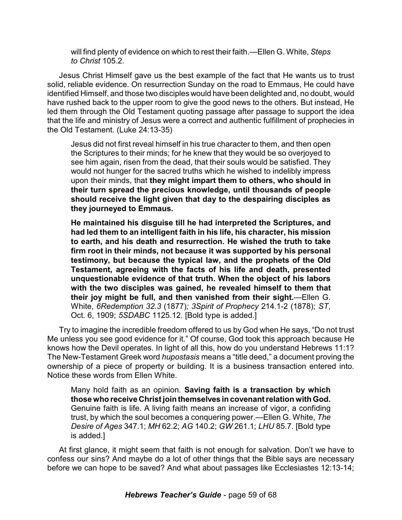will find plenty of evidence on which to rest their faith.—Ellen G. White, *Steps to Christ* 105.2.

Jesus Christ Himself gave us the best example of the fact that He wants us to trust solid, reliable evidence. On resurrection Sunday on the road to Emmaus, He could have identified Himself, and those two disciples would have been delighted and, no doubt, would have rushed back to the upper room to give the good news to the others. But instead, He led them through the Old Testament quoting passage after passage to support the idea that the life and ministry of Jesus were a correct and authentic fulfillment of prophecies in the Old Testament. (Luke 24:13-35)

Jesus did not first reveal himself in his true character to them, and then open the Scriptures to their minds; for he knew that they would be so overjoyed to see him again, risen from the dead, that their souls would be satisfied. They would not hunger for the sacred truths which he wished to indelibly impress upon their minds, that **they might impart them to others, who should in their turn spread the precious knowledge, until thousands of people should receive the light given that day to the despairing disciples as they journeyed to Emmaus.**

**He maintained his disguise till he had interpreted the Scriptures, and had led them to an intelligent faith in his life, his character, his mission to earth, and his death and resurrection. He wished the truth to take firm root in their minds, not because it was supported by his personal testimony, but because the typical law, and the prophets of the Old Testament, agreeing with the facts of his life and death, presented unquestionable evidence of that truth. When the object of his labors with the two disciples was gained, he revealed himself to them that their joy might be full, and then vanished from their sight.**—Ellen G. White, *6Redemption 32.3* (1877)*; 3Spirit of Prophecy* 214.1-2 (1878); *ST*, Oct. 6, 1909; *5SDABC* 1125.12. [Bold type is added.]

Try to imagine the incredible freedom offered to us by God when He says, "Do not trust Me unless you see good evidence for it." Of course, God took this approach because He knows how the Devil operates. In light of all this, how do you understand Hebrews 11:1? The New-Testament Greek word *hupostasis* means a "title deed," a document proving the ownership of a piece of property or building. It is a business transaction entered into. Notice these words from Ellen White.

Many hold faith as an opinion. **Saving faith is a transaction by which those who receive Christ join themselves in covenant relation with God.** Genuine faith is life. A living faith means an increase of vigor, a confiding trust, by which the soul becomes a conquering power.—Ellen G. White, *The Desire of Ages* 347.1; *MH* 62.2; *AG* 140.2; *GW* 261.1; *LHU* 85.7. [Bold type is added.]

At first glance, it might seem that faith is not enough for salvation. Don't we have to confess our sins? And maybe do a lot of other things that the Bible says are necessary before we can hope to be saved? And what about passages like Ecclesiastes 12:13-14;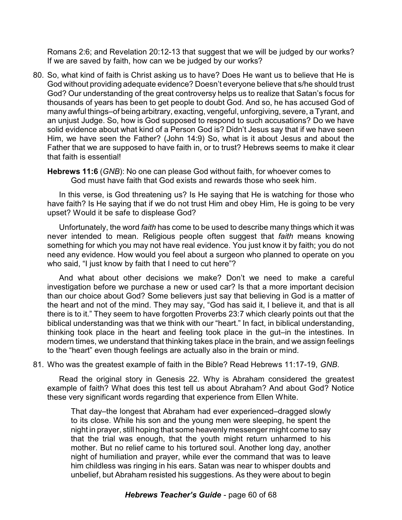Romans 2:6; and Revelation 20:12-13 that suggest that we will be judged by our works? If we are saved by faith, how can we be judged by our works?

80. So, what kind of faith is Christ asking us to have? Does He want us to believe that He is God without providing adequate evidence? Doesn't everyone believe that s/he should trust God? Our understanding of the great controversy helps us to realize that Satan's focus for thousands of years has been to get people to doubt God. And so, he has accused God of many awful things–of being arbitrary, exacting, vengeful, unforgiving, severe, a Tyrant, and an unjust Judge. So, how is God supposed to respond to such accusations? Do we have solid evidence about what kind of a Person God is? Didn't Jesus say that if we have seen Him, we have seen the Father? (John 14:9) So, what is it about Jesus and about the Father that we are supposed to have faith in, or to trust? Hebrews seems to make it clear that faith is essential!

**Hebrews 11:6** (*GNB*): No one can please God without faith, for whoever comes to God must have faith that God exists and rewards those who seek him.

In this verse, is God threatening us? Is He saying that He is watching for those who have faith? Is He saying that if we do not trust Him and obey Him, He is going to be very upset? Would it be safe to displease God?

Unfortunately, the word *faith* has come to be used to describe many things which it was never intended to mean. Religious people often suggest that *faith* means knowing something for which you may not have real evidence. You just know it by faith; you do not need any evidence. How would you feel about a surgeon who planned to operate on you who said, "I just know by faith that I need to cut here"?

And what about other decisions we make? Don't we need to make a careful investigation before we purchase a new or used car? Is that a more important decision than our choice about God? Some believers just say that believing in God is a matter of the heart and not of the mind. They may say, "God has said it, I believe it, and that is all there is to it." They seem to have forgotten Proverbs 23:7 which clearly points out that the biblical understanding was that we think with our "heart." In fact, in biblical understanding, thinking took place in the heart and feeling took place in the gut–in the intestines. In modern times, we understand that thinking takes place in the brain, and we assign feelings to the "heart" even though feelings are actually also in the brain or mind.

81. Who was the greatest example of faith in the Bible? Read Hebrews 11:17-19, *GNB*.

Read the original story in Genesis 22. Why is Abraham considered the greatest example of faith? What does this test tell us about Abraham? And about God? Notice these very significant words regarding that experience from Ellen White.

That day–the longest that Abraham had ever experienced–dragged slowly to its close. While his son and the young men were sleeping, he spent the night in prayer, still hoping that some heavenly messenger might come to say that the trial was enough, that the youth might return unharmed to his mother. But no relief came to his tortured soul. Another long day, another night of humiliation and prayer, while ever the command that was to leave him childless was ringing in his ears. Satan was near to whisper doubts and unbelief, but Abraham resisted his suggestions. As they were about to begin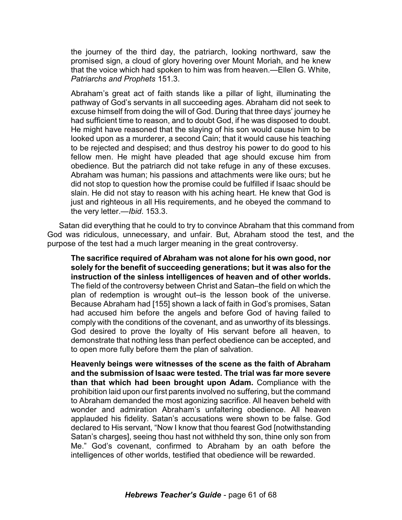the journey of the third day, the patriarch, looking northward, saw the promised sign, a cloud of glory hovering over Mount Moriah, and he knew that the voice which had spoken to him was from heaven.—Ellen G. White, *Patriarchs and Prophets* 151.3.

Abraham's great act of faith stands like a pillar of light, illuminating the pathway of God's servants in all succeeding ages. Abraham did not seek to excuse himself from doing the will of God. During that three days' journey he had sufficient time to reason, and to doubt God, if he was disposed to doubt. He might have reasoned that the slaying of his son would cause him to be looked upon as a murderer, a second Cain; that it would cause his teaching to be rejected and despised; and thus destroy his power to do good to his fellow men. He might have pleaded that age should excuse him from obedience. But the patriarch did not take refuge in any of these excuses. Abraham was human; his passions and attachments were like ours; but he did not stop to question how the promise could be fulfilled if Isaac should be slain. He did not stay to reason with his aching heart. He knew that God is just and righteous in all His requirements, and he obeyed the command to the very letter.—*Ibid*. 153.3.

Satan did everything that he could to try to convince Abraham that this command from God was ridiculous, unnecessary, and unfair. But, Abraham stood the test, and the purpose of the test had a much larger meaning in the great controversy.

**The sacrifice required of Abraham was not alone for his own good, nor solely for the benefit of succeeding generations; but it was also for the instruction of the sinless intelligences of heaven and of other worlds.** The field of the controversy between Christ and Satan–the field on which the plan of redemption is wrought out–is the lesson book of the universe. Because Abraham had [155] shown a lack of faith in God's promises, Satan had accused him before the angels and before God of having failed to comply with the conditions of the covenant, and as unworthy of its blessings. God desired to prove the loyalty of His servant before all heaven, to demonstrate that nothing less than perfect obedience can be accepted, and to open more fully before them the plan of salvation.

**Heavenly beings were witnesses of the scene as the faith of Abraham and the submission of Isaac were tested. The trial was far more severe than that which had been brought upon Adam.** Compliance with the prohibition laid upon our first parents involved no suffering, but the command to Abraham demanded the most agonizing sacrifice. All heaven beheld with wonder and admiration Abraham's unfaltering obedience. All heaven applauded his fidelity. Satan's accusations were shown to be false. God declared to His servant, "Now I know that thou fearest God [notwithstanding Satan's charges], seeing thou hast not withheld thy son, thine only son from Me." God's covenant, confirmed to Abraham by an oath before the intelligences of other worlds, testified that obedience will be rewarded.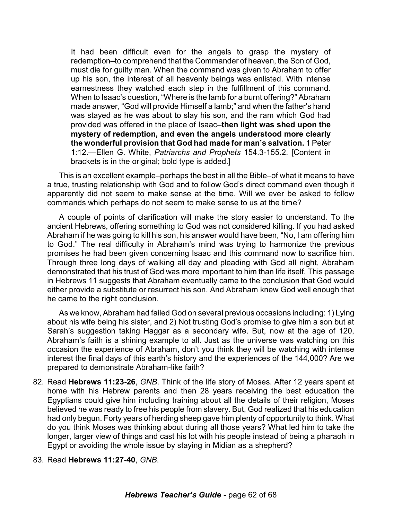It had been difficult even for the angels to grasp the mystery of redemption–to comprehend that the Commander of heaven, the Son of God, must die for guilty man. When the command was given to Abraham to offer up his son, the interest of all heavenly beings was enlisted. With intense earnestness they watched each step in the fulfillment of this command. When to Isaac's question, "Where is the lamb for a burnt offering?" Abraham made answer, "God will provide Himself a lamb;" and when the father's hand was stayed as he was about to slay his son, and the ram which God had provided was offered in the place of Isaac**–then light was shed upon the mystery of redemption, and even the angels understood more clearly the wonderful provision that God had made for man's salvation.** 1 Peter 1:12.—Ellen G. White, *Patriarchs and Prophets* 154.3-155.2. [Content in brackets is in the original; bold type is added.]

This is an excellent example–perhaps the best in all the Bible–of what it means to have a true, trusting relationship with God and to follow God's direct command even though it apparently did not seem to make sense at the time. Will we ever be asked to follow commands which perhaps do not seem to make sense to us at the time?

A couple of points of clarification will make the story easier to understand. To the ancient Hebrews, offering something to God was not considered killing. If you had asked Abraham if he was going to kill his son, his answer would have been, "No, I am offering him to God." The real difficulty in Abraham's mind was trying to harmonize the previous promises he had been given concerning Isaac and this command now to sacrifice him. Through three long days of walking all day and pleading with God all night, Abraham demonstrated that his trust of God was more important to him than life itself. This passage in Hebrews 11 suggests that Abraham eventually came to the conclusion that God would either provide a substitute or resurrect his son. And Abraham knew God well enough that he came to the right conclusion.

As we know, Abraham had failed God on several previous occasions including: 1) Lying about his wife being his sister, and 2) Not trusting God's promise to give him a son but at Sarah's suggestion taking Haggar as a secondary wife. But, now at the age of 120, Abraham's faith is a shining example to all. Just as the universe was watching on this occasion the experience of Abraham, don't you think they will be watching with intense interest the final days of this earth's history and the experiences of the 144,000? Are we prepared to demonstrate Abraham-like faith?

- 82. Read **Hebrews 11:23-26**, *GNB*. Think of the life story of Moses. After 12 years spent at home with his Hebrew parents and then 28 years receiving the best education the Egyptians could give him including training about all the details of their religion, Moses believed he was ready to free his people from slavery. But, God realized that his education had only begun. Forty years of herding sheep gave him plenty of opportunity to think. What do you think Moses was thinking about during all those years? What led him to take the longer, larger view of things and cast his lot with his people instead of being a pharaoh in Egypt or avoiding the whole issue by staying in Midian as a shepherd?
- 83. Read **Hebrews 11:27-40**, *GNB*.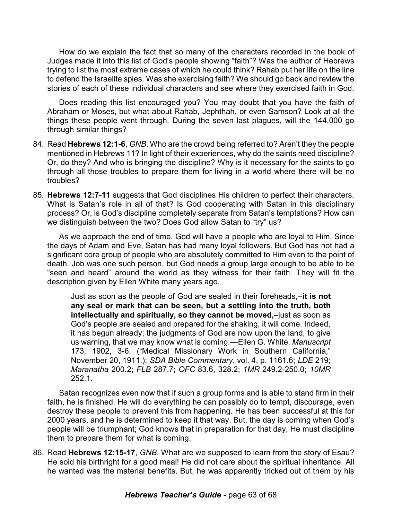How do we explain the fact that so many of the characters recorded in the book of Judges made it into this list of God's people showing "faith"? Was the author of Hebrews trying to list the most extreme cases of which he could think? Rahab put her life on the line to defend the Israelite spies. Was she exercising faith? We should go back and review the stories of each of these individual characters and see where they exercised faith in God.

Does reading this list encouraged you? You may doubt that you have the faith of Abraham or Moses, but what about Rahab, Jephthah, or even Samson? Look at all the things these people went through. During the seven last plagues, will the 144,000 go through similar things?

- 84. Read **Hebrews 12:1-6**, *GNB*. Who are the crowd being referred to? Aren't they the people mentioned in Hebrews 11? In light of their experiences, why do the saints need discipline? Or, do they? And who is bringing the discipline? Why is it necessary for the saints to go through all those troubles to prepare them for living in a world where there will be no troubles?
- 85. **Hebrews 12:7-11** suggests that God disciplines His children to perfect their characters. What is Satan's role in all of that? Is God cooperating with Satan in this disciplinary process? Or, is God's discipline completely separate from Satan's temptations? How can we distinguish between the two? Does God allow Satan to "try" us?

As we approach the end of time, God will have a people who are loyal to Him. Since the days of Adam and Eve, Satan has had many loyal followers. But God has not had a significant core group of people who are absolutely committed to Him even to the point of death. Job was one such person, but God needs a group large enough to be able to be "seen and heard" around the world as they witness for their faith. They will fit the description given by Ellen White many years ago.

Just as soon as the people of God are sealed in their foreheads,–**it is not any seal or mark that can be seen, but a settling into the truth, both intellectually and spiritually, so they cannot be moved,**–just as soon as God's people are sealed and prepared for the shaking, it will come. Indeed, it has begun already; the judgments of God are now upon the land, to give us warning, that we may know what is coming.—Ellen G. White, *Manuscript* 173, 1902, 3-6. ("Medical Missionary Work in Southern California," November 20, 1911.); *SDA Bible Commentary*, vol. 4, p. 1161.6; *LDE* 219; *Maranatha* 200.2; *FLB* 287.7; *OFC* 83.6, 328.2; *1MR* 249.2-250.0; *10MR* 252.1.

Satan recognizes even now that if such a group forms and is able to stand firm in their faith, he is finished. He will do everything he can possibly do to tempt, discourage, even destroy these people to prevent this from happening. He has been successful at this for 2000 years, and he is determined to keep it that way. But, the day is coming when God's people will be triumphant; God knows that in preparation for that day, He must discipline them to prepare them for what is coming.

86. Read **Hebrews 12:15-17**, *GNB*. What are we supposed to learn from the story of Esau? He sold his birthright for a good meal! He did not care about the spiritual inheritance. All he wanted was the material benefits. But, he was apparently tricked out of them by his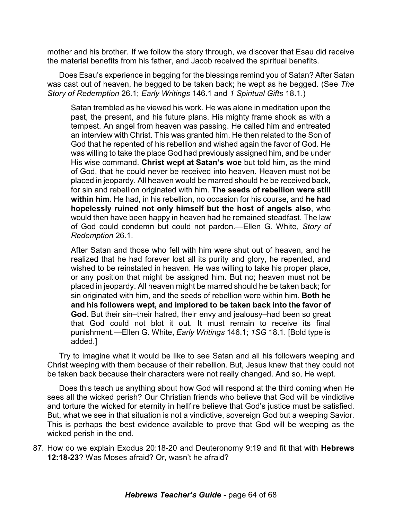mother and his brother. If we follow the story through, we discover that Esau did receive the material benefits from his father, and Jacob received the spiritual benefits.

Does Esau's experience in begging for the blessings remind you of Satan? After Satan was cast out of heaven, he begged to be taken back; he wept as he begged. (See *The Story of Redemption* 26.1; *Early Writings* 146.1 and *1 Spiritual Gifts* 18.1.)

Satan trembled as he viewed his work. He was alone in meditation upon the past, the present, and his future plans. His mighty frame shook as with a tempest. An angel from heaven was passing. He called him and entreated an interview with Christ. This was granted him. He then related to the Son of God that he repented of his rebellion and wished again the favor of God. He was willing to take the place God had previously assigned him, and be under His wise command. **Christ wept at Satan's woe** but told him, as the mind of God, that he could never be received into heaven. Heaven must not be placed in jeopardy. All heaven would be marred should he be received back, for sin and rebellion originated with him. **The seeds of rebellion were still within him.** He had, in his rebellion, no occasion for his course, and **he had hopelessly ruined not only himself but the host of angels also**, who would then have been happy in heaven had he remained steadfast. The law of God could condemn but could not pardon.—Ellen G. White, *Story of Redemption* 26.1.

After Satan and those who fell with him were shut out of heaven, and he realized that he had forever lost all its purity and glory, he repented, and wished to be reinstated in heaven. He was willing to take his proper place, or any position that might be assigned him. But no; heaven must not be placed in jeopardy. All heaven might be marred should he be taken back; for sin originated with him, and the seeds of rebellion were within him. **Both he and his followers wept, and implored to be taken back into the favor of God.** But their sin–their hatred, their envy and jealousy–had been so great that God could not blot it out. It must remain to receive its final punishment.—Ellen G. White, *Early Writings* 146.1; *1SG* 18.1. [Bold type is added.]

Try to imagine what it would be like to see Satan and all his followers weeping and Christ weeping with them because of their rebellion. But, Jesus knew that they could not be taken back because their characters were not really changed. And so, He wept.

Does this teach us anything about how God will respond at the third coming when He sees all the wicked perish? Our Christian friends who believe that God will be vindictive and torture the wicked for eternity in hellfire believe that God's justice must be satisfied. But, what we see in that situation is not a vindictive, sovereign God but a weeping Savior. This is perhaps the best evidence available to prove that God will be weeping as the wicked perish in the end.

87. How do we explain Exodus 20:18-20 and Deuteronomy 9:19 and fit that with **Hebrews 12:18-23**? Was Moses afraid? Or, wasn't he afraid?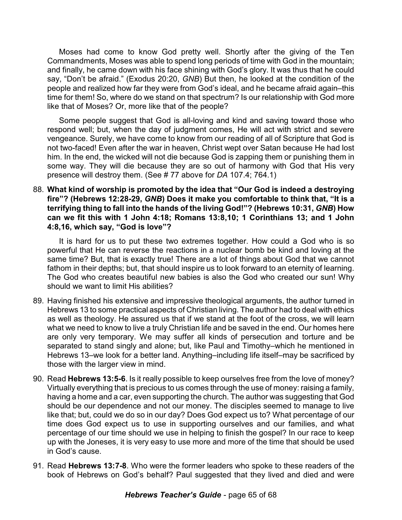Moses had come to know God pretty well. Shortly after the giving of the Ten Commandments, Moses was able to spend long periods of time with God in the mountain; and finally, he came down with his face shining with God's glory. It was thus that he could say, "Don't be afraid." (Exodus 20:20, *GNB*) But then, he looked at the condition of the people and realized how far they were from God's ideal, and he became afraid again–this time for them! So, where do we stand on that spectrum? Is our relationship with God more like that of Moses? Or, more like that of the people?

Some people suggest that God is all-loving and kind and saving toward those who respond well; but, when the day of judgment comes, He will act with strict and severe vengeance. Surely, we have come to know from our reading of all of Scripture that God is not two-faced! Even after the war in heaven, Christ wept over Satan because He had lost him. In the end, the wicked will not die because God is zapping them or punishing them in some way. They will die because they are so out of harmony with God that His very presence will destroy them. (See # 77 above for *DA* 107.4; 764.1)

88. **What kind of worship is promoted by the idea that "Our God is indeed a destroying fire"? (Hebrews 12:28-29,** *GNB***) Does it make you comfortable to think that, "It is a terrifying thing to fall into the hands of the living God!"? (Hebrews 10:31,** *GNB***) How can we fit this with 1 John 4:18; Romans 13:8,10; 1 Corinthians 13; and 1 John 4:8,16, which say, "God is love"?**

It is hard for us to put these two extremes together. How could a God who is so powerful that He can reverse the reactions in a nuclear bomb be kind and loving at the same time? But, that is exactly true! There are a lot of things about God that we cannot fathom in their depths; but, that should inspire us to look forward to an eternity of learning. The God who creates beautiful new babies is also the God who created our sun! Why should we want to limit His abilities?

- 89. Having finished his extensive and impressive theological arguments, the author turned in Hebrews 13 to some practical aspects of Christian living. The author had to deal with ethics as well as theology. He assured us that if we stand at the foot of the cross, we will learn what we need to know to live a truly Christian life and be saved in the end. Our homes here are only very temporary. We may suffer all kinds of persecution and torture and be separated to stand singly and alone; but, like Paul and Timothy–which he mentioned in Hebrews 13–we look for a better land. Anything–including life itself–may be sacrificed by those with the larger view in mind.
- 90. Read **Hebrews 13:5-6**. Is it really possible to keep ourselves free from the love of money? Virtually everything that is precious to us comes through the use of money: raising a family, having a home and a car, even supporting the church. The author was suggesting that God should be our dependence and not our money. The disciples seemed to manage to live like that; but, could we do so in our day? Does God expect us to? What percentage of our time does God expect us to use in supporting ourselves and our families, and what percentage of our time should we use in helping to finish the gospel? In our race to keep up with the Joneses, it is very easy to use more and more of the time that should be used in God's cause.
- 91. Read **Hebrews 13:7-8**. Who were the former leaders who spoke to these readers of the book of Hebrews on God's behalf? Paul suggested that they lived and died and were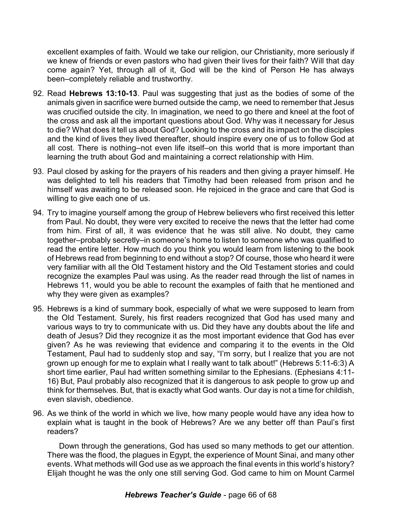excellent examples of faith. Would we take our religion, our Christianity, more seriously if we knew of friends or even pastors who had given their lives for their faith? Will that day come again? Yet, through all of it, God will be the kind of Person He has always been–completely reliable and trustworthy.

- 92. Read **Hebrews 13:10-13**. Paul was suggesting that just as the bodies of some of the animals given in sacrifice were burned outside the camp, we need to remember that Jesus was crucified outside the city. In imagination, we need to go there and kneel at the foot of the cross and ask all the important questions about God. Why was it necessary for Jesus to die? What does it tell us about God? Looking to the cross and its impact on the disciples and the kind of lives they lived thereafter, should inspire every one of us to follow God at all cost. There is nothing–not even life itself–on this world that is more important than learning the truth about God and maintaining a correct relationship with Him.
- 93. Paul closed by asking for the prayers of his readers and then giving a prayer himself. He was delighted to tell his readers that Timothy had been released from prison and he himself was awaiting to be released soon. He rejoiced in the grace and care that God is willing to give each one of us.
- 94. Try to imagine yourself among the group of Hebrew believers who first received this letter from Paul. No doubt, they were very excited to receive the news that the letter had come from him. First of all, it was evidence that he was still alive. No doubt, they came together–probably secretly–in someone's home to listen to someone who was qualified to read the entire letter. How much do you think you would learn from listening to the book of Hebrews read from beginning to end without a stop? Of course, those who heard it were very familiar with all the Old Testament history and the Old Testament stories and could recognize the examples Paul was using. As the reader read through the list of names in Hebrews 11, would you be able to recount the examples of faith that he mentioned and why they were given as examples?
- 95. Hebrews is a kind of summary book, especially of what we were supposed to learn from the Old Testament. Surely, his first readers recognized that God has used many and various ways to try to communicate with us. Did they have any doubts about the life and death of Jesus? Did they recognize it as the most important evidence that God has ever given? As he was reviewing that evidence and comparing it to the events in the Old Testament, Paul had to suddenly stop and say, "I'm sorry, but I realize that you are not grown up enough for me to explain what I really want to talk about!" (Hebrews 5:11-6:3) A short time earlier, Paul had written something similar to the Ephesians. (Ephesians 4:11- 16) But, Paul probably also recognized that it is dangerous to ask people to grow up and think for themselves. But, that is exactly what God wants. Our day is not a time for childish, even slavish, obedience.
- 96. As we think of the world in which we live, how many people would have any idea how to explain what is taught in the book of Hebrews? Are we any better off than Paul's first readers?

Down through the generations, God has used so many methods to get our attention. There was the flood, the plagues in Egypt, the experience of Mount Sinai, and many other events. What methods will God use as we approach the final events in this world's history? Elijah thought he was the only one still serving God. God came to him on Mount Carmel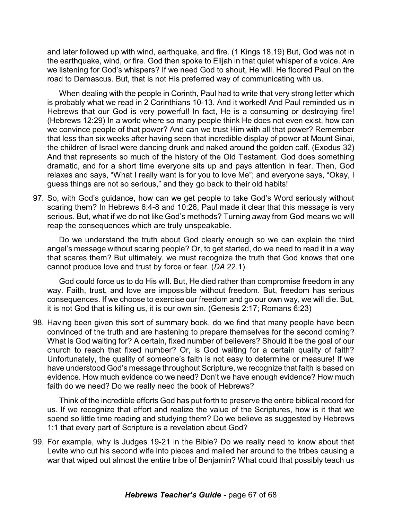and later followed up with wind, earthquake, and fire. (1 Kings 18,19) But, God was not in the earthquake, wind, or fire. God then spoke to Elijah in that quiet whisper of a voice. Are we listening for God's whispers? If we need God to shout, He will. He floored Paul on the road to Damascus. But, that is not His preferred way of communicating with us.

When dealing with the people in Corinth, Paul had to write that very strong letter which is probably what we read in 2 Corinthians 10-13. And it worked! And Paul reminded us in Hebrews that our God is very powerful! In fact, He is a consuming or destroying fire! (Hebrews 12:29) In a world where so many people think He does not even exist, how can we convince people of that power? And can we trust Him with all that power? Remember that less than six weeks after having seen that incredible display of power at Mount Sinai, the children of Israel were dancing drunk and naked around the golden calf. (Exodus 32) And that represents so much of the history of the Old Testament. God does something dramatic, and for a short time everyone sits up and pays attention in fear. Then, God relaxes and says, "What I really want is for you to love Me"; and everyone says, "Okay, I guess things are not so serious," and they go back to their old habits!

97. So, with God's guidance, how can we get people to take God's Word seriously without scaring them? In Hebrews 6:4-8 and 10:26, Paul made it clear that this message is very serious. But, what if we do not like God's methods? Turning away from God means we will reap the consequences which are truly unspeakable.

Do we understand the truth about God clearly enough so we can explain the third angel's message without scaring people? Or, to get started, do we need to read it in a way that scares them? But ultimately, we must recognize the truth that God knows that one cannot produce love and trust by force or fear. (*DA* 22.1)

God could force us to do His will. But, He died rather than compromise freedom in any way. Faith, trust, and love are impossible without freedom. But, freedom has serious consequences. If we choose to exercise our freedom and go our own way, we will die. But, it is not God that is killing us, it is our own sin. (Genesis 2:17; Romans 6:23)

98. Having been given this sort of summary book, do we find that many people have been convinced of the truth and are hastening to prepare themselves for the second coming? What is God waiting for? A certain, fixed number of believers? Should it be the goal of our church to reach that fixed number? Or, is God waiting for a certain quality of faith? Unfortunately, the quality of someone's faith is not easy to determine or measure! If we have understood God's message throughout Scripture, we recognize that faith is based on evidence. How much evidence do we need? Don't we have enough evidence? How much faith do we need? Do we really need the book of Hebrews?

Think of the incredible efforts God has put forth to preserve the entire biblical record for us. If we recognize that effort and realize the value of the Scriptures, how is it that we spend so little time reading and studying them? Do we believe as suggested by Hebrews 1:1 that every part of Scripture is a revelation about God?

99. For example, why is Judges 19-21 in the Bible? Do we really need to know about that Levite who cut his second wife into pieces and mailed her around to the tribes causing a war that wiped out almost the entire tribe of Benjamin? What could that possibly teach us